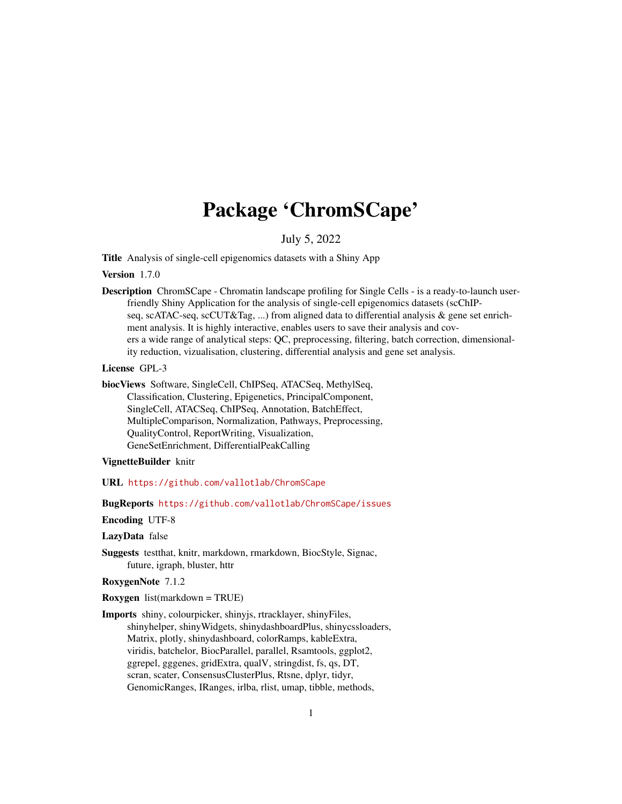# Package 'ChromSCape'

#### July 5, 2022

<span id="page-0-0"></span>Title Analysis of single-cell epigenomics datasets with a Shiny App

# Version 1.7.0

Description ChromSCape - Chromatin landscape profiling for Single Cells - is a ready-to-launch userfriendly Shiny Application for the analysis of single-cell epigenomics datasets (scChIPseq, scATAC-seq, scCUT&Tag, ...) from aligned data to differential analysis & gene set enrichment analysis. It is highly interactive, enables users to save their analysis and covers a wide range of analytical steps: QC, preprocessing, filtering, batch correction, dimensionality reduction, vizualisation, clustering, differential analysis and gene set analysis.

# License GPL-3

biocViews Software, SingleCell, ChIPSeq, ATACSeq, MethylSeq, Classification, Clustering, Epigenetics, PrincipalComponent, SingleCell, ATACSeq, ChIPSeq, Annotation, BatchEffect, MultipleComparison, Normalization, Pathways, Preprocessing, QualityControl, ReportWriting, Visualization, GeneSetEnrichment, DifferentialPeakCalling

#### VignetteBuilder knitr

URL <https://github.com/vallotlab/ChromSCape>

#### BugReports <https://github.com/vallotlab/ChromSCape/issues>

# Encoding UTF-8

#### LazyData false

Suggests testthat, knitr, markdown, rmarkdown, BiocStyle, Signac, future, igraph, bluster, httr

#### RoxygenNote 7.1.2

#### Roxygen list(markdown = TRUE)

Imports shiny, colourpicker, shinyjs, rtracklayer, shinyFiles, shinyhelper, shinyWidgets, shinydashboardPlus, shinycssloaders, Matrix, plotly, shinydashboard, colorRamps, kableExtra, viridis, batchelor, BiocParallel, parallel, Rsamtools, ggplot2, ggrepel, gggenes, gridExtra, qualV, stringdist, fs, qs, DT, scran, scater, ConsensusClusterPlus, Rtsne, dplyr, tidyr, GenomicRanges, IRanges, irlba, rlist, umap, tibble, methods,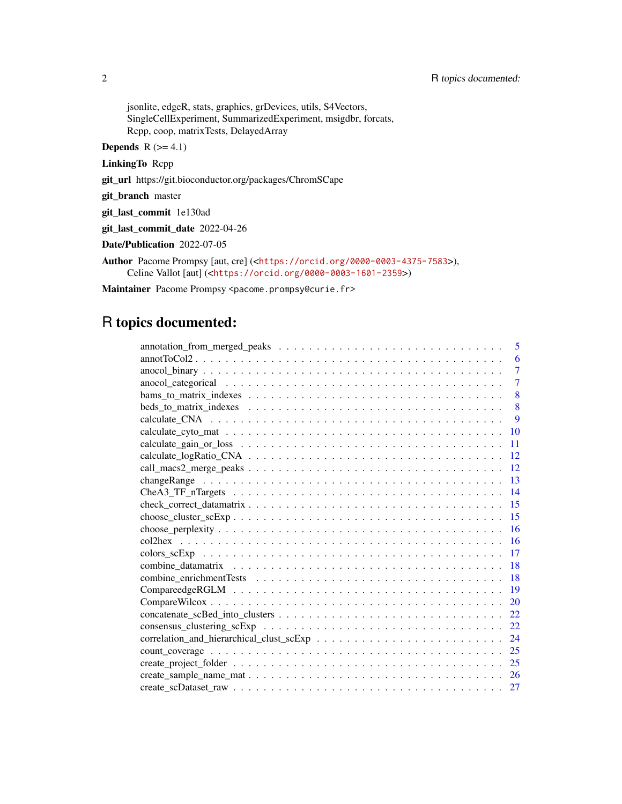jsonlite, edgeR, stats, graphics, grDevices, utils, S4Vectors, SingleCellExperiment, SummarizedExperiment, msigdbr, forcats, Rcpp, coop, matrixTests, DelayedArray

Depends  $R$  ( $>= 4.1$ )

LinkingTo Rcpp

git\_url https://git.bioconductor.org/packages/ChromSCape

git\_branch master

git\_last\_commit 1e130ad

git\_last\_commit\_date 2022-04-26

Date/Publication 2022-07-05

Author Pacome Prompsy [aut, cre] (<<https://orcid.org/0000-0003-4375-7583>>), Celine Vallot [aut] (<<https://orcid.org/0000-0003-1601-2359>>)

Maintainer Pacome Prompsy <pacome.prompsy@curie.fr>

# R topics documented:

| 5              |
|----------------|
| 6              |
| $\overline{7}$ |
| $\overline{7}$ |
| 8              |
| 8              |
| 9              |
| 10             |
| 11             |
| 12             |
| 12             |
| 13             |
| 14             |
| 15             |
| 15             |
| 16             |
| 16             |
| 17             |
| 18             |
| 18             |
| 19             |
| 20             |
| 22             |
| 22             |
| 24             |
| 25             |
| 25             |
| <b>26</b>      |
| 27             |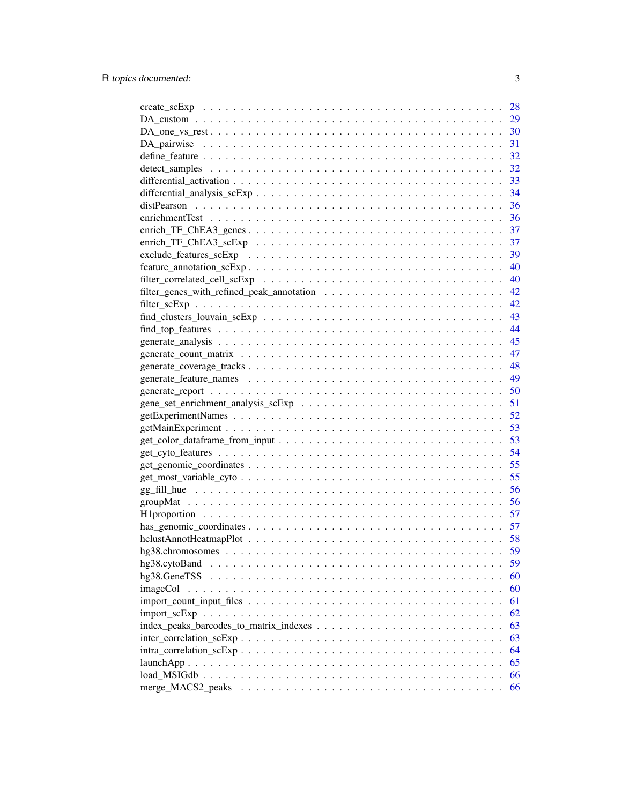|                                                                                                                 | 28 |
|-----------------------------------------------------------------------------------------------------------------|----|
|                                                                                                                 | 29 |
|                                                                                                                 | 30 |
|                                                                                                                 | 31 |
|                                                                                                                 | 32 |
|                                                                                                                 | 32 |
|                                                                                                                 | 33 |
|                                                                                                                 | 34 |
|                                                                                                                 | 36 |
|                                                                                                                 | 36 |
|                                                                                                                 | 37 |
|                                                                                                                 | 37 |
|                                                                                                                 | 39 |
|                                                                                                                 | 40 |
|                                                                                                                 | 40 |
|                                                                                                                 | 42 |
|                                                                                                                 | 42 |
|                                                                                                                 | 43 |
|                                                                                                                 | 44 |
|                                                                                                                 | 45 |
|                                                                                                                 |    |
|                                                                                                                 | 47 |
|                                                                                                                 | 48 |
|                                                                                                                 | 49 |
|                                                                                                                 | 50 |
|                                                                                                                 | 51 |
|                                                                                                                 | 52 |
|                                                                                                                 | 53 |
|                                                                                                                 | 53 |
|                                                                                                                 | 54 |
|                                                                                                                 | 55 |
|                                                                                                                 | 55 |
|                                                                                                                 | 56 |
|                                                                                                                 | 56 |
|                                                                                                                 | 57 |
|                                                                                                                 | 57 |
|                                                                                                                 | 58 |
|                                                                                                                 | 59 |
| hg38.cytoBand                                                                                                   | 59 |
| hg38.GeneTSS                                                                                                    | 60 |
| imageCol                                                                                                        | 60 |
|                                                                                                                 | 61 |
|                                                                                                                 | 62 |
|                                                                                                                 | 63 |
|                                                                                                                 | 63 |
| $intra\_correlation\_scExp \ldots \ldots \ldots \ldots \ldots \ldots \ldots \ldots \ldots \ldots \ldots \ldots$ | 64 |
|                                                                                                                 | 65 |
|                                                                                                                 | 66 |
|                                                                                                                 | 66 |
|                                                                                                                 |    |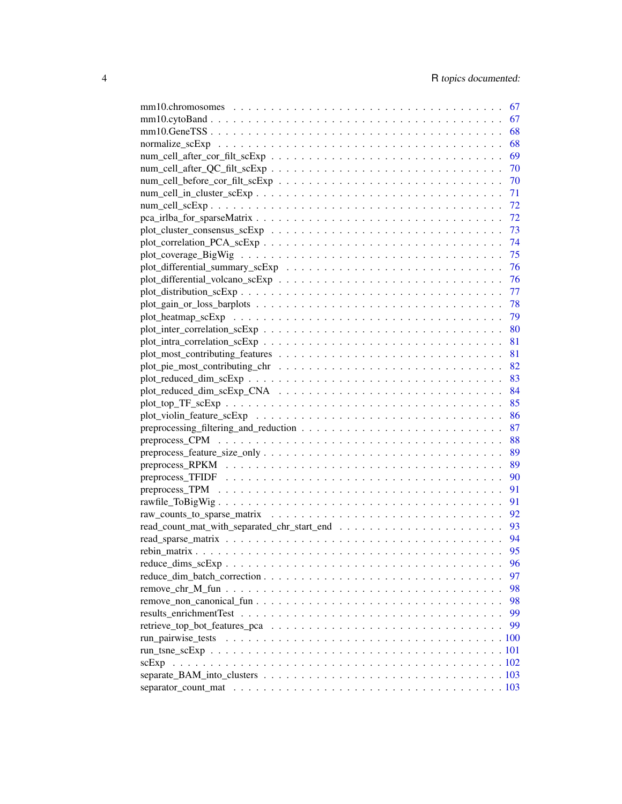|                               | 67 |
|-------------------------------|----|
|                               | 67 |
|                               | 68 |
|                               | 68 |
|                               | 69 |
|                               | 70 |
|                               | 70 |
|                               | 71 |
|                               | 72 |
|                               | 72 |
|                               | 73 |
|                               | 74 |
|                               | 75 |
|                               | 76 |
|                               | 76 |
|                               | 77 |
|                               | 78 |
|                               |    |
|                               | 79 |
|                               | 80 |
|                               | 81 |
|                               | 81 |
|                               | 82 |
|                               | 83 |
|                               | 84 |
|                               | 85 |
|                               | 86 |
|                               | 87 |
|                               | 88 |
|                               | 89 |
|                               | 89 |
|                               | 90 |
|                               | 91 |
|                               | 91 |
|                               | 92 |
|                               |    |
|                               |    |
|                               | 95 |
|                               | 96 |
|                               | 97 |
|                               | 98 |
| $remove\_non\_canonical\_fun$ | 98 |
|                               | 99 |
|                               | 99 |
|                               |    |
|                               |    |
|                               |    |
|                               |    |
|                               |    |
|                               |    |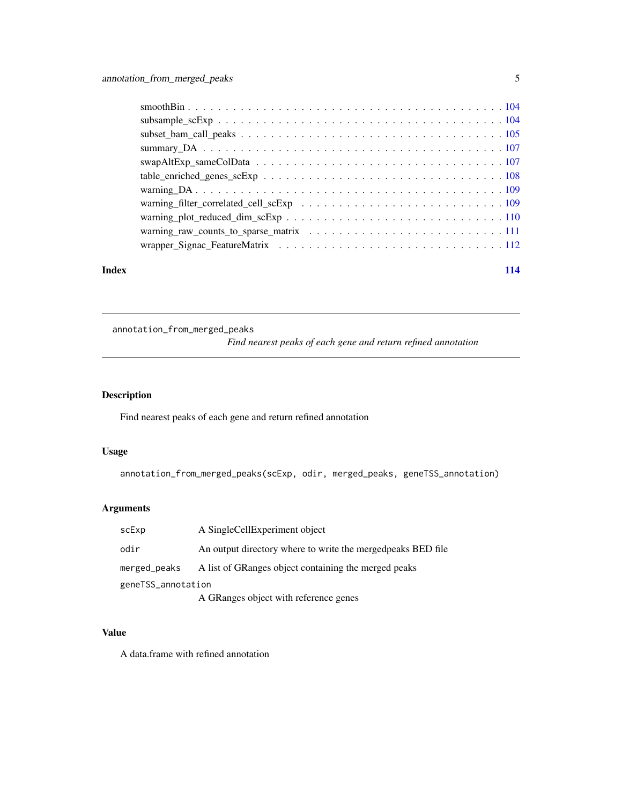<span id="page-4-0"></span>

| Index | 114 |
|-------|-----|

annotation\_from\_merged\_peaks *Find nearest peaks of each gene and return refined annotation*

# Description

Find nearest peaks of each gene and return refined annotation

# Usage

```
annotation_from_merged_peaks(scExp, odir, merged_peaks, geneTSS_annotation)
```
# Arguments

| scExp              | A SingleCellExperiment object                                |
|--------------------|--------------------------------------------------------------|
| odir               | An output directory where to write the merged peaks BED file |
| merged_peaks       | A list of GRanges object containing the merged peaks         |
| geneTSS_annotation |                                                              |
|                    | A GRanges object with reference genes                        |

#### Value

A data.frame with refined annotation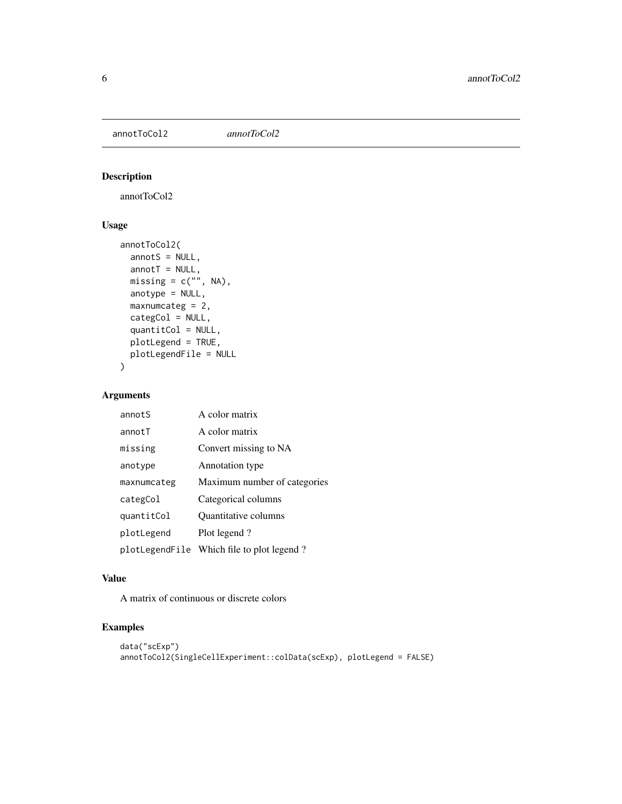<span id="page-5-0"></span>annotToCol2 *annotToCol2*

# Description

annotToCol2

# Usage

```
annotToCol2(
  annotS = NULL,annotT = NULL,missing = c("", NA),anotype = NULL,
 maxnumcateg = 2,
 categCol = NULL,
  quantitCol = NULL,
 plotLegend = TRUE,
 plotLegendFile = NULL
\mathcal{L}
```
# Arguments

| annotS      | A color matrix                            |
|-------------|-------------------------------------------|
| annotT      | A color matrix                            |
| missing     | Convert missing to NA                     |
| anotype     | Annotation type                           |
| maxnumcateg | Maximum number of categories              |
| categCol    | Categorical columns                       |
| quantitCol  | <b>Ouantitative columns</b>               |
| plotLegend  | Plot legend?                              |
|             | plotLegendFile Which file to plot legend? |

#### Value

A matrix of continuous or discrete colors

```
data("scExp")
annotToCol2(SingleCellExperiment::colData(scExp), plotLegend = FALSE)
```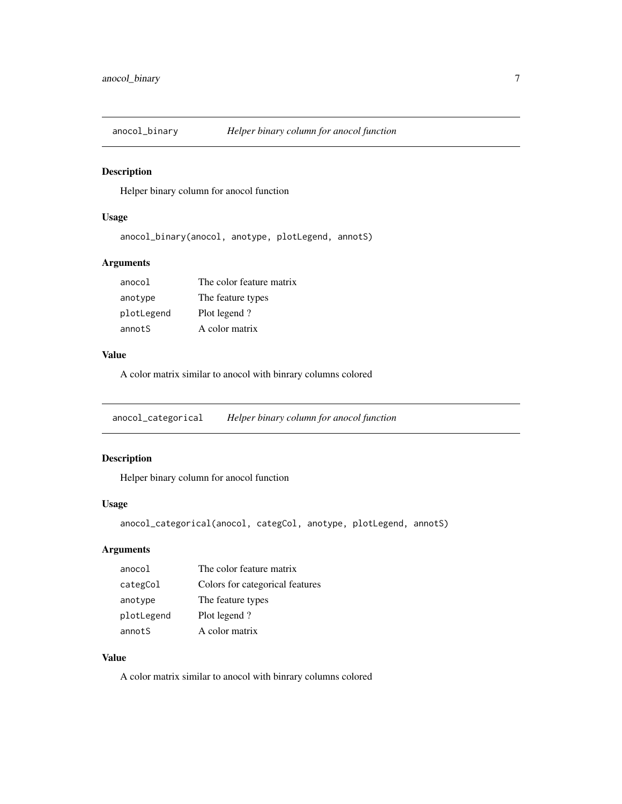<span id="page-6-0"></span>

# Description

Helper binary column for anocol function

# Usage

anocol\_binary(anocol, anotype, plotLegend, annotS)

# Arguments

| anocol     | The color feature matrix |
|------------|--------------------------|
| anotype    | The feature types        |
| plotLegend | Plot legend?             |
| annotS     | A color matrix           |

# Value

A color matrix similar to anocol with binrary columns colored

anocol\_categorical *Helper binary column for anocol function*

# Description

Helper binary column for anocol function

#### Usage

anocol\_categorical(anocol, categCol, anotype, plotLegend, annotS)

# Arguments

| anocol     | The color feature matrix        |
|------------|---------------------------------|
| categCol   | Colors for categorical features |
| anotype    | The feature types               |
| plotLegend | Plot legend?                    |
| annotS     | A color matrix                  |

# Value

A color matrix similar to anocol with binrary columns colored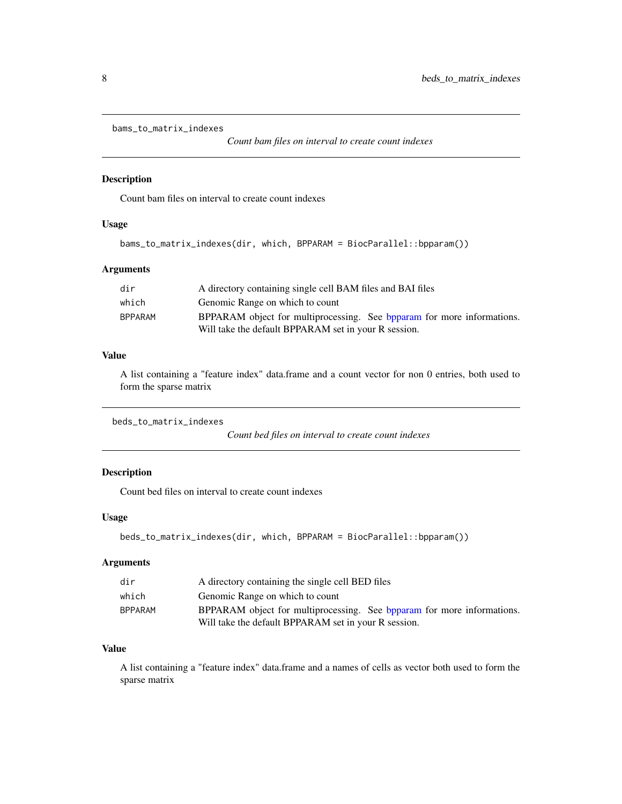```
bams_to_matrix_indexes
```
*Count bam files on interval to create count indexes*

#### Description

Count bam files on interval to create count indexes

#### Usage

```
bams_to_matrix_indexes(dir, which, BPPARAM = BiocParallel::bpparam())
```
#### Arguments

| dir            | A directory containing single cell BAM files and BAI files             |
|----------------|------------------------------------------------------------------------|
| which          | Genomic Range on which to count                                        |
| <b>BPPARAM</b> | BPPARAM object for multiprocessing. See bpparam for more informations. |
|                | Will take the default BPPARAM set in your R session.                   |

# Value

A list containing a "feature index" data.frame and a count vector for non 0 entries, both used to form the sparse matrix

```
beds_to_matrix_indexes
```
*Count bed files on interval to create count indexes*

# Description

Count bed files on interval to create count indexes

#### Usage

```
beds_to_matrix_indexes(dir, which, BPPARAM = BiocParallel::bpparam())
```
#### Arguments

| dir     | A directory containing the single cell BED files                       |
|---------|------------------------------------------------------------------------|
| which   | Genomic Range on which to count                                        |
| BPPARAM | BPPARAM object for multiprocessing. See bpparam for more informations. |
|         | Will take the default BPPARAM set in your R session.                   |

# Value

A list containing a "feature index" data.frame and a names of cells as vector both used to form the sparse matrix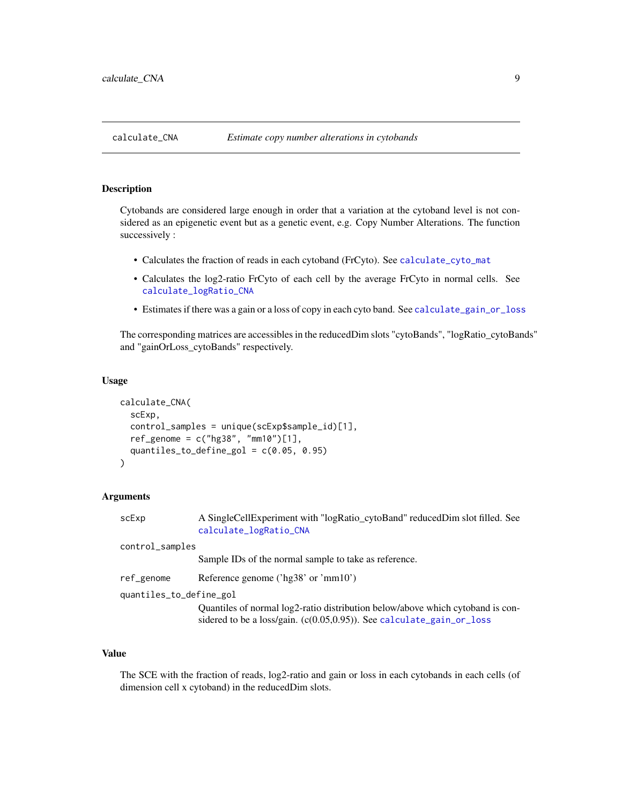<span id="page-8-0"></span>

# Description

Cytobands are considered large enough in order that a variation at the cytoband level is not considered as an epigenetic event but as a genetic event, e.g. Copy Number Alterations. The function successively :

- Calculates the fraction of reads in each cytoband (FrCyto). See [calculate\\_cyto\\_mat](#page-9-1)
- Calculates the log2-ratio FrCyto of each cell by the average FrCyto in normal cells. See [calculate\\_logRatio\\_CNA](#page-11-1)
- Estimates if there was a gain or a loss of copy in each cyto band. See [calculate\\_gain\\_or\\_loss](#page-10-1)

The corresponding matrices are accessibles in the reducedDim slots "cytoBands", "logRatio\_cytoBands" and "gainOrLoss\_cytoBands" respectively.

#### Usage

```
calculate_CNA(
  scExp,
  control_samples = unique(scExp$sample_id)[1],
  ref\_genome = c("hg38", "mm10")[1],quantiles_to_define_gol = c(0.05, 0.95)
)
```
#### Arguments

| scExp                   | A SingleCellExperiment with "logRatio_cytoBand" reducedDim slot filled. See<br>calculate_logRatio_CNA                                                       |  |
|-------------------------|-------------------------------------------------------------------------------------------------------------------------------------------------------------|--|
| control_samples         |                                                                                                                                                             |  |
|                         | Sample IDs of the normal sample to take as reference.                                                                                                       |  |
| ref_genome              | Reference genome ( $\gamma$ hg38' or $\gamma$ mm10')                                                                                                        |  |
| quantiles_to_define_gol |                                                                                                                                                             |  |
|                         | Quantiles of normal log2-ratio distribution below/above which cytoband is con-<br>sidered to be a loss/gain. $(c(0.05, 0.95))$ . See calculate_gain_or_loss |  |

#### Value

The SCE with the fraction of reads, log2-ratio and gain or loss in each cytobands in each cells (of dimension cell x cytoband) in the reducedDim slots.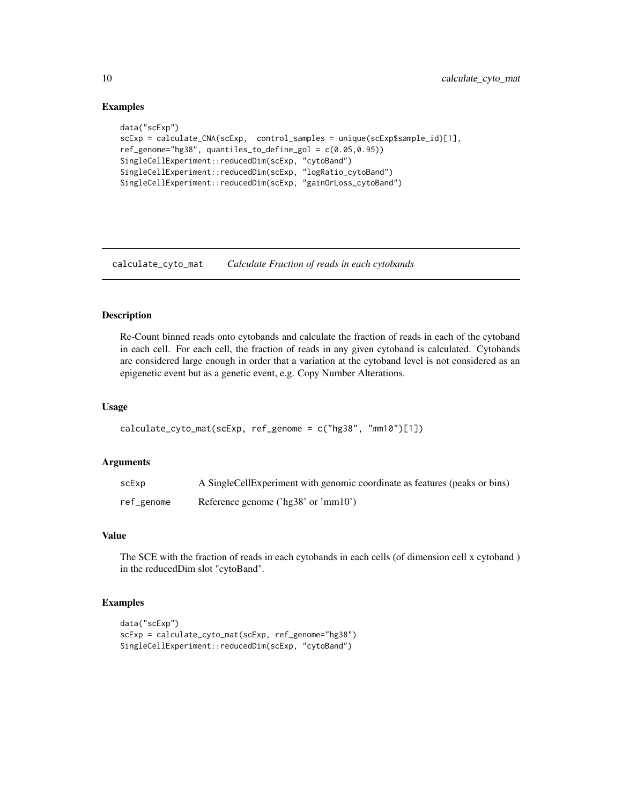#### Examples

```
data("scExp")
scExp = calculate_CNA(scExp, control_samples = unique(scExp$sample_id)[1],
ref_genome="hg38", quantiles_to_define_gol = c(0.05,0.95))
SingleCellExperiment::reducedDim(scExp, "cytoBand")
SingleCellExperiment::reducedDim(scExp, "logRatio_cytoBand")
SingleCellExperiment::reducedDim(scExp, "gainOrLoss_cytoBand")
```
<span id="page-9-1"></span>calculate\_cyto\_mat *Calculate Fraction of reads in each cytobands*

#### Description

Re-Count binned reads onto cytobands and calculate the fraction of reads in each of the cytoband in each cell. For each cell, the fraction of reads in any given cytoband is calculated. Cytobands are considered large enough in order that a variation at the cytoband level is not considered as an epigenetic event but as a genetic event, e.g. Copy Number Alterations.

#### Usage

```
calculate_cyto_mat(scExp, ref_genome = c("hg38", "mm10")[1])
```
#### Arguments

| scExp      | A Single Cell Experiment with genomic coordinate as features (peaks or bins)        |
|------------|-------------------------------------------------------------------------------------|
| ref_genome | Reference genome ( $\langle \text{hg38} \rangle$ or $\langle \text{mm10} \rangle$ ) |

# Value

The SCE with the fraction of reads in each cytobands in each cells (of dimension cell x cytoband ) in the reducedDim slot "cytoBand".

```
data("scExp")
scExp = calculate_cyto_mat(scExp, ref_genome="hg38")
SingleCellExperiment::reducedDim(scExp, "cytoBand")
```
<span id="page-9-0"></span>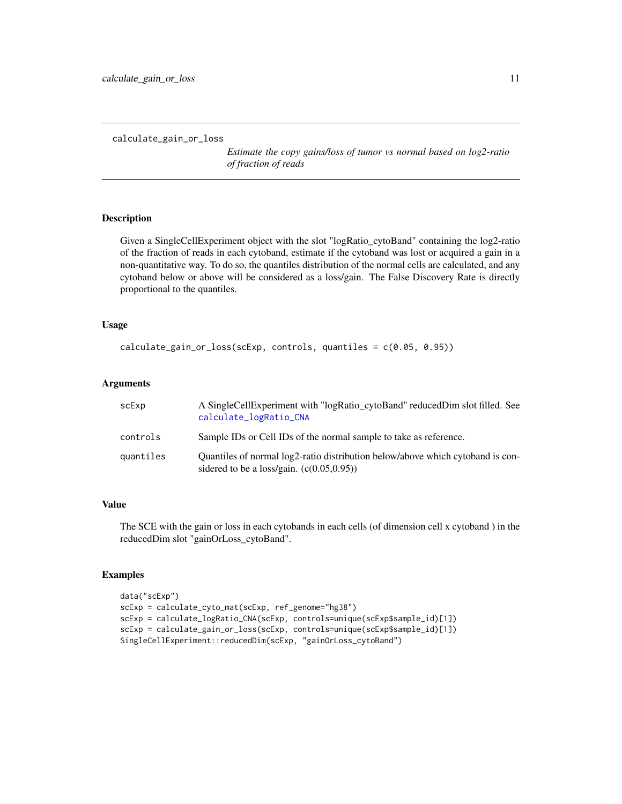```
calculate_gain_or_loss
```
*Estimate the copy gains/loss of tumor vs normal based on log2-ratio of fraction of reads*

# Description

Given a SingleCellExperiment object with the slot "logRatio\_cytoBand" containing the log2-ratio of the fraction of reads in each cytoband, estimate if the cytoband was lost or acquired a gain in a non-quantitative way. To do so, the quantiles distribution of the normal cells are calculated, and any cytoband below or above will be considered as a loss/gain. The False Discovery Rate is directly proportional to the quantiles.

#### Usage

```
calculate_gain_or_loss(scExp, controls, quantiles = c(0.05, 0.95))
```
#### Arguments

| scExp     | A Single Cell Experiment with "log Ratio cyto Band" reduced Dim slot filled. See<br>calculate_logRatio_CNA                     |
|-----------|--------------------------------------------------------------------------------------------------------------------------------|
| controls  | Sample IDs or Cell IDs of the normal sample to take as reference.                                                              |
| quantiles | Quantiles of normal log2-ratio distribution below/above which cytoband is con-<br>sidered to be a loss/gain. $(c(0.05, 0.95))$ |

#### Value

The SCE with the gain or loss in each cytobands in each cells (of dimension cell x cytoband ) in the reducedDim slot "gainOrLoss\_cytoBand".

```
data("scExp")
scExp = calculate_cyto_mat(scExp, ref_genome="hg38")
scExp = calculate_logRatio_CNA(scExp, controls=unique(scExp$sample_id)[1])
scExp = calculate_gain_or_loss(scExp, controls=unique(scExp$sample_id)[1])
SingleCellExperiment::reducedDim(scExp, "gainOrLoss_cytoBand")
```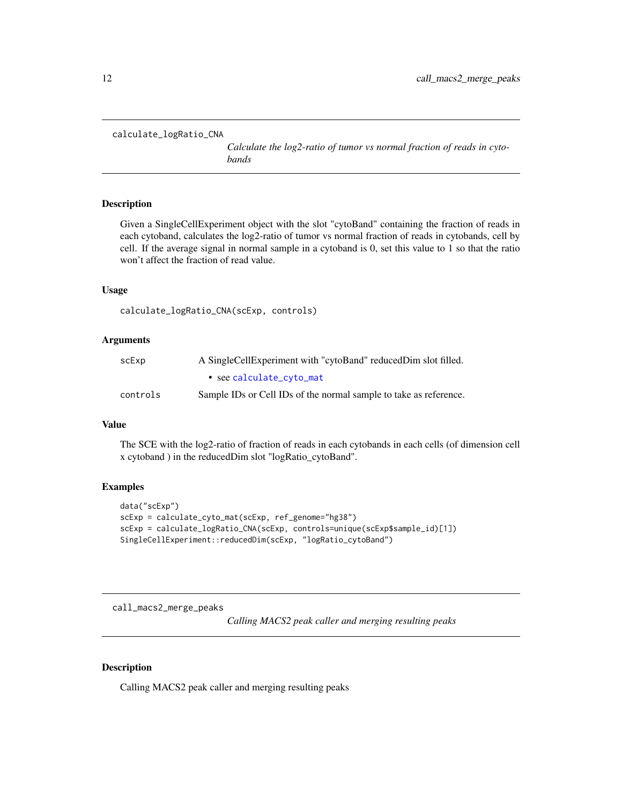```
calculate_logRatio_CNA
```
*Calculate the log2-ratio of tumor vs normal fraction of reads in cytobands*

#### Description

Given a SingleCellExperiment object with the slot "cytoBand" containing the fraction of reads in each cytoband, calculates the log2-ratio of tumor vs normal fraction of reads in cytobands, cell by cell. If the average signal in normal sample in a cytoband is 0, set this value to 1 so that the ratio won't affect the fraction of read value.

# Usage

```
calculate_logRatio_CNA(scExp, controls)
```
#### Arguments

| scExp    | A SingleCellExperiment with "cytoBand" reducedDim slot filled.    |
|----------|-------------------------------------------------------------------|
|          | $\bullet$ see calculate_cyto_mat                                  |
| controls | Sample IDs or Cell IDs of the normal sample to take as reference. |

#### Value

The SCE with the log2-ratio of fraction of reads in each cytobands in each cells (of dimension cell x cytoband ) in the reducedDim slot "logRatio\_cytoBand".

#### Examples

```
data("scExp")
scExp = calculate_cyto_mat(scExp, ref_genome="hg38")
scExp = calculate_logRatio_CNA(scExp, controls=unique(scExp$sample_id)[1])
SingleCellExperiment::reducedDim(scExp, "logRatio_cytoBand")
```
call\_macs2\_merge\_peaks

*Calling MACS2 peak caller and merging resulting peaks*

#### Description

Calling MACS2 peak caller and merging resulting peaks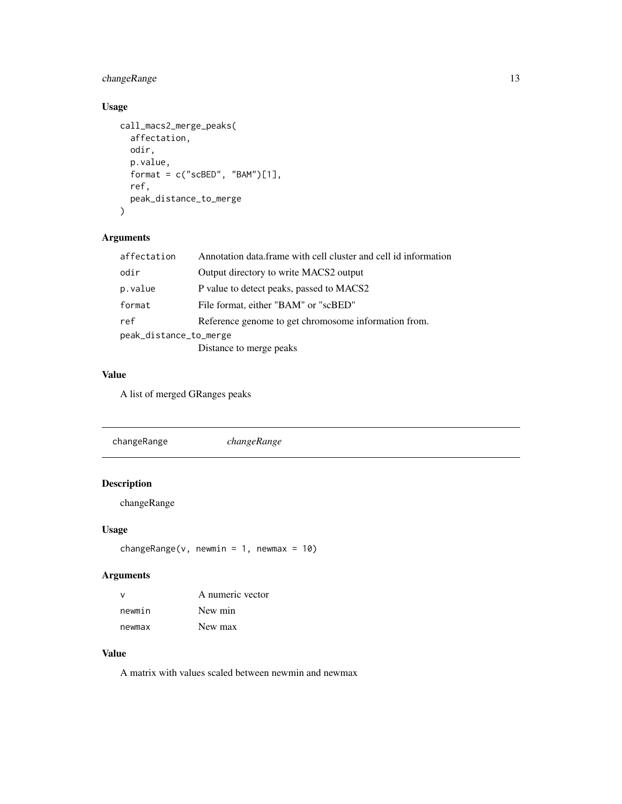# <span id="page-12-0"></span>changeRange 13

# Usage

```
call_macs2_merge_peaks(
  affectation,
  odir,
  p.value,
  format = c("scBED", "BAM")[1],ref,
  peak_distance_to_merge
\mathcal{L}
```
# Arguments

| affectation            | Annotation data.frame with cell cluster and cell id information |
|------------------------|-----------------------------------------------------------------|
| odir                   | Output directory to write MACS2 output                          |
| p.value                | P value to detect peaks, passed to MACS2                        |
| format                 | File format, either "BAM" or "scBED"                            |
| ref                    | Reference genome to get chromosome information from.            |
| peak_distance_to_merge |                                                                 |
|                        | Distance to merge peaks                                         |

# Value

A list of merged GRanges peaks

| changeRange | changeRange |  |
|-------------|-------------|--|
|             |             |  |

# Description

changeRange

# Usage

```
changeRange(v, newmin = 1, newmax = 10)
```
# Arguments

| $\mathsf{v}$ | A numeric vector |
|--------------|------------------|
| newmin       | New min          |
| newmax       | New max          |

# Value

A matrix with values scaled between newmin and newmax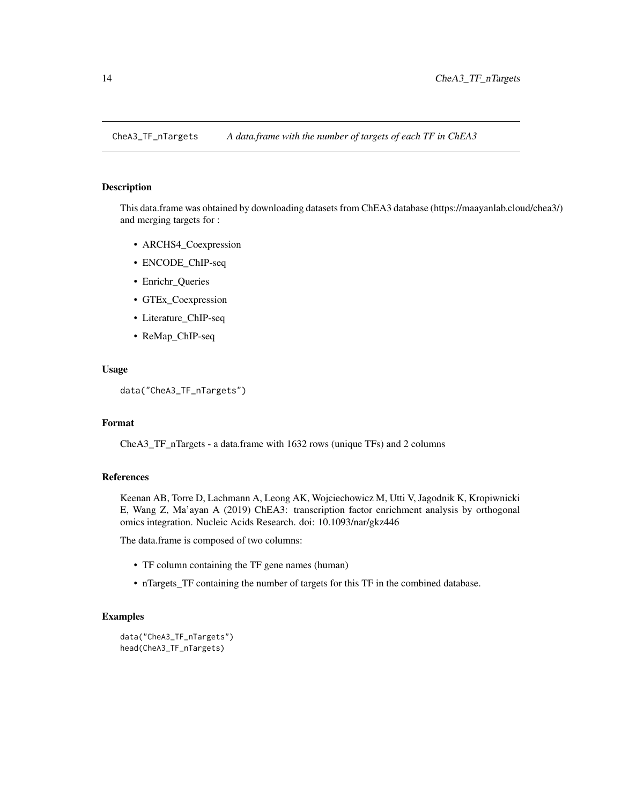<span id="page-13-0"></span>CheA3\_TF\_nTargets *A data.frame with the number of targets of each TF in ChEA3*

#### Description

This data.frame was obtained by downloading datasets from ChEA3 database (https://maayanlab.cloud/chea3/) and merging targets for :

- ARCHS4\_Coexpression
- ENCODE\_ChIP-seq
- Enrichr\_Queries
- GTEx\_Coexpression
- Literature\_ChIP-seq
- ReMap\_ChIP-seq

#### Usage

```
data("CheA3_TF_nTargets")
```
#### Format

CheA3\_TF\_nTargets - a data.frame with 1632 rows (unique TFs) and 2 columns

#### References

Keenan AB, Torre D, Lachmann A, Leong AK, Wojciechowicz M, Utti V, Jagodnik K, Kropiwnicki E, Wang Z, Ma'ayan A (2019) ChEA3: transcription factor enrichment analysis by orthogonal omics integration. Nucleic Acids Research. doi: 10.1093/nar/gkz446

The data.frame is composed of two columns:

- TF column containing the TF gene names (human)
- nTargets\_TF containing the number of targets for this TF in the combined database.

```
data("CheA3_TF_nTargets")
head(CheA3_TF_nTargets)
```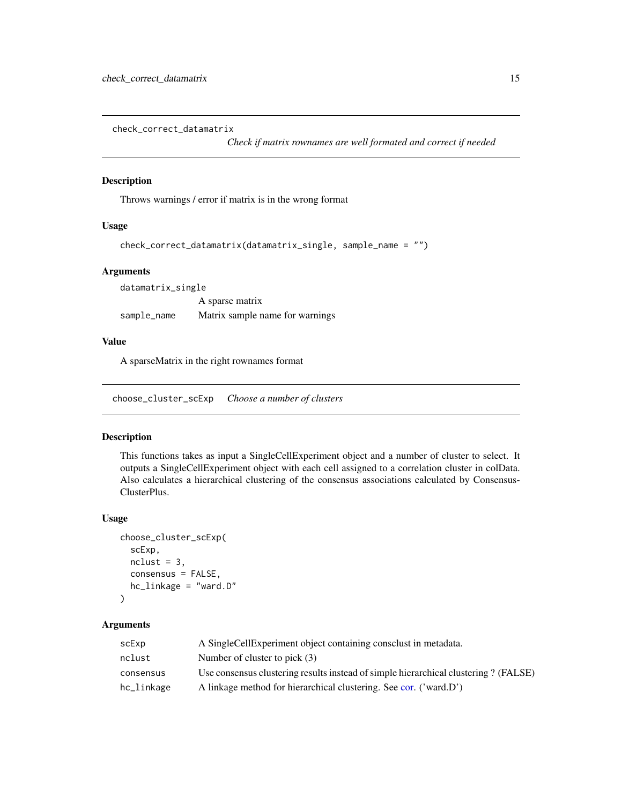<span id="page-14-0"></span>check\_correct\_datamatrix

*Check if matrix rownames are well formated and correct if needed*

#### Description

Throws warnings / error if matrix is in the wrong format

#### Usage

```
check_correct_datamatrix(datamatrix_single, sample_name = "")
```
#### **Arguments**

datamatrix\_single A sparse matrix sample\_name Matrix sample name for warnings

#### Value

A sparseMatrix in the right rownames format

choose\_cluster\_scExp *Choose a number of clusters*

#### Description

This functions takes as input a SingleCellExperiment object and a number of cluster to select. It outputs a SingleCellExperiment object with each cell assigned to a correlation cluster in colData. Also calculates a hierarchical clustering of the consensus associations calculated by Consensus-ClusterPlus.

# Usage

```
choose_cluster_scExp(
  scExp,
  ncluster = 3,
  consensus = FALSE,
  hc_linkage = "ward.D"
\mathcal{E}
```
# Arguments

| scExp      | A Single Cell Experiment object containing consclust in metadata.                   |
|------------|-------------------------------------------------------------------------------------|
| nclust     | Number of cluster to pick $(3)$                                                     |
| consensus  | Use consensus clustering results instead of simple hierarchical clustering? (FALSE) |
| hc_linkage | A linkage method for hierarchical clustering. See cor. ('ward.D')                   |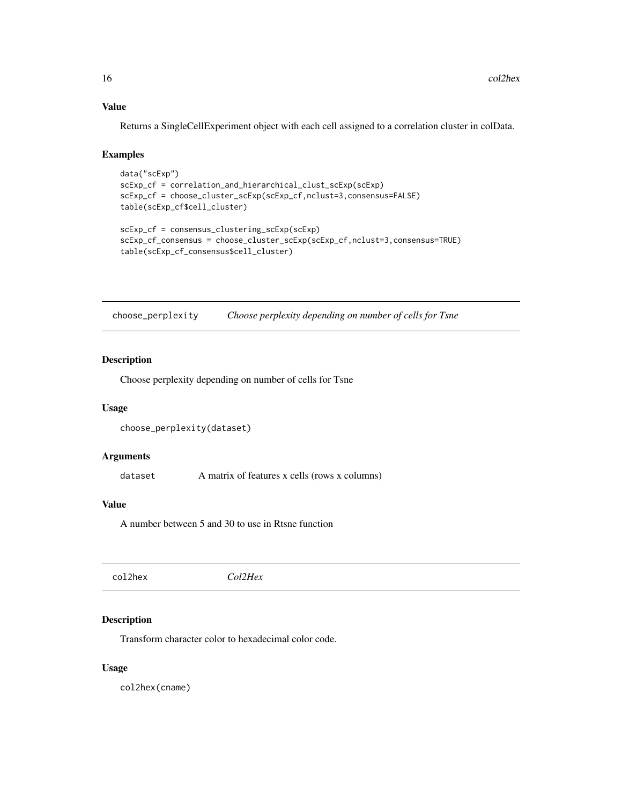#### <span id="page-15-0"></span>Value

Returns a SingleCellExperiment object with each cell assigned to a correlation cluster in colData.

#### Examples

```
data("scExp")
scExp_cf = correlation_and_hierarchical_clust_scExp(scExp)
scExp_cf = choose_cluster_scExp(scExp_cf,nclust=3,consensus=FALSE)
table(scExp_cf$cell_cluster)
scExp_cf = consensus_clustering_scExp(scExp)
scExp_cf_consensus = choose_cluster_scExp(scExp_cf,nclust=3,consensus=TRUE)
table(scExp_cf_consensus$cell_cluster)
```
choose\_perplexity *Choose perplexity depending on number of cells for Tsne*

# Description

Choose perplexity depending on number of cells for Tsne

#### Usage

```
choose_perplexity(dataset)
```
#### Arguments

dataset A matrix of features x cells (rows x columns)

#### Value

A number between 5 and 30 to use in Rtsne function

col2hex *Col2Hex*

# Description

Transform character color to hexadecimal color code.

#### Usage

col2hex(cname)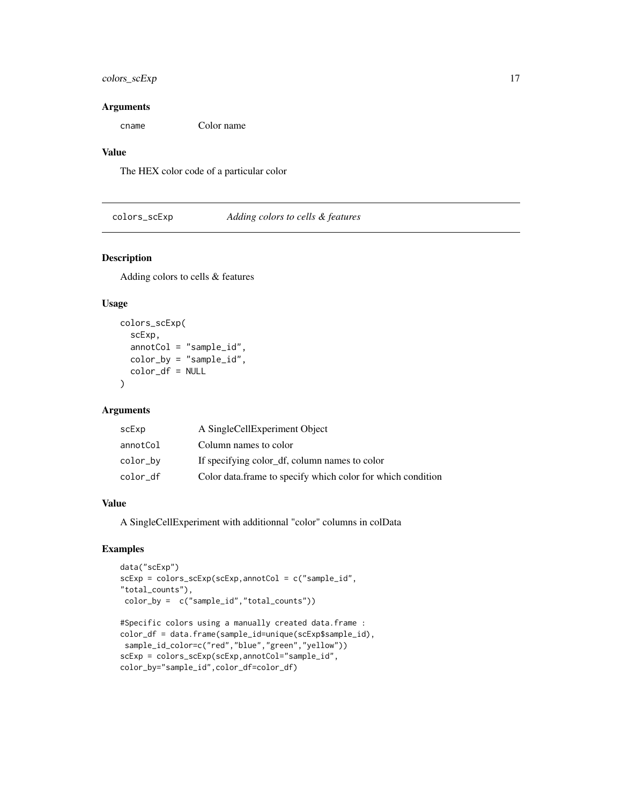# <span id="page-16-0"></span>colors\_scExp 17

#### **Arguments**

cname Color name

# Value

The HEX color code of a particular color

colors\_scExp *Adding colors to cells & features*

# Description

Adding colors to cells & features

#### Usage

```
colors_scExp(
  scExp,
  annotCol = "sample_id",
  color_by = "sample_id",
  color_df = NULL
\lambda
```
#### Arguments

| scExp    | A SingleCellExperiment Object                               |
|----------|-------------------------------------------------------------|
| annotCol | Column names to color                                       |
| color_by | If specifying color_df, column names to color               |
| color df | Color data frame to specify which color for which condition |

# Value

A SingleCellExperiment with additionnal "color" columns in colData

```
data("scExp")
scExp = colors_scExp(scExp,annotCol = c("sample_id",
"total_counts"),
color_by = c("sample_id","total_counts"))
#Specific colors using a manually created data.frame :
color_df = data.frame(sample_id=unique(scExp$sample_id),
sample_id_color=c("red","blue","green","yellow"))
scExp = colors_scExp(scExp,annotCol="sample_id",
color_by="sample_id",color_df=color_df)
```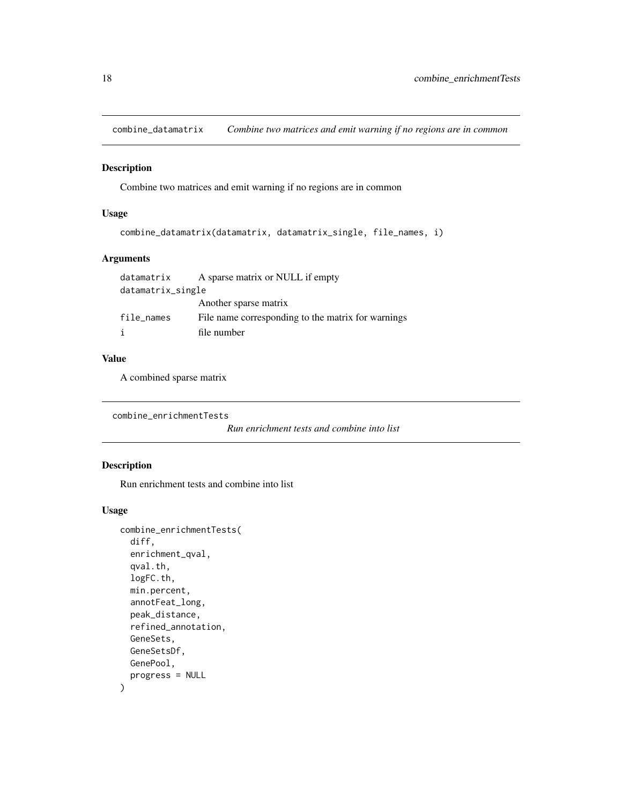<span id="page-17-0"></span>combine\_datamatrix *Combine two matrices and emit warning if no regions are in common*

#### Description

Combine two matrices and emit warning if no regions are in common

# Usage

```
combine_datamatrix(datamatrix, datamatrix_single, file_names, i)
```
#### Arguments

| datamatrix        | A sparse matrix or NULL if empty                   |
|-------------------|----------------------------------------------------|
| datamatrix_single |                                                    |
|                   | Another sparse matrix                              |
| file_names        | File name corresponding to the matrix for warnings |
| i                 | file number                                        |

#### Value

A combined sparse matrix

```
combine_enrichmentTests
```

```
Run enrichment tests and combine into list
```
#### Description

Run enrichment tests and combine into list

#### Usage

```
combine_enrichmentTests(
  diff,
  enrichment_qval,
  qval.th,
  logFC.th,
  min.percent,
  annotFeat_long,
 peak_distance,
  refined_annotation,
  GeneSets,
  GeneSetsDf,
 GenePool,
  progress = NULL
\mathcal{E}
```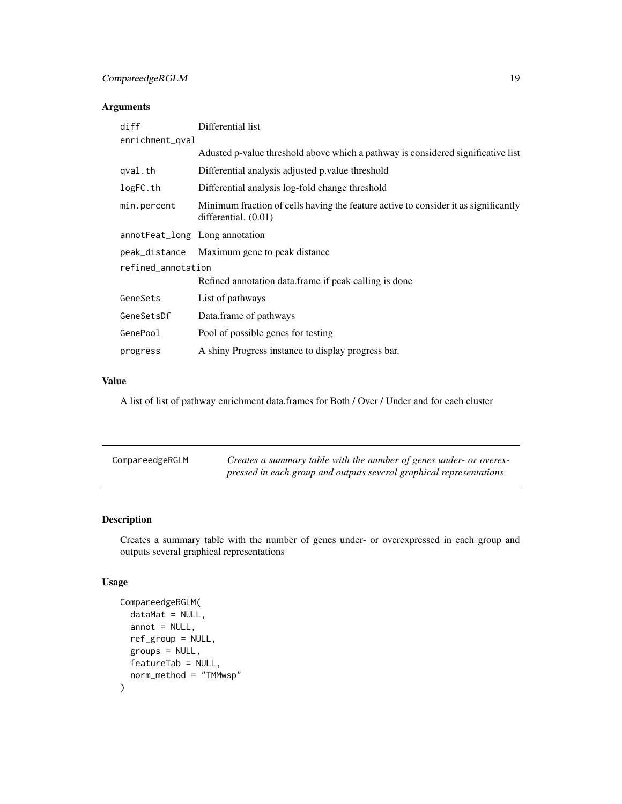# <span id="page-18-0"></span>CompareedgeRGLM 19

# Arguments

| diff                            | Differential list                                                                                             |  |
|---------------------------------|---------------------------------------------------------------------------------------------------------------|--|
| enrichment_qval                 |                                                                                                               |  |
|                                 | Adusted p-value threshold above which a pathway is considered significative list                              |  |
| qval.th                         | Differential analysis adjusted p. value threshold                                                             |  |
| logFC.th                        | Differential analysis log-fold change threshold                                                               |  |
| min.percent                     | Minimum fraction of cells having the feature active to consider it as significantly<br>differential. $(0.01)$ |  |
| annot Feat_long Long annotation |                                                                                                               |  |
|                                 | peak_distance Maximum gene to peak distance                                                                   |  |
| refined annotation              |                                                                                                               |  |
|                                 | Refined annotation data. frame if peak calling is done                                                        |  |
| GeneSets                        | List of pathways                                                                                              |  |
| GeneSetsDf                      | Data.frame of pathways                                                                                        |  |
| GenePool                        | Pool of possible genes for testing                                                                            |  |
| progress                        | A shiny Progress instance to display progress bar.                                                            |  |

# Value

A list of list of pathway enrichment data.frames for Both / Over / Under and for each cluster

| CompareedgeRGLM | Creates a summary table with the number of genes under- or overex-  |
|-----------------|---------------------------------------------------------------------|
|                 | pressed in each group and outputs several graphical representations |

# Description

Creates a summary table with the number of genes under- or overexpressed in each group and outputs several graphical representations

# Usage

```
CompareedgeRGLM(
  dataMat = NULL,
  annot = NULL,ref_group = NULL,
 groups = NULL,
 featureTab = NULL,
  norm_method = "TMMwsp"
\mathcal{E}
```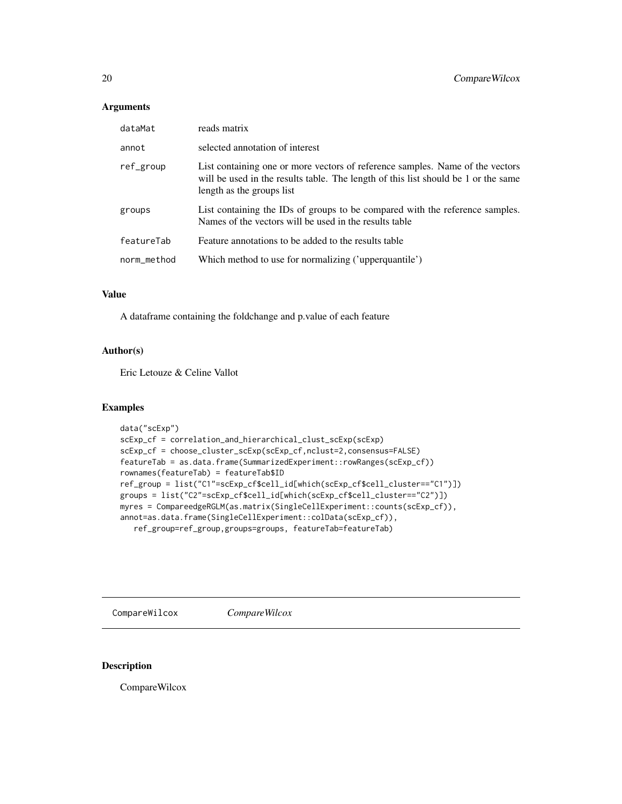#### <span id="page-19-0"></span>Arguments

| dataMat     | reads matrix                                                                                                                                                                                     |
|-------------|--------------------------------------------------------------------------------------------------------------------------------------------------------------------------------------------------|
| annot       | selected annotation of interest                                                                                                                                                                  |
| ref_group   | List containing one or more vectors of reference samples. Name of the vectors<br>will be used in the results table. The length of this list should be 1 or the same<br>length as the groups list |
| groups      | List containing the IDs of groups to be compared with the reference samples.<br>Names of the vectors will be used in the results table                                                           |
| featureTab  | Feature annotations to be added to the results table                                                                                                                                             |
| norm method | Which method to use for normalizing ('upperquantile')                                                                                                                                            |

#### Value

A dataframe containing the foldchange and p.value of each feature

#### Author(s)

Eric Letouze & Celine Vallot

# Examples

```
data("scExp")
scExp_cf = correlation_and_hierarchical_clust_scExp(scExp)
scExp_cf = choose_cluster_scExp(scExp_cf,nclust=2,consensus=FALSE)
featureTab = as.data.frame(SummarizedExperiment::rowRanges(scExp_cf))
rownames(featureTab) = featureTab$ID
ref_group = list("C1"=scExp_cf$cell_id[which(scExp_cf$cell_cluster=="C1")])
groups = list("C2"=scExp_cf$cell_id[which(scExp_cf$cell_cluster=="C2")])
myres = CompareedgeRGLM(as.matrix(SingleCellExperiment::counts(scExp_cf)),
annot=as.data.frame(SingleCellExperiment::colData(scExp_cf)),
   ref_group=ref_group,groups=groups, featureTab=featureTab)
```
CompareWilcox *CompareWilcox*

# Description

CompareWilcox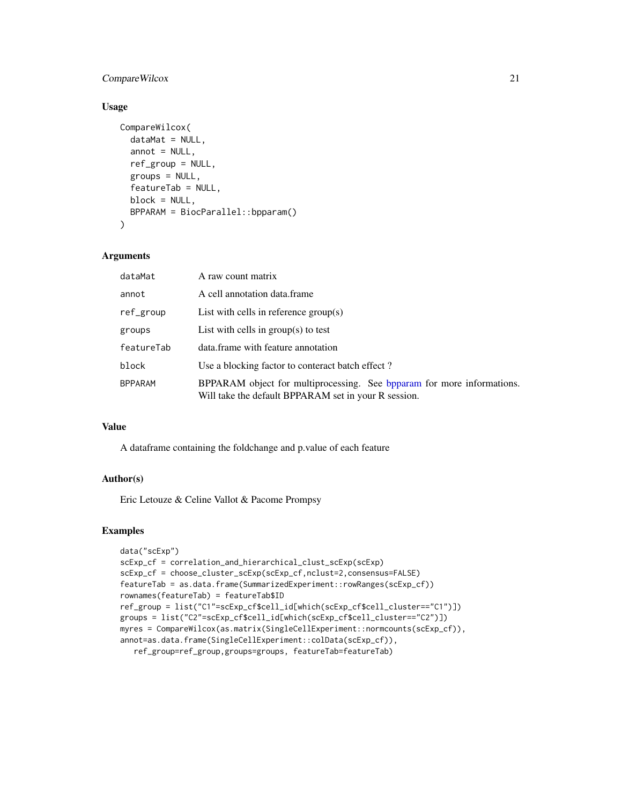# CompareWilcox 21

#### Usage

```
CompareWilcox(
  dataMat = NULL,
  annot = NULL,ref_group = NULL,
  groups = NULL,
  featureTab = NULL,
 block = NULL,
  BPPARAM = BiocParallel::bpparam()
)
```
# Arguments

| dataMat        | A raw count matrix                                                                                                             |
|----------------|--------------------------------------------------------------------------------------------------------------------------------|
| annot          | A cell annotation data frame                                                                                                   |
| ref_group      | List with cells in reference $group(s)$                                                                                        |
| groups         | List with cells in $group(s)$ to test                                                                                          |
| featureTab     | data. frame with feature annotation                                                                                            |
| block          | Use a blocking factor to conteract batch effect?                                                                               |
| <b>BPPARAM</b> | BPPARAM object for multiprocessing. See bpparam for more informations.<br>Will take the default BPPARAM set in your R session. |

# Value

A dataframe containing the foldchange and p.value of each feature

#### Author(s)

Eric Letouze & Celine Vallot & Pacome Prompsy

```
data("scExp")
scExp_cf = correlation_and_hierarchical_clust_scExp(scExp)
scExp_cf = choose_cluster_scExp(scExp_cf,nclust=2,consensus=FALSE)
featureTab = as.data.frame(SummarizedExperiment::rowRanges(scExp_cf))
rownames(featureTab) = featureTab$ID
ref_group = list("C1"=scExp_cf$cell_id[which(scExp_cf$cell_cluster=="C1")])
groups = list("C2"=scExp_cf$cell_id[which(scExp_cf$cell_cluster=="C2")])
myres = CompareWilcox(as.matrix(SingleCellExperiment::normcounts(scExp_cf)),
annot=as.data.frame(SingleCellExperiment::colData(scExp_cf)),
  ref_group=ref_group,groups=groups, featureTab=featureTab)
```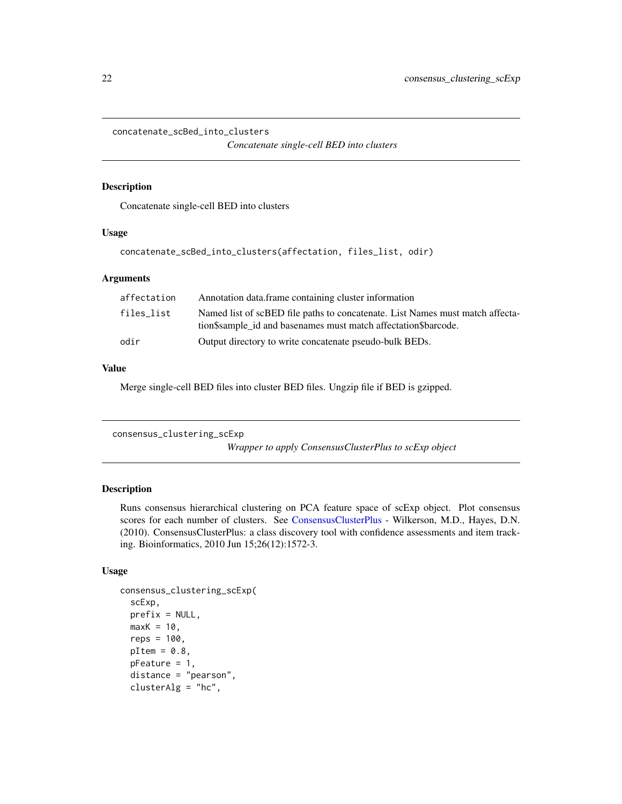<span id="page-21-0"></span>concatenate\_scBed\_into\_clusters

*Concatenate single-cell BED into clusters*

#### Description

Concatenate single-cell BED into clusters

#### Usage

```
concatenate_scBed_into_clusters(affectation, files_list, odir)
```
# Arguments

| affectation | Annotation data. frame containing cluster information                                                                                           |
|-------------|-------------------------------------------------------------------------------------------------------------------------------------------------|
| files_list  | Named list of scBED file paths to concatenate. List Names must match affecta-<br>tion\$sample id and basenames must match affectation\$barcode. |
| odir        | Output directory to write concatenate pseudo-bulk BEDs.                                                                                         |

# Value

Merge single-cell BED files into cluster BED files. Ungzip file if BED is gzipped.

consensus\_clustering\_scExp *Wrapper to apply ConsensusClusterPlus to scExp object*

# Description

Runs consensus hierarchical clustering on PCA feature space of scExp object. Plot consensus scores for each number of clusters. See [ConsensusClusterPlus](#page-0-0) - Wilkerson, M.D., Hayes, D.N. (2010). ConsensusClusterPlus: a class discovery tool with confidence assessments and item tracking. Bioinformatics, 2010 Jun 15;26(12):1572-3.

#### Usage

```
consensus_clustering_scExp(
  scExp,
 prefix = NULL,
 maxK = 10,
  reps = 100,
  pItem = 0.8,
  pFeature = 1,
  distance = "pearson",
  clusterAlg = "hc",
```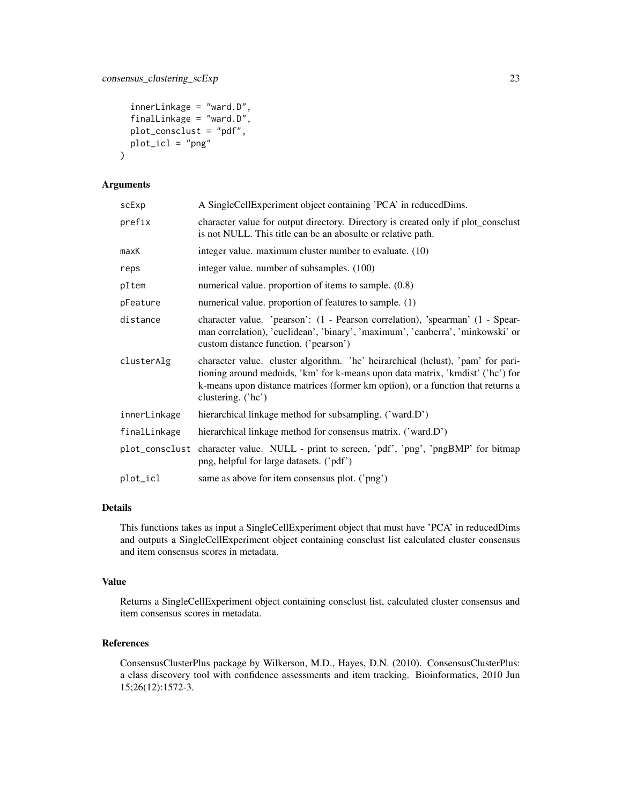```
innerLinkage = "ward.D",
  finalLinkage = "ward.D",
  plot_consclust = "pdf",
 plot_icl = "png"
\mathcal{E}
```
# Arguments

| scExp        | A SingleCellExperiment object containing 'PCA' in reducedDims.                                                                                                                                                                                                             |
|--------------|----------------------------------------------------------------------------------------------------------------------------------------------------------------------------------------------------------------------------------------------------------------------------|
| prefix       | character value for output directory. Directory is created only if plot_consclust<br>is not NULL. This title can be an abosulte or relative path.                                                                                                                          |
| maxK         | integer value. maximum cluster number to evaluate. (10)                                                                                                                                                                                                                    |
| reps         | integer value. number of subsamples. (100)                                                                                                                                                                                                                                 |
| pItem        | numerical value. proportion of items to sample. (0.8)                                                                                                                                                                                                                      |
| pFeature     | numerical value. proportion of features to sample. (1)                                                                                                                                                                                                                     |
| distance     | character value. 'pearson': (1 - Pearson correlation), 'spearman' (1 - Spear-<br>man correlation), 'euclidean', 'binary', 'maximum', 'canberra', 'minkowski' or<br>custom distance function. ('pearson')                                                                   |
| clusterAlg   | character value. cluster algorithm. 'hc' heirarchical (hclust), 'pam' for pari-<br>tioning around medoids, 'km' for k-means upon data matrix, 'kmdist' ('hc') for<br>k-means upon distance matrices (former km option), or a function that returns a<br>clustering. ('hc') |
| innerLinkage | hierarchical linkage method for subsampling. ('ward.D')                                                                                                                                                                                                                    |
| finalLinkage | hierarchical linkage method for consensus matrix. ('ward.D')                                                                                                                                                                                                               |
|              | plot_consclust character value. NULL - print to screen, 'pdf', 'png', 'pngBMP' for bitmap<br>png, helpful for large datasets. ('pdf')                                                                                                                                      |
| plot_icl     | same as above for item consensus plot. ('png')                                                                                                                                                                                                                             |

#### Details

This functions takes as input a SingleCellExperiment object that must have 'PCA' in reducedDims and outputs a SingleCellExperiment object containing consclust list calculated cluster consensus and item consensus scores in metadata.

#### Value

Returns a SingleCellExperiment object containing consclust list, calculated cluster consensus and item consensus scores in metadata.

#### References

ConsensusClusterPlus package by Wilkerson, M.D., Hayes, D.N. (2010). ConsensusClusterPlus: a class discovery tool with confidence assessments and item tracking. Bioinformatics, 2010 Jun 15;26(12):1572-3.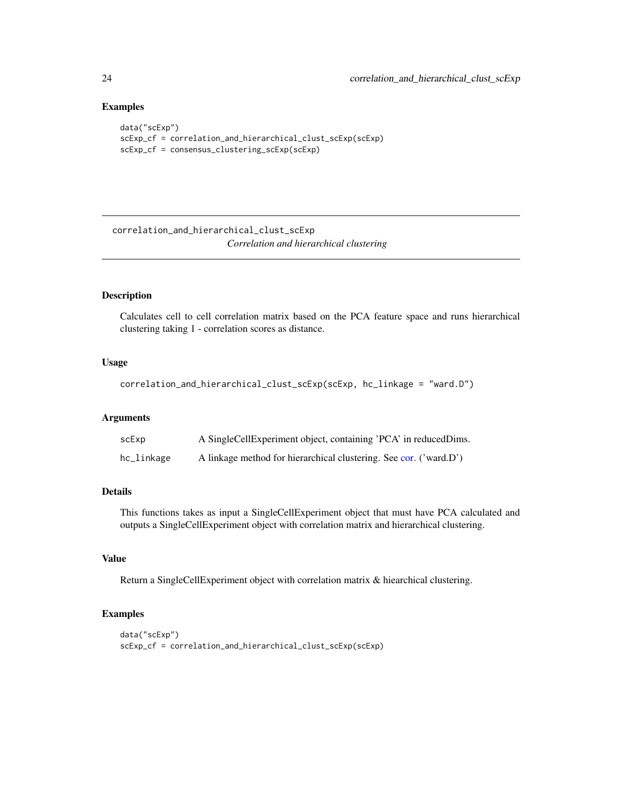#### Examples

```
data("scExp")
scExp_cf = correlation_and_hierarchical_clust_scExp(scExp)
scExp_cf = consensus_clustering_scExp(scExp)
```
correlation\_and\_hierarchical\_clust\_scExp *Correlation and hierarchical clustering*

# Description

Calculates cell to cell correlation matrix based on the PCA feature space and runs hierarchical clustering taking 1 - correlation scores as distance.

# Usage

```
correlation_and_hierarchical_clust_scExp(scExp, hc_linkage = "ward.D")
```
#### Arguments

| scExp      | A SingleCellExperiment object, containing 'PCA' in reducedDims.   |
|------------|-------------------------------------------------------------------|
| hc_linkage | A linkage method for hierarchical clustering. See cor. ('ward.D') |

# Details

This functions takes as input a SingleCellExperiment object that must have PCA calculated and outputs a SingleCellExperiment object with correlation matrix and hierarchical clustering.

# Value

Return a SingleCellExperiment object with correlation matrix & hiearchical clustering.

```
data("scExp")
scExp_cf = correlation_and_hierarchical_clust_scExp(scExp)
```
<span id="page-23-0"></span>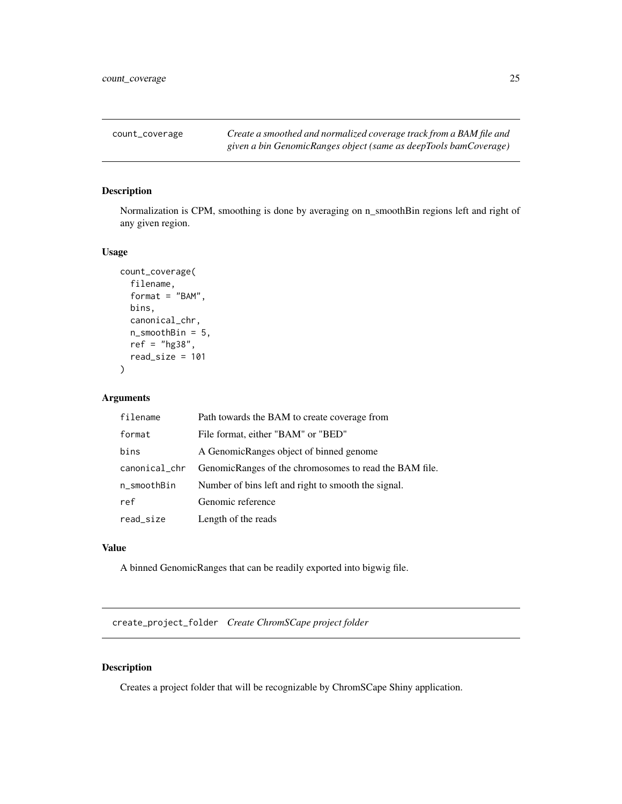<span id="page-24-0"></span>count\_coverage *Create a smoothed and normalized coverage track from a BAM file and given a bin GenomicRanges object (same as deepTools bamCoverage)*

# Description

Normalization is CPM, smoothing is done by averaging on n\_smoothBin regions left and right of any given region.

# Usage

```
count_coverage(
  filename,
  format = "BAM",
 bins,
  canonical_chr,
  n_smoothBin = 5,
 ref = "hg38",
  read_size = 101
)
```
#### Arguments

| filename      | Path towards the BAM to create coverage from           |
|---------------|--------------------------------------------------------|
| format        | File format, either "BAM" or "BED"                     |
| bins          | A Genomic Ranges object of binned genome               |
| canonical_chr | GenomicRanges of the chromosomes to read the BAM file. |
| n_smoothBin   | Number of bins left and right to smooth the signal.    |
| ref           | Genomic reference                                      |
| read_size     | Length of the reads                                    |

# Value

A binned GenomicRanges that can be readily exported into bigwig file.

create\_project\_folder *Create ChromSCape project folder*

#### Description

Creates a project folder that will be recognizable by ChromSCape Shiny application.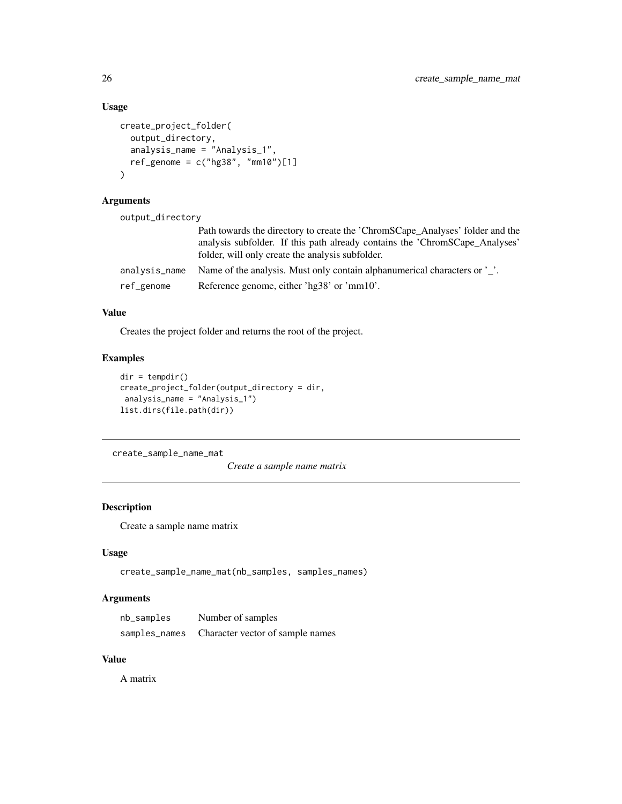#### Usage

```
create_project_folder(
  output_directory,
  analysis_name = "Analysis_1",
  ref_genome = c("hg38", "mm10")[1]
\mathcal{L}
```
# Arguments

| output_directory |                                                                                                                                                                                                                  |
|------------------|------------------------------------------------------------------------------------------------------------------------------------------------------------------------------------------------------------------|
|                  | Path towards the directory to create the 'ChromSCape_Analyses' folder and the<br>analysis subfolder. If this path already contains the 'ChromSCape_Analyses'<br>folder, will only create the analysis subfolder. |
| analysis_name    | Name of the analysis. Must only contain alphanumerical characters or $\cdot$ .                                                                                                                                   |
| ref_genome       | Reference genome, either 'hg38' or 'mm10'.                                                                                                                                                                       |

# Value

Creates the project folder and returns the root of the project.

# Examples

```
dir = tempdir()create_project_folder(output_directory = dir,
analysis_name = "Analysis_1")
list.dirs(file.path(dir))
```
create\_sample\_name\_mat

*Create a sample name matrix*

# Description

Create a sample name matrix

# Usage

```
create_sample_name_mat(nb_samples, samples_names)
```
# Arguments

| nb_samples    | Number of samples                |
|---------------|----------------------------------|
| samples_names | Character vector of sample names |

# Value

A matrix

<span id="page-25-0"></span>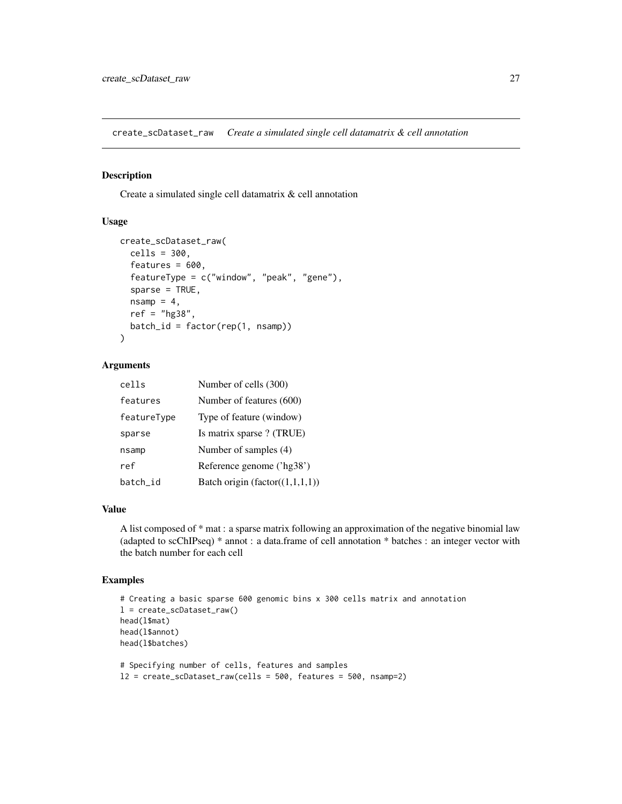<span id="page-26-0"></span>create\_scDataset\_raw *Create a simulated single cell datamatrix & cell annotation*

#### Description

Create a simulated single cell datamatrix & cell annotation

#### Usage

```
create_scDataset_raw(
  cells = 300,
  features = 600,
  featureType = c("window", "peak", "gene"),
  sparse = TRUE,
  nsamp = 4,
  ref = "hg38",
  batch_id = factor(rep(1, nsamp))\lambda
```
#### Arguments

| cells       | Number of cells (300)               |
|-------------|-------------------------------------|
| features    | Number of features (600)            |
| featureType | Type of feature (window)            |
| sparse      | Is matrix sparse ? (TRUE)           |
| nsamp       | Number of samples (4)               |
| ref         | Reference genome ('hg38')           |
| batch_id    | Batch origin (factor( $(1,1,1,1)$ ) |

#### Value

A list composed of \* mat : a sparse matrix following an approximation of the negative binomial law (adapted to scChIPseq) \* annot : a data.frame of cell annotation \* batches : an integer vector with the batch number for each cell

```
# Creating a basic sparse 600 genomic bins x 300 cells matrix and annotation
l = create_scDataset_raw()
head(l$mat)
head(l$annot)
head(l$batches)
# Specifying number of cells, features and samples
12 = \text{create\_sclataset\_raw(cells = 500, features = 500, nsamp=2)}
```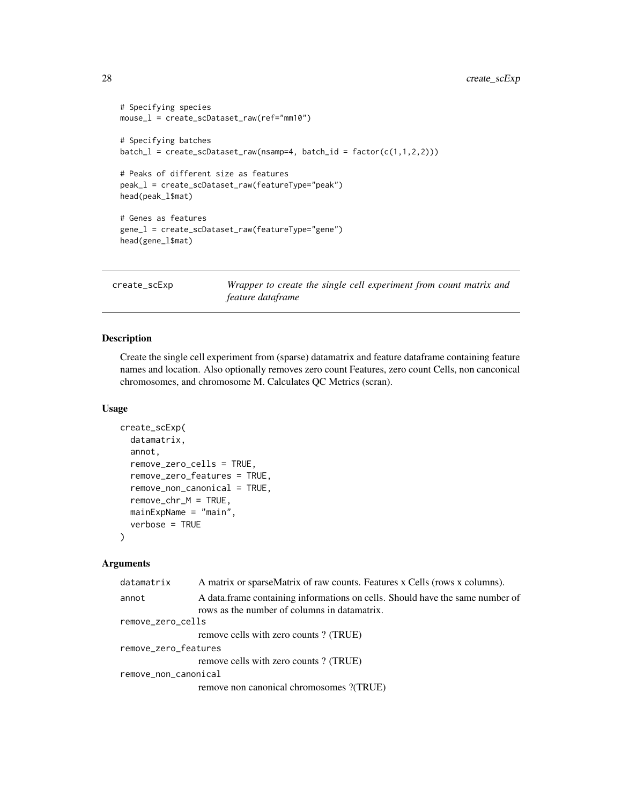```
# Specifying species
mouse_l = create_scDataset_raw(ref="mm10")
# Specifying batches
batch_l = create_scDatabase_lraw(nsample4, batch_id = factor(c(1,1,2,2)))# Peaks of different size as features
peak_l = create_scDataset_raw(featureType="peak")
head(peak_l$mat)
# Genes as features
gene_l = create_scDataset_raw(featureType="gene")
head(gene_l$mat)
```
create\_scExp *Wrapper to create the single cell experiment from count matrix and feature dataframe*

#### Description

Create the single cell experiment from (sparse) datamatrix and feature dataframe containing feature names and location. Also optionally removes zero count Features, zero count Cells, non canconical chromosomes, and chromosome M. Calculates QC Metrics (scran).

#### Usage

```
create_scExp(
  datamatrix,
  annot,
  remove_zero_cells = TRUE,
  remove_zero_features = TRUE,
  remove_non_canonical = TRUE,
  remove_chr_M = TRUE,
  mainExpName = "main",
  verbose = TRUE
)
```
# Arguments

| datamatrix           | A matrix or sparseMatrix of raw counts. Features x Cells (rows x columns).    |
|----------------------|-------------------------------------------------------------------------------|
| annot                | A data frame containing informations on cells. Should have the same number of |
|                      | rows as the number of columns in datamatrix.                                  |
| remove_zero_cells    |                                                                               |
|                      | remove cells with zero counts? (TRUE)                                         |
| remove_zero_features |                                                                               |
|                      | remove cells with zero counts? (TRUE)                                         |
| remove_non_canonical |                                                                               |
|                      | remove non canonical chromosomes ?(TRUE)                                      |

<span id="page-27-0"></span>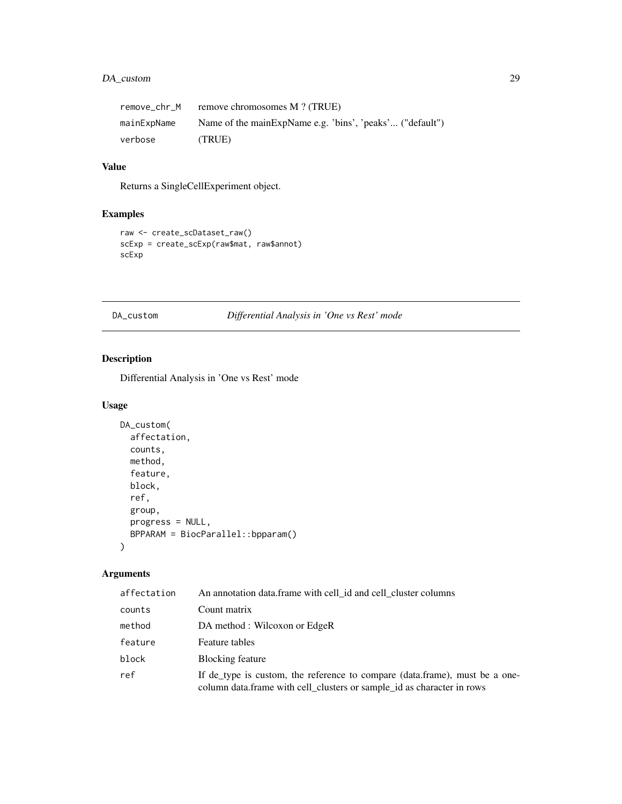# <span id="page-28-0"></span>DA\_custom 29

| remove chr M | remove chromosomes M ? (TRUE)                            |
|--------------|----------------------------------------------------------|
| mainExpName  | Name of the mainExpName e.g. 'bins', 'peaks' ("default") |
| verbose      | (TRUE)                                                   |

# Value

Returns a SingleCellExperiment object.

# Examples

```
raw <- create_scDataset_raw()
scExp = create_scExp(raw$mat, raw$annot)
scExp
```
DA\_custom *Differential Analysis in 'One vs Rest' mode*

# Description

Differential Analysis in 'One vs Rest' mode

# Usage

```
DA_custom(
  affectation,
  counts,
  method,
  feature,
  block,
  ref,
  group,
  progress = NULL,
  BPPARAM = BiocParallel::bpparam()
\mathcal{E}
```
# Arguments

| affectation | An annotation data.frame with cell_id and cell_cluster columns                                                                                        |
|-------------|-------------------------------------------------------------------------------------------------------------------------------------------------------|
| counts      | Count matrix                                                                                                                                          |
| method      | DA method : Wilcoxon or EdgeR                                                                                                                         |
| feature     | Feature tables                                                                                                                                        |
| block       | Blocking feature                                                                                                                                      |
| ref         | If de type is custom, the reference to compare (data.frame), must be a one-<br>column data.frame with cell_clusters or sample_id as character in rows |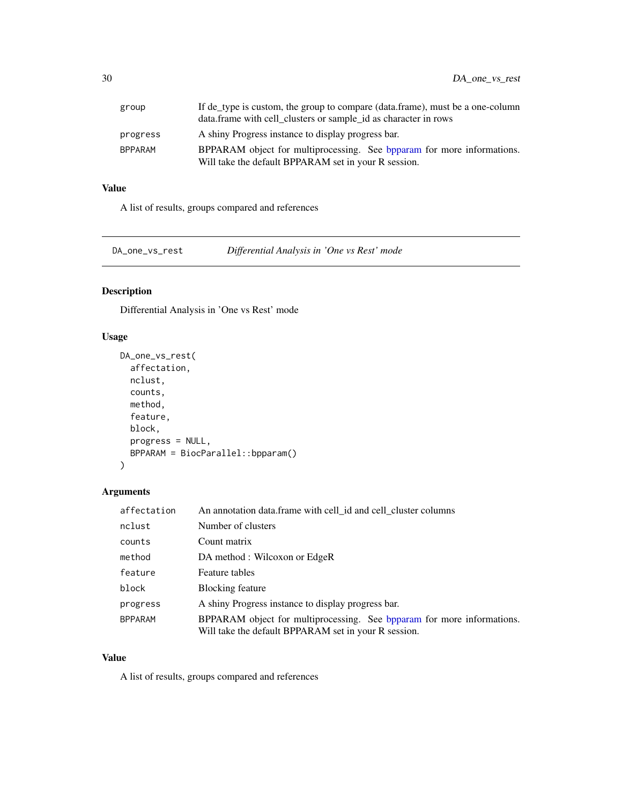<span id="page-29-0"></span>

| group          | If de_type is custom, the group to compare (data.frame), must be a one-column<br>data.frame with cell_clusters or sample_id as character in rows |
|----------------|--------------------------------------------------------------------------------------------------------------------------------------------------|
| progress       | A shiny Progress instance to display progress bar.                                                                                               |
| <b>BPPARAM</b> | BPPARAM object for multiprocessing. See bpparam for more informations.                                                                           |
|                | Will take the default BPPARAM set in your R session.                                                                                             |

# Value

A list of results, groups compared and references

DA\_one\_vs\_rest *Differential Analysis in 'One vs Rest' mode*

# Description

Differential Analysis in 'One vs Rest' mode

#### Usage

```
DA_one_vs_rest(
 affectation,
 nclust,
 counts,
 method,
 feature,
 block,
 progress = NULL,
 BPPARAM = BiocParallel::bpparam()
\mathcal{L}
```
# Arguments

| affectation    | An annotation data.frame with cell id and cell cluster columns                                                                 |
|----------------|--------------------------------------------------------------------------------------------------------------------------------|
| nclust         | Number of clusters                                                                                                             |
| counts         | Count matrix                                                                                                                   |
| method         | DA method : Wilcoxon or EdgeR                                                                                                  |
| feature        | Feature tables                                                                                                                 |
| block          | <b>Blocking feature</b>                                                                                                        |
| progress       | A shiny Progress instance to display progress bar.                                                                             |
| <b>BPPARAM</b> | BPPARAM object for multiprocessing. See bpparam for more informations.<br>Will take the default BPPARAM set in your R session. |

# Value

A list of results, groups compared and references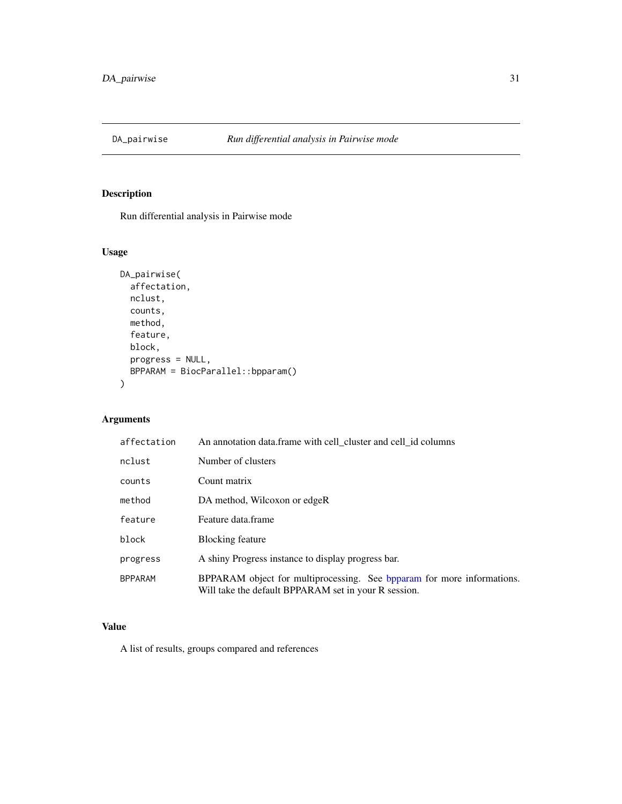<span id="page-30-0"></span>

# Description

Run differential analysis in Pairwise mode

# Usage

```
DA_pairwise(
  affectation,
  nclust,
  counts,
  method,
  feature,
  block,
  progress = NULL,
  BPPARAM = BiocParallel::bpparam()
)
```
# Arguments

| affectation    | An annotation data.frame with cell_cluster and cell_id columns                                                                 |
|----------------|--------------------------------------------------------------------------------------------------------------------------------|
| nclust         | Number of clusters                                                                                                             |
| counts         | Count matrix                                                                                                                   |
| method         | DA method, Wilcoxon or edgeR                                                                                                   |
| feature        | Feature data.frame                                                                                                             |
| block          | <b>Blocking feature</b>                                                                                                        |
| progress       | A shiny Progress instance to display progress bar.                                                                             |
| <b>BPPARAM</b> | BPPARAM object for multiprocessing. See bpparam for more informations.<br>Will take the default BPPARAM set in your R session. |

# Value

A list of results, groups compared and references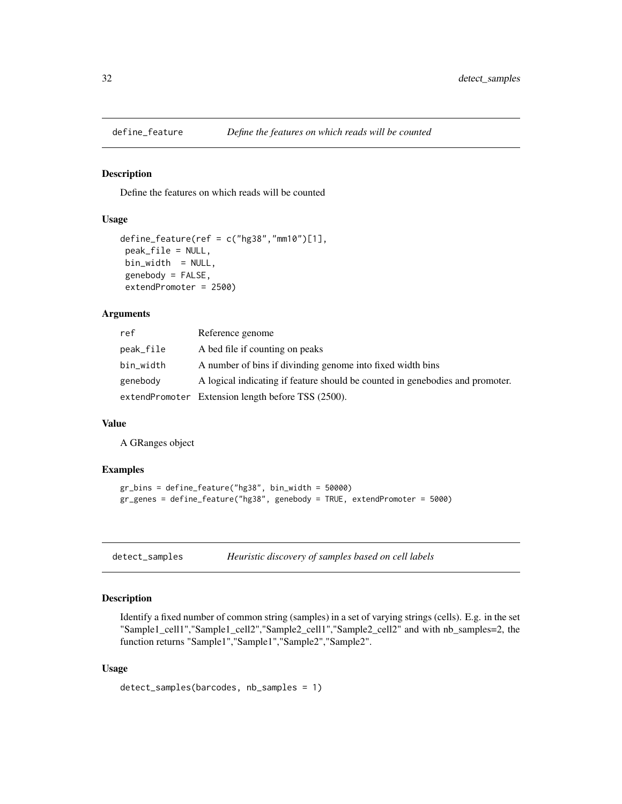<span id="page-31-0"></span>

#### Description

Define the features on which reads will be counted

#### Usage

```
define_feature(ref = c("hg38", "mm10")[1],peak_file = NULL,
bin_width = NULL,
genebody = FALSE,
extendPromoter = 2500)
```
# Arguments

| ref       | Reference genome                                                              |
|-----------|-------------------------------------------------------------------------------|
| peak_file | A bed file if counting on peaks                                               |
| bin_width | A number of bins if divinding genome into fixed width bins                    |
| genebody  | A logical indicating if feature should be counted in genebodies and promoter. |
|           | extendPromoter Extension length before TSS (2500).                            |

#### Value

A GRanges object

# Examples

```
gr_bins = define_feature("hg38", bin_width = 50000)
gr_genes = define_feature("hg38", genebody = TRUE, extendPromoter = 5000)
```
detect\_samples *Heuristic discovery of samples based on cell labels*

# Description

Identify a fixed number of common string (samples) in a set of varying strings (cells). E.g. in the set "Sample1\_cell1","Sample1\_cell2","Sample2\_cell1","Sample2\_cell2" and with nb\_samples=2, the function returns "Sample1","Sample1","Sample2","Sample2".

#### Usage

```
detect_samples(barcodes, nb_samples = 1)
```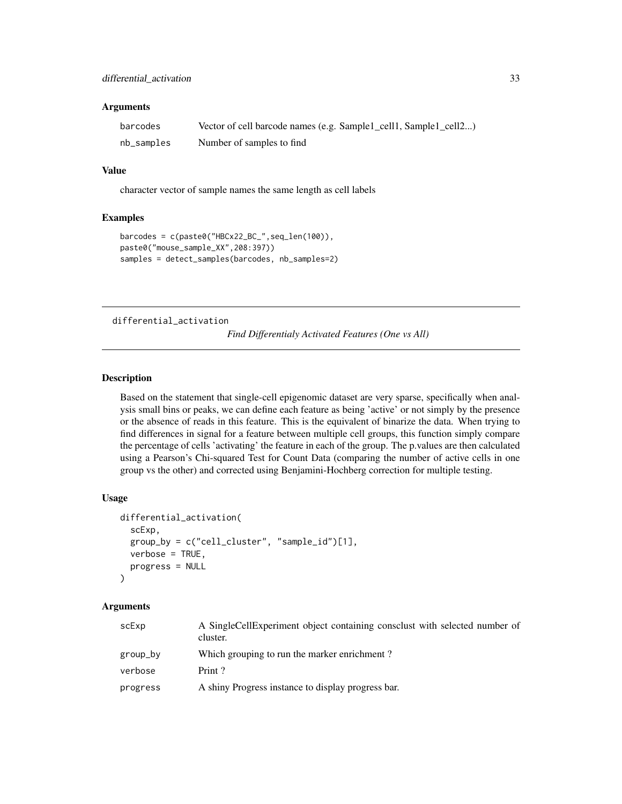#### <span id="page-32-0"></span>**Arguments**

| barcodes   | Vector of cell barcode names (e.g. Sample1_cell1, Sample1_cell2) |
|------------|------------------------------------------------------------------|
| nb_samples | Number of samples to find                                        |

#### Value

character vector of sample names the same length as cell labels

# Examples

```
barcodes = c(paste0("HBCx22_BC_",seq_len(100)),
paste0("mouse_sample_XX",208:397))
samples = detect_samples(barcodes, nb_samples=2)
```
differential\_activation

*Find Differentialy Activated Features (One vs All)*

#### Description

Based on the statement that single-cell epigenomic dataset are very sparse, specifically when analysis small bins or peaks, we can define each feature as being 'active' or not simply by the presence or the absence of reads in this feature. This is the equivalent of binarize the data. When trying to find differences in signal for a feature between multiple cell groups, this function simply compare the percentage of cells 'activating' the feature in each of the group. The p.values are then calculated using a Pearson's Chi-squared Test for Count Data (comparing the number of active cells in one group vs the other) and corrected using Benjamini-Hochberg correction for multiple testing.

#### Usage

```
differential_activation(
  scExp,
  group_by = c("cell_cluster", "sample_id")[1],
  verbose = TRUE,
 progress = NULL
)
```
#### **Arguments**

| scExp    | A SingleCellExperiment object containing consclust with selected number of<br>cluster. |
|----------|----------------------------------------------------------------------------------------|
| group_by | Which grouping to run the marker enrichment?                                           |
| verbose  | Print?                                                                                 |
| progress | A shiny Progress instance to display progress bar.                                     |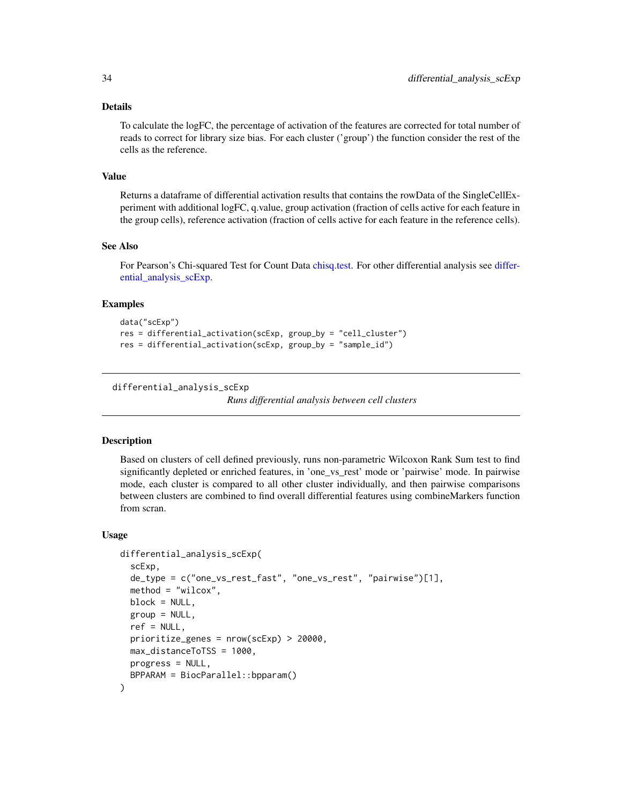#### <span id="page-33-0"></span>Details

To calculate the logFC, the percentage of activation of the features are corrected for total number of reads to correct for library size bias. For each cluster ('group') the function consider the rest of the cells as the reference.

#### Value

Returns a dataframe of differential activation results that contains the rowData of the SingleCellExperiment with additional logFC, q.value, group activation (fraction of cells active for each feature in the group cells), reference activation (fraction of cells active for each feature in the reference cells).

#### See Also

For Pearson's Chi-squared Test for Count Data [chisq.test.](#page-0-0) For other differential analysis see [differ](#page-33-1)[ential\\_analysis\\_scExp.](#page-33-1)

#### Examples

```
data("scExp")
res = differential_activation(scExp, group_by = "cell_cluster")
res = differential_activation(scExp, group_by = "sample_id")
```
<span id="page-33-1"></span>differential\_analysis\_scExp

*Runs differential analysis between cell clusters*

#### Description

Based on clusters of cell defined previously, runs non-parametric Wilcoxon Rank Sum test to find significantly depleted or enriched features, in 'one\_vs\_rest' mode or 'pairwise' mode. In pairwise mode, each cluster is compared to all other cluster individually, and then pairwise comparisons between clusters are combined to find overall differential features using combineMarkers function from scran.

#### Usage

```
differential_analysis_scExp(
  scExp,
  de_type = c("one_vs_rest_fast", "one_vs_rest", "pairwise")[1],
 method = "wilcox",
 block = NULL,group = NULL,
  ref = NULL,prioritize_genes = nrow(scExp) > 20000,
 max_distanceToTSS = 1000,
 progress = NULL,
 BPPARAM = BiocParallel::bpparam()
)
```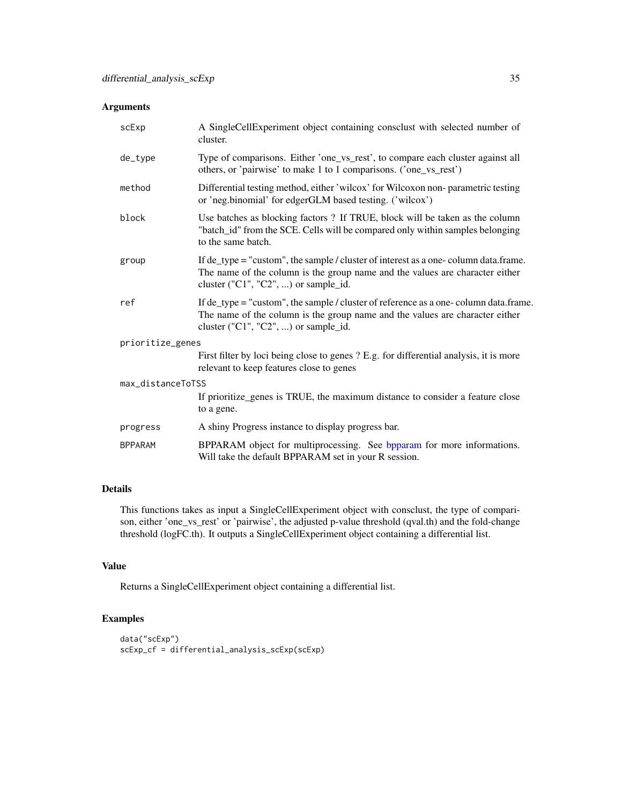#### Arguments

| scExp             | A SingleCellExperiment object containing consclust with selected number of<br>cluster.                                                                                                                        |  |
|-------------------|---------------------------------------------------------------------------------------------------------------------------------------------------------------------------------------------------------------|--|
| de_type           | Type of comparisons. Either 'one_vs_rest', to compare each cluster against all<br>others, or 'pairwise' to make 1 to 1 comparisons. ('one_vs_rest')                                                           |  |
| method            | Differential testing method, either 'wilcox' for Wilcoxon non-parametric testing<br>or 'neg.binomial' for edgerGLM based testing. ('wilcox')                                                                  |  |
| block             | Use batches as blocking factors ? If TRUE, block will be taken as the column<br>"batch_id" from the SCE. Cells will be compared only within samples belonging<br>to the same batch.                           |  |
| group             | If $de_type = "custom", the sample / cluster of interest as a one-column data frame.$<br>The name of the column is the group name and the values are character either<br>cluster ("C1", "C2", ) or sample_id. |  |
| ref               | If de_type = "custom", the sample / cluster of reference as a one- column data.frame.<br>The name of the column is the group name and the values are character either<br>cluster ("C1", "C2", ) or sample_id. |  |
| prioritize_genes  |                                                                                                                                                                                                               |  |
|                   | First filter by loci being close to genes? E.g. for differential analysis, it is more<br>relevant to keep features close to genes                                                                             |  |
| max_distanceToTSS |                                                                                                                                                                                                               |  |
|                   | If prioritize_genes is TRUE, the maximum distance to consider a feature close<br>to a gene.                                                                                                                   |  |
| progress          | A shiny Progress instance to display progress bar.                                                                                                                                                            |  |
| <b>BPPARAM</b>    | BPPARAM object for multiprocessing. See bpparam for more informations.<br>Will take the default BPPARAM set in your R session.                                                                                |  |

# Details

This functions takes as input a SingleCellExperiment object with consclust, the type of comparison, either 'one\_vs\_rest' or 'pairwise', the adjusted p-value threshold (qval.th) and the fold-change threshold (logFC.th). It outputs a SingleCellExperiment object containing a differential list.

#### Value

Returns a SingleCellExperiment object containing a differential list.

```
data("scExp")
scExp_cf = differential_analysis_scExp(scExp)
```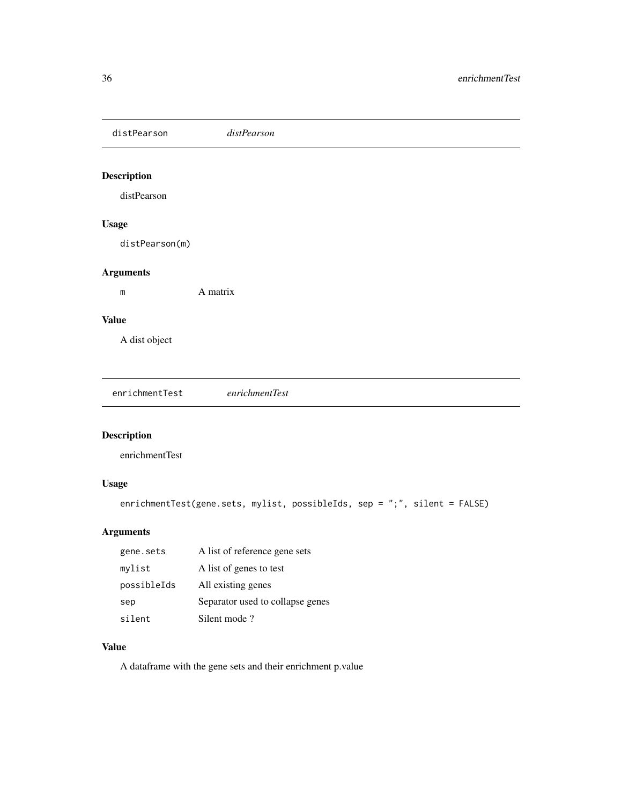<span id="page-35-0"></span>distPearson *distPearson*

# Description

distPearson

# Usage

distPearson(m)

# Arguments

m A matrix

# Value

A dist object

enrichmentTest *enrichmentTest*

# Description

enrichmentTest

# Usage

```
enrichmentTest(gene.sets, mylist, possibleIds, sep = ";", silent = FALSE)
```
# Arguments

| gene.sets   | A list of reference gene sets    |
|-------------|----------------------------------|
| mylist      | A list of genes to test          |
| possibleIds | All existing genes               |
| sep         | Separator used to collapse genes |
| silent      | Silent mode?                     |

#### Value

A dataframe with the gene sets and their enrichment p.value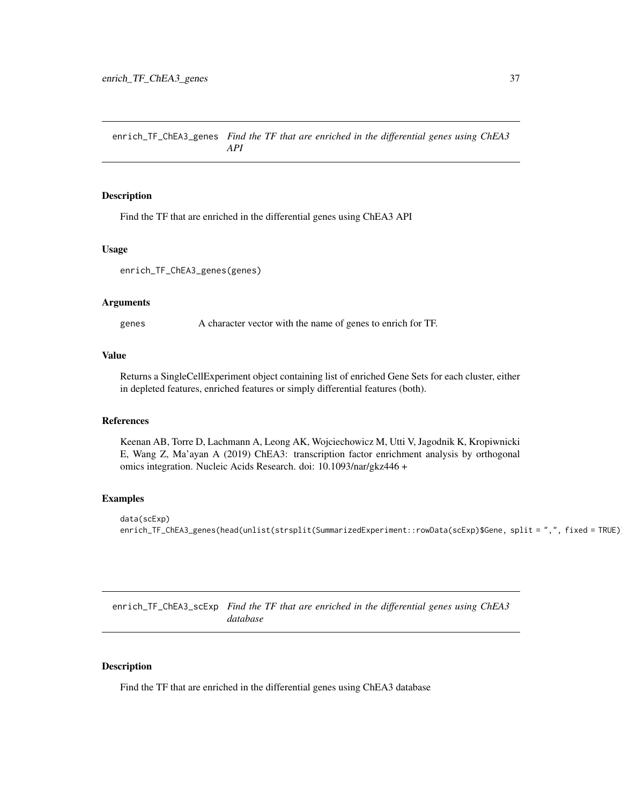enrich\_TF\_ChEA3\_genes *Find the TF that are enriched in the differential genes using ChEA3 API*

#### Description

Find the TF that are enriched in the differential genes using ChEA3 API

#### Usage

enrich\_TF\_ChEA3\_genes(genes)

#### Arguments

genes A character vector with the name of genes to enrich for TF.

#### Value

Returns a SingleCellExperiment object containing list of enriched Gene Sets for each cluster, either in depleted features, enriched features or simply differential features (both).

#### References

Keenan AB, Torre D, Lachmann A, Leong AK, Wojciechowicz M, Utti V, Jagodnik K, Kropiwnicki E, Wang Z, Ma'ayan A (2019) ChEA3: transcription factor enrichment analysis by orthogonal omics integration. Nucleic Acids Research. doi: 10.1093/nar/gkz446 +

#### Examples

```
data(scExp)
enrich_TF_ChEA3_genes(head(unlist(strsplit(SummarizedExperiment::rowData(scExp)$Gene, split = ",", fixed = TRUE)
```
enrich\_TF\_ChEA3\_scExp *Find the TF that are enriched in the differential genes using ChEA3 database*

#### Description

Find the TF that are enriched in the differential genes using ChEA3 database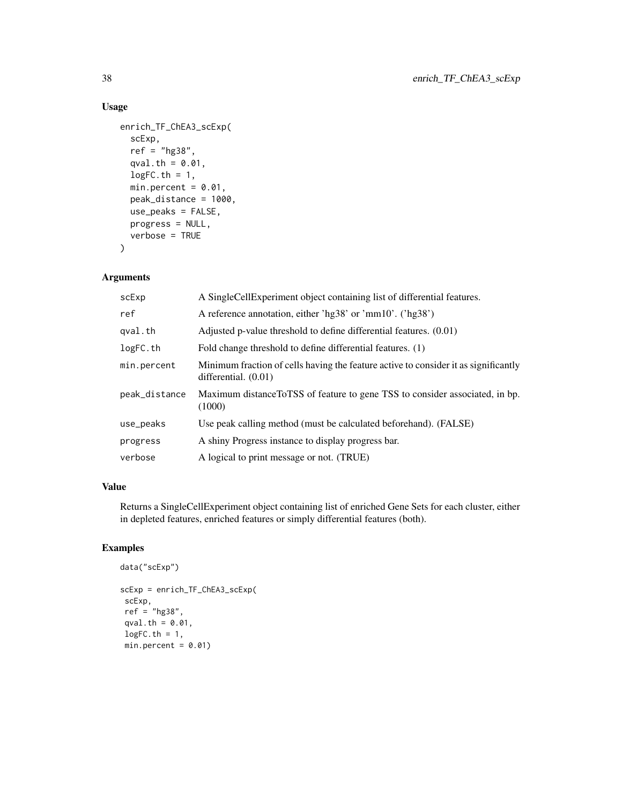# Usage

```
enrich_TF_ChEA3_scExp(
  scExp,
  ref = "hg38",
  qval.th = 0.01,
  logFC.th = 1,min.percent = 0.01,
 peak_distance = 1000,
  use_peaks = FALSE,
 progress = NULL,
  verbose = TRUE
\mathcal{L}
```
# Arguments

| scExp         | A Single Cell Experiment object containing list of differential features.                                     |
|---------------|---------------------------------------------------------------------------------------------------------------|
| ref           | A reference annotation, either 'hg38' or 'mm10'. ('hg38')                                                     |
| qval.th       | Adjusted p-value threshold to define differential features. (0.01)                                            |
| logFC.th      | Fold change threshold to define differential features. (1)                                                    |
| min.percent   | Minimum fraction of cells having the feature active to consider it as significantly<br>differential. $(0.01)$ |
| peak_distance | Maximum distance ToTSS of feature to gene TSS to consider associated, in bp.<br>(1000)                        |
| use_peaks     | Use peak calling method (must be calculated beforehand). (FALSE)                                              |
| progress      | A shiny Progress instance to display progress bar.                                                            |
| verbose       | A logical to print message or not. (TRUE)                                                                     |

### Value

Returns a SingleCellExperiment object containing list of enriched Gene Sets for each cluster, either in depleted features, enriched features or simply differential features (both).

### Examples

```
data("scExp")
scExp = enrich_TF_ChEA3_scExp(
 scExp,
 ref = "hg38",
 qval.th = 0.01,
 logFC.th = 1,min.percent = 0.01)
```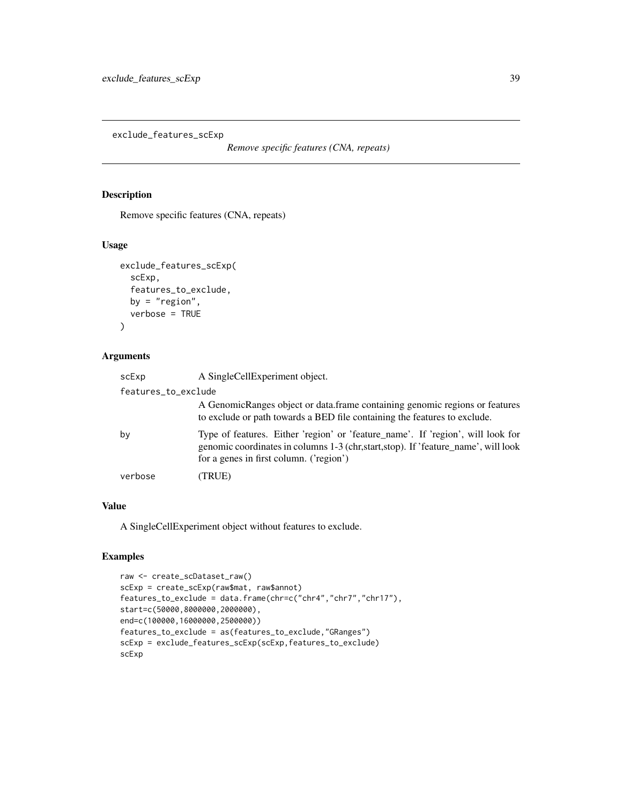exclude\_features\_scExp

*Remove specific features (CNA, repeats)*

## Description

Remove specific features (CNA, repeats)

#### Usage

```
exclude_features_scExp(
  scExp,
  features_to_exclude,
  by = "region",
  verbose = TRUE
\mathcal{L}
```
#### Arguments

| scExp               | A SingleCellExperiment object.                                                                                                                                                                                    |
|---------------------|-------------------------------------------------------------------------------------------------------------------------------------------------------------------------------------------------------------------|
| features_to_exclude |                                                                                                                                                                                                                   |
|                     | A Genomic Ranges object or data frame containing genomic regions or features<br>to exclude or path towards a BED file containing the features to exclude.                                                         |
| by                  | Type of features. Either 'region' or 'feature_name'. If 'region', will look for<br>genomic coordinates in columns 1-3 (chr, start, stop). If 'feature_name', will look<br>for a genes in first column. ('region') |
| verbose             | (TRUE)                                                                                                                                                                                                            |

#### Value

A SingleCellExperiment object without features to exclude.

## Examples

```
raw <- create_scDataset_raw()
scExp = create_scExp(raw$mat, raw$annot)
features_to_exclude = data.frame(chr=c("chr4","chr7","chr17"),
start=c(50000,8000000,2000000),
end=c(100000,16000000,2500000))
features_to_exclude = as(features_to_exclude,"GRanges")
scExp = exclude_features_scExp(scExp,features_to_exclude)
scExp
```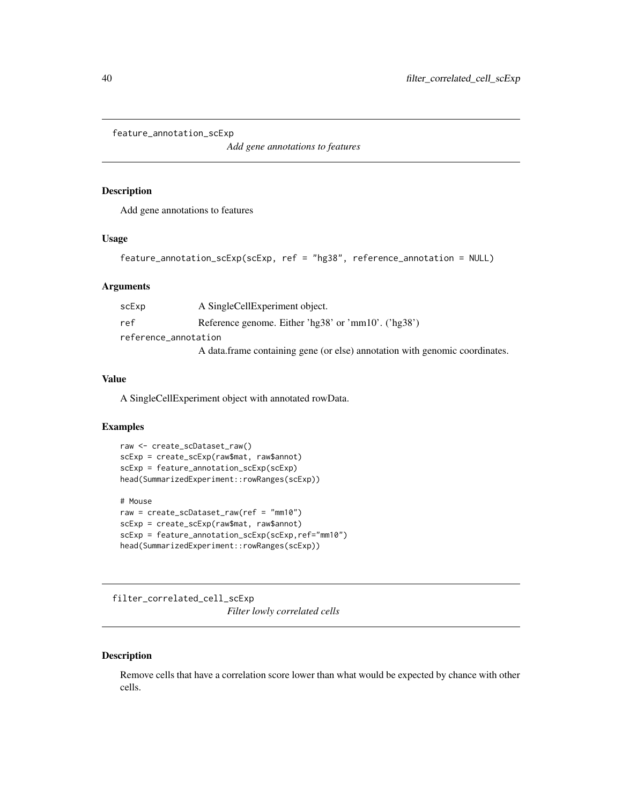```
feature_annotation_scExp
```
*Add gene annotations to features*

#### Description

Add gene annotations to features

#### Usage

```
feature_annotation_scExp(scExp, ref = "hg38", reference_annotation = NULL)
```
#### Arguments

| scExp                | A SingleCellExperiment object.                                              |  |
|----------------------|-----------------------------------------------------------------------------|--|
| ref                  | Reference genome. Either 'hg $38'$ or 'mm $10'$ . ('hg $38'$ )              |  |
| reference_annotation |                                                                             |  |
|                      | A data frame containing gene (or else) annotation with genomic coordinates. |  |

#### Value

A SingleCellExperiment object with annotated rowData.

#### Examples

```
raw <- create_scDataset_raw()
scExp = create_scExp(raw$mat, raw$annot)
scExp = feature_annotation_scExp(scExp)
head(SummarizedExperiment::rowRanges(scExp))
```

```
# Mouse
raw = create_scDataset_raw(ref = "mm10")
scExp = create_scExp(raw$mat, raw$annot)
scExp = feature_annotation_scExp(scExp,ref="mm10")
head(SummarizedExperiment::rowRanges(scExp))
```
filter\_correlated\_cell\_scExp

*Filter lowly correlated cells*

#### Description

Remove cells that have a correlation score lower than what would be expected by chance with other cells.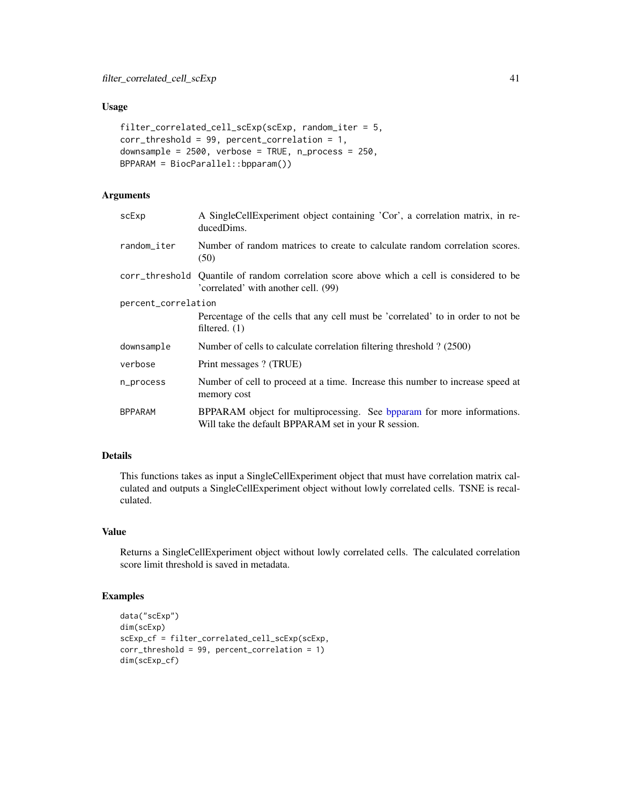# Usage

```
filter_correlated_cell_scExp(scExp, random_iter = 5,
corr_threshold = 99, percent_correlation = 1,
downsample = 2500, verbose = TRUE, n_process = 250,
BPPARAM = BiocParallel::bpparam())
```
# Arguments

| scExp               | A SingleCellExperiment object containing 'Cor', a correlation matrix, in re-<br>ducedDims.                                         |  |
|---------------------|------------------------------------------------------------------------------------------------------------------------------------|--|
| random_iter         | Number of random matrices to create to calculate random correlation scores.<br>(50)                                                |  |
|                     | corr_threshold Quantile of random correlation score above which a cell is considered to be<br>'correlated' with another cell. (99) |  |
| percent_correlation |                                                                                                                                    |  |
|                     | Percentage of the cells that any cell must be 'correlated' to in order to not be<br>filtered. $(1)$                                |  |
| downsample          | Number of cells to calculate correlation filtering threshold ? (2500)                                                              |  |
| verbose             | Print messages ? (TRUE)                                                                                                            |  |
| n_process           | Number of cell to proceed at a time. Increase this number to increase speed at<br>memory cost                                      |  |
| <b>BPPARAM</b>      | BPPARAM object for multiprocessing. See bpparam for more informations.<br>Will take the default BPPARAM set in your R session.     |  |

#### Details

This functions takes as input a SingleCellExperiment object that must have correlation matrix calculated and outputs a SingleCellExperiment object without lowly correlated cells. TSNE is recalculated.

## Value

Returns a SingleCellExperiment object without lowly correlated cells. The calculated correlation score limit threshold is saved in metadata.

## Examples

```
data("scExp")
dim(scExp)
scExp_cf = filter_correlated_cell_scExp(scExp,
corr_threshold = 99, percent_correlation = 1)
dim(scExp_cf)
```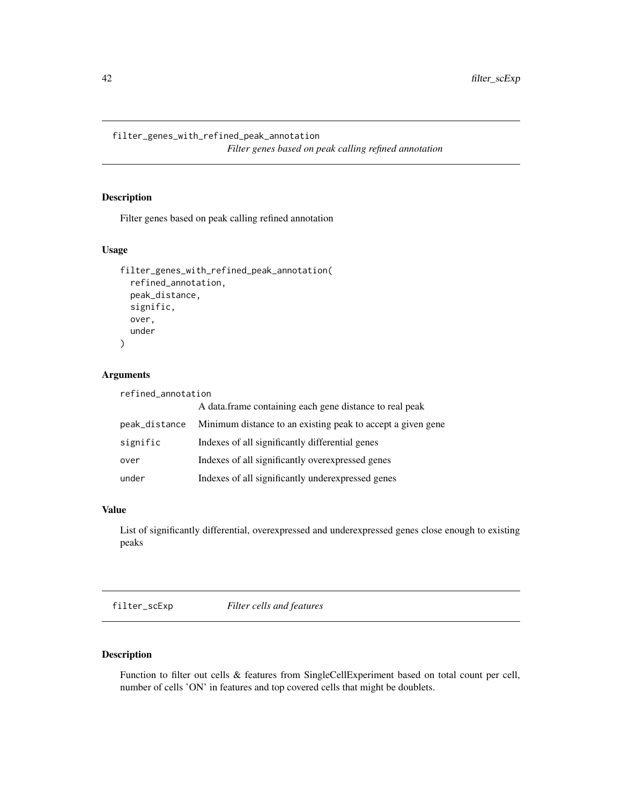filter\_genes\_with\_refined\_peak\_annotation *Filter genes based on peak calling refined annotation*

## Description

Filter genes based on peak calling refined annotation

### Usage

```
filter_genes_with_refined_peak_annotation(
  refined_annotation,
 peak_distance,
  signific,
 over,
 under
)
```
#### Arguments

| refined_annotation |                                                             |
|--------------------|-------------------------------------------------------------|
|                    | A data.frame containing each gene distance to real peak     |
| peak_distance      | Minimum distance to an existing peak to accept a given gene |
| signific           | Indexes of all significantly differential genes             |
| over               | Indexes of all significantly overexpressed genes            |
| under              | Indexes of all significantly underexpressed genes           |

### Value

List of significantly differential, overexpressed and underexpressed genes close enough to existing peaks

filter\_scExp *Filter cells and features*

### Description

Function to filter out cells & features from SingleCellExperiment based on total count per cell, number of cells 'ON' in features and top covered cells that might be doublets.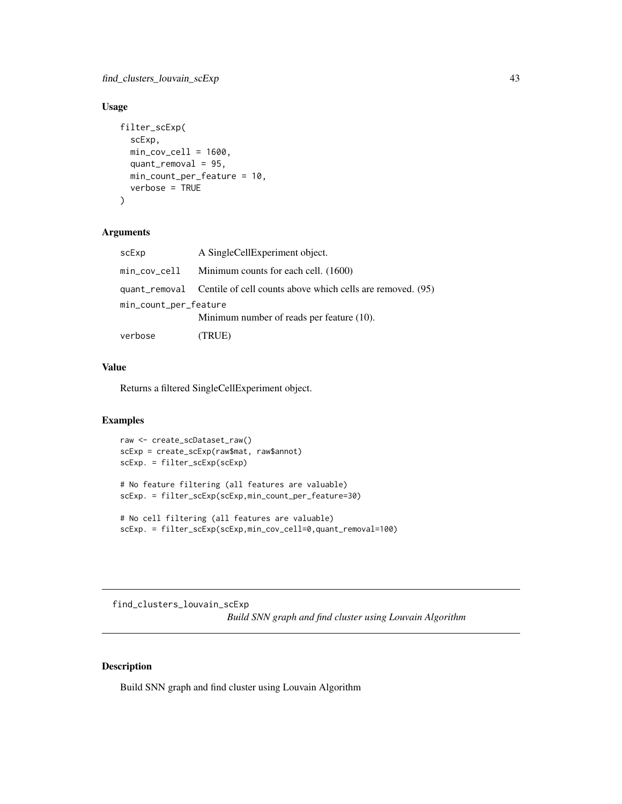# Usage

```
filter_scExp(
  scExp,
 min\_cov\_cell = 1600,quant_removal = 95,
 min_count_per_feature = 10,
  verbose = TRUE
)
```
### Arguments

| scExp                 | A SingleCellExperiment object.                                           |  |
|-----------------------|--------------------------------------------------------------------------|--|
| min_cov_cell          | Minimum counts for each cell. (1600)                                     |  |
|                       | quant_removal Centile of cell counts above which cells are removed. (95) |  |
| min_count_per_feature |                                                                          |  |
|                       | Minimum number of reads per feature (10).                                |  |
| verbose               | (TRUE)                                                                   |  |

### Value

Returns a filtered SingleCellExperiment object.

#### Examples

```
raw <- create_scDataset_raw()
scExp = create_scExp(raw$mat, raw$annot)
scExp. = filter_scExp(scExp)
# No feature filtering (all features are valuable)
```

```
scExp. = filter_scExp(scExp,min_count_per_feature=30)
```

```
# No cell filtering (all features are valuable)
scExp. = filter_scExp(scExp,min_cov_cell=0,quant_removal=100)
```
find\_clusters\_louvain\_scExp *Build SNN graph and find cluster using Louvain Algorithm*

#### Description

Build SNN graph and find cluster using Louvain Algorithm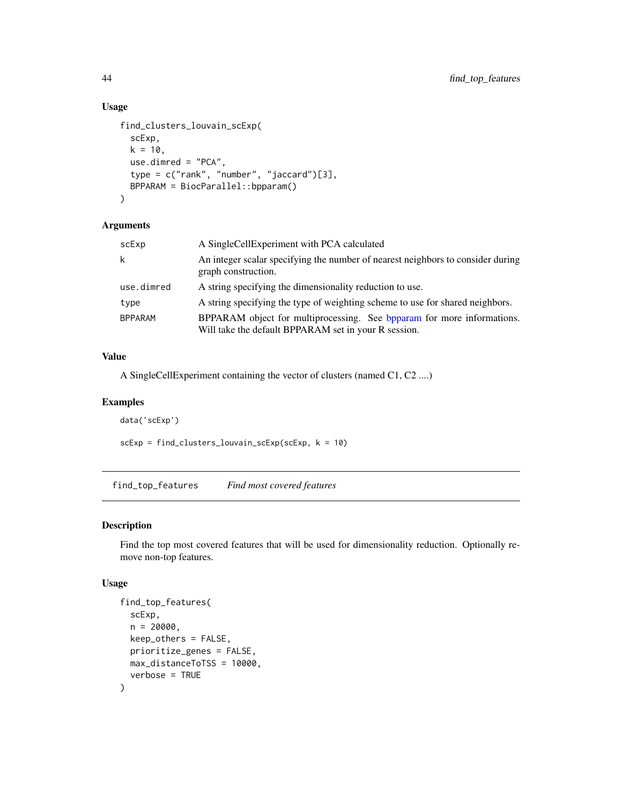## Usage

```
find_clusters_louvain_scExp(
  scExp,
  k = 10,
 use.dimred = "PCA",
  type = c("rank", "number", "jaccard")[3],
  BPPARAM = BiocParallel::bpparam()
)
```
### Arguments

| scExp          | A SingleCellExperiment with PCA calculated                                                                                     |
|----------------|--------------------------------------------------------------------------------------------------------------------------------|
| k              | An integer scalar specifying the number of nearest neighbors to consider during<br>graph construction.                         |
| use.dimred     | A string specifying the dimensionality reduction to use.                                                                       |
| type           | A string specifying the type of weighting scheme to use for shared neighbors.                                                  |
| <b>BPPARAM</b> | BPPARAM object for multiprocessing. See bpparam for more informations.<br>Will take the default BPPARAM set in your R session. |

## Value

A SingleCellExperiment containing the vector of clusters (named C1, C2 ....)

### Examples

data('scExp')

 $scExp = find_clusters_lowain_scExp(seExp, k = 10)$ 

find\_top\_features *Find most covered features*

### Description

Find the top most covered features that will be used for dimensionality reduction. Optionally remove non-top features.

#### Usage

```
find_top_features(
  scExp,
 n = 20000,
 keep_others = FALSE,
 prioritize_genes = FALSE,
 max_distanceToTSS = 10000,
  verbose = TRUE
)
```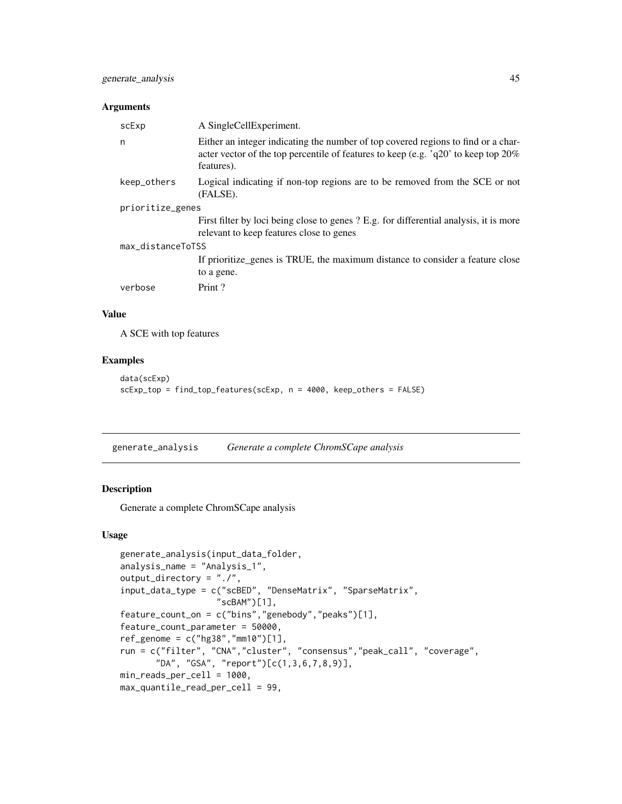#### Arguments

| scExp             | A SingleCellExperiment.                                                                                                                                                                                 |  |
|-------------------|---------------------------------------------------------------------------------------------------------------------------------------------------------------------------------------------------------|--|
| n                 | Either an integer indicating the number of top covered regions to find or a char-<br>acter vector of the top percentile of features to keep (e.g. $q20$ <sup>t</sup> to keep top $20\%$ )<br>features). |  |
| keep_others       | Logical indicating if non-top regions are to be removed from the SCE or not<br>(FALSE).                                                                                                                 |  |
| prioritize_genes  |                                                                                                                                                                                                         |  |
|                   | First filter by loci being close to genes? E.g. for differential analysis, it is more<br>relevant to keep features close to genes                                                                       |  |
| max_distanceToTSS |                                                                                                                                                                                                         |  |
|                   | If prioritize_genes is TRUE, the maximum distance to consider a feature close                                                                                                                           |  |
|                   | to a gene.                                                                                                                                                                                              |  |
| verbose           | Print?                                                                                                                                                                                                  |  |

## Value

A SCE with top features

### Examples

```
data(scExp)
scExp_top = find_top_features(scExp, n = 4000, keep_others = FALSE)
```
generate\_analysis *Generate a complete ChromSCape analysis*

# Description

Generate a complete ChromSCape analysis

### Usage

```
generate_analysis(input_data_folder,
analysis_name = "Analysis_1",
output_directory = "./",
input_data_type = c("scBED", "DenseMatrix", "SparseMatrix",
                   "scBAM")[1],
feature_count_on = c("bins","genebody","peaks")[1],
feature_count_parameter = 50000,
ref_genome = c("hg38","mm10")[1],
run = c("filter", "CNA","cluster", "consensus","peak_call", "coverage",
       "DA", "GSA", "report")[c(1,3,6,7,8,9)],
min_reads_per_cell = 1000,
max_quantile_read_per_cell = 99,
```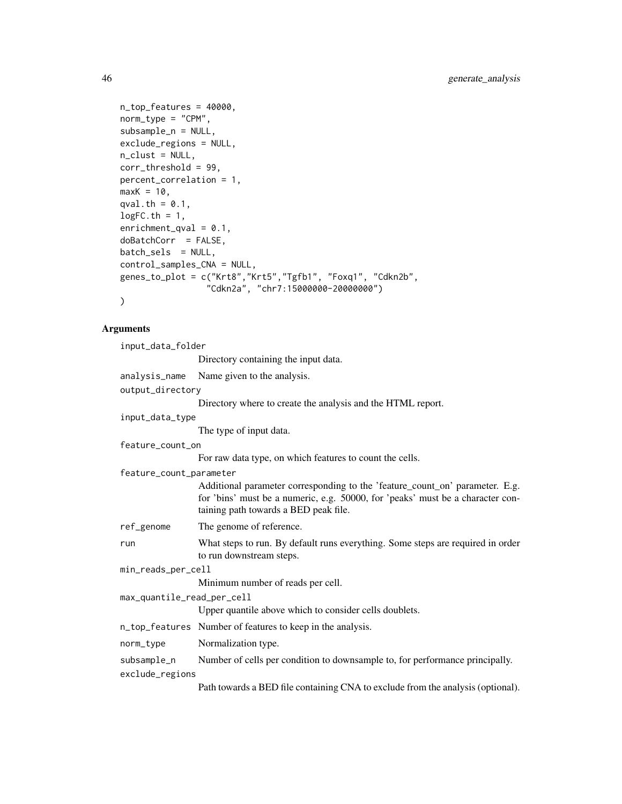```
n_top_features = 40000,
norm_{\text{type}} = "CPM".subsample_n = NULL,
exclude_regions = NULL,
n_clust = NULL,
corr_threshold = 99,
percent_correlation = 1,
maxK = 10,
qval.th = 0.1,
logFC.th = 1,enrichment_qval = 0.1,
doBatchCorr = FALSE,
batch_sels = NULL,
control_samples_CNA = NULL,
genes_to_plot = c("Krt8","Krt5","Tgfb1", "Foxq1", "Cdkn2b",
                 "Cdkn2a", "chr7:15000000-20000000")
)
```
### Arguments

input\_data\_folder Directory containing the input data. analysis\_name Name given to the analysis. output\_directory Directory where to create the analysis and the HTML report. input\_data\_type The type of input data. feature\_count\_on For raw data type, on which features to count the cells. feature\_count\_parameter Additional parameter corresponding to the 'feature\_count\_on' parameter. E.g. for 'bins' must be a numeric, e.g. 50000, for 'peaks' must be a character containing path towards a BED peak file. ref\_genome The genome of reference. run What steps to run. By default runs everything. Some steps are required in order to run downstream steps. min\_reads\_per\_cell Minimum number of reads per cell. max\_quantile\_read\_per\_cell Upper quantile above which to consider cells doublets. n\_top\_features Number of features to keep in the analysis. norm\_type Normalization type. subsample\_n Number of cells per condition to downsample to, for performance principally. exclude\_regions Path towards a BED file containing CNA to exclude from the analysis (optional).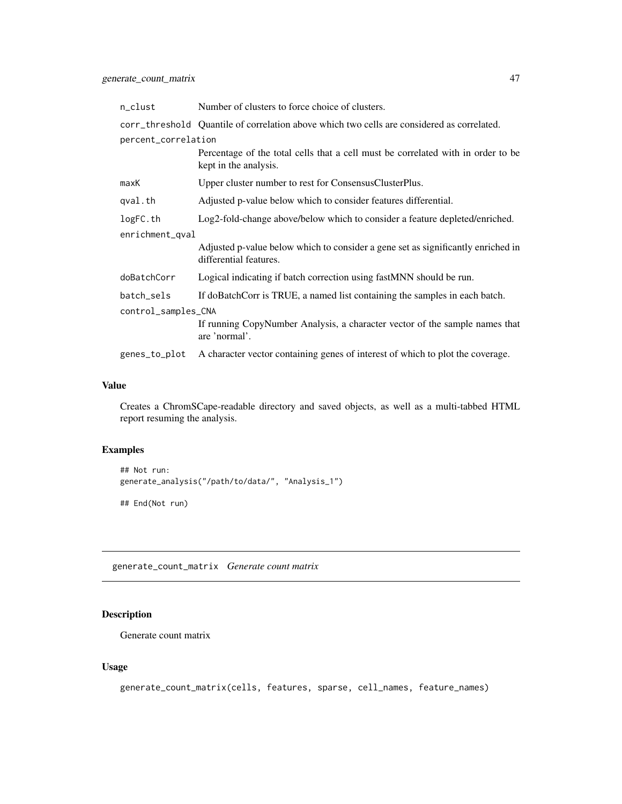| n_clust             | Number of clusters to force choice of clusters.                                                            |  |
|---------------------|------------------------------------------------------------------------------------------------------------|--|
|                     | corr_threshold Quantile of correlation above which two cells are considered as correlated.                 |  |
| percent_correlation |                                                                                                            |  |
|                     | Percentage of the total cells that a cell must be correlated with in order to be<br>kept in the analysis.  |  |
| maxK                | Upper cluster number to rest for ConsensusClusterPlus.                                                     |  |
| qval.th             | Adjusted p-value below which to consider features differential.                                            |  |
| logFC.th            | Log2-fold-change above/below which to consider a feature depleted/enriched.                                |  |
| enrichment_qval     |                                                                                                            |  |
|                     | Adjusted p-value below which to consider a gene set as significantly enriched in<br>differential features. |  |
| doBatchCorr         | Logical indicating if batch correction using fastMNN should be run.                                        |  |
| batch_sels          | If doBatchCorr is TRUE, a named list containing the samples in each batch.                                 |  |
| control_samples_CNA |                                                                                                            |  |
|                     | If running CopyNumber Analysis, a character vector of the sample names that<br>are 'normal'.               |  |
| genes_to_plot       | A character vector containing genes of interest of which to plot the coverage.                             |  |

# Value

Creates a ChromSCape-readable directory and saved objects, as well as a multi-tabbed HTML report resuming the analysis.

## Examples

```
## Not run:
generate_analysis("/path/to/data/", "Analysis_1")
```
## End(Not run)

generate\_count\_matrix *Generate count matrix*

# Description

Generate count matrix

#### Usage

```
generate_count_matrix(cells, features, sparse, cell_names, feature_names)
```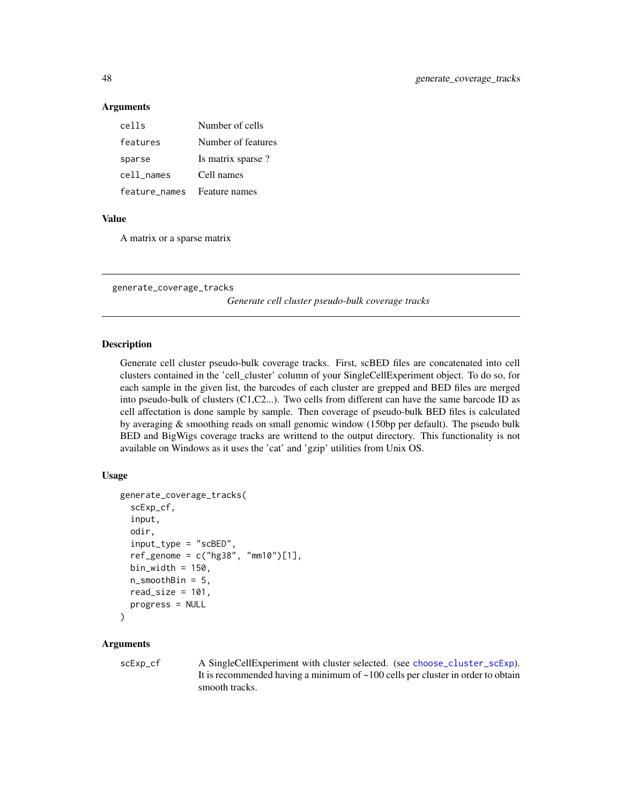#### Arguments

| cells         | Number of cells    |
|---------------|--------------------|
| features      | Number of features |
| sparse        | Is matrix sparse?  |
| cell names    | Cell names         |
| feature_names | Feature names      |

#### Value

A matrix or a sparse matrix

generate\_coverage\_tracks

*Generate cell cluster pseudo-bulk coverage tracks*

#### Description

Generate cell cluster pseudo-bulk coverage tracks. First, scBED files are concatenated into cell clusters contained in the 'cell\_cluster' column of your SingleCellExperiment object. To do so, for each sample in the given list, the barcodes of each cluster are grepped and BED files are merged into pseudo-bulk of clusters (C1,C2...). Two cells from different can have the same barcode ID as cell affectation is done sample by sample. Then coverage of pseudo-bulk BED files is calculated by averaging & smoothing reads on small genomic window (150bp per default). The pseudo bulk BED and BigWigs coverage tracks are writtend to the output directory. This functionality is not available on Windows as it uses the 'cat' and 'gzip' utilities from Unix OS.

#### Usage

```
generate_coverage_tracks(
  scExp_cf,
  input,
  odir,
  input_type = "scBED",
  ref_genome = c("hg38", "mm10")[1],
  bin_width = 150,
  n_smoothBin = 5,
  read_size = 101,
  progress = NULL
)
```
#### Arguments

scExp\_cf A SingleCellExperiment with cluster selected. (see [choose\\_cluster\\_scExp](#page-14-0)). It is recommended having a minimum of ~100 cells per cluster in order to obtain smooth tracks.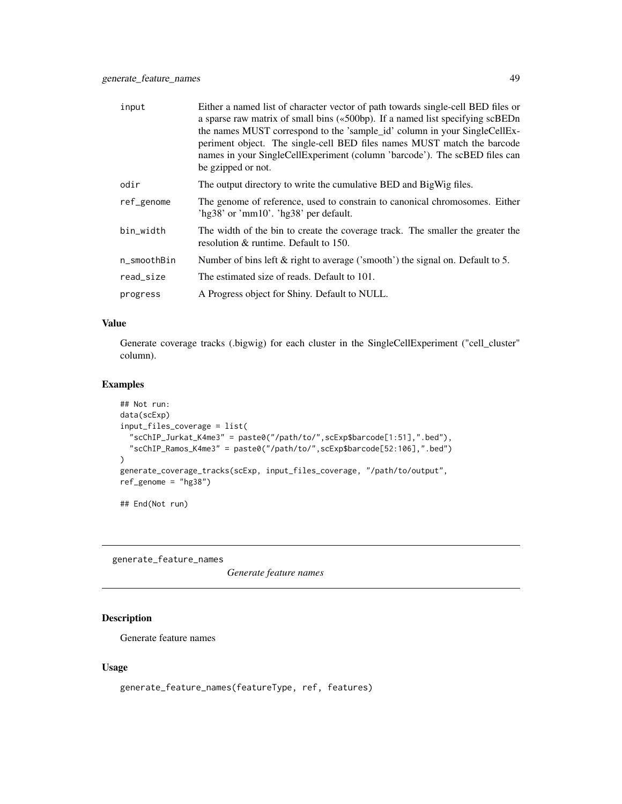| input       | Either a named list of character vector of path towards single-cell BED files or<br>a sparse raw matrix of small bins («500bp). If a named list specifying scBEDn<br>the names MUST correspond to the 'sample_id' column in your SingleCellEx-<br>periment object. The single-cell BED files names MUST match the barcode<br>names in your SingleCellExperiment (column 'barcode'). The scBED files can<br>be gzipped or not. |
|-------------|-------------------------------------------------------------------------------------------------------------------------------------------------------------------------------------------------------------------------------------------------------------------------------------------------------------------------------------------------------------------------------------------------------------------------------|
| odir        | The output directory to write the cumulative BED and BigWig files.                                                                                                                                                                                                                                                                                                                                                            |
| ref_genome  | The genome of reference, used to constrain to canonical chromosomes. Either<br>'hg $38'$ or 'mm $10'$ . 'hg $38'$ per default.                                                                                                                                                                                                                                                                                                |
| bin_width   | The width of the bin to create the coverage track. The smaller the greater the<br>resolution & runtime. Default to 150.                                                                                                                                                                                                                                                                                                       |
| n smoothBin | Number of bins left $\&$ right to average ('smooth') the signal on. Default to 5.                                                                                                                                                                                                                                                                                                                                             |
| read_size   | The estimated size of reads. Default to 101.                                                                                                                                                                                                                                                                                                                                                                                  |
| progress    | A Progress object for Shiny. Default to NULL.                                                                                                                                                                                                                                                                                                                                                                                 |

### Value

Generate coverage tracks (.bigwig) for each cluster in the SingleCellExperiment ("cell\_cluster" column).

# Examples

```
## Not run:
data(scExp)
input_files_coverage = list(
  "scChIP_Jurkat_K4me3" = paste0("/path/to/",scExp$barcode[1:51],".bed"),
  "scChIP_Ramos_K4me3" = paste0("/path/to/",scExp$barcode[52:106],".bed")
\lambdagenerate_coverage_tracks(scExp, input_files_coverage, "/path/to/output",
ref_genome = "hg38")
```
## End(Not run)

generate\_feature\_names

*Generate feature names*

# Description

Generate feature names

### Usage

generate\_feature\_names(featureType, ref, features)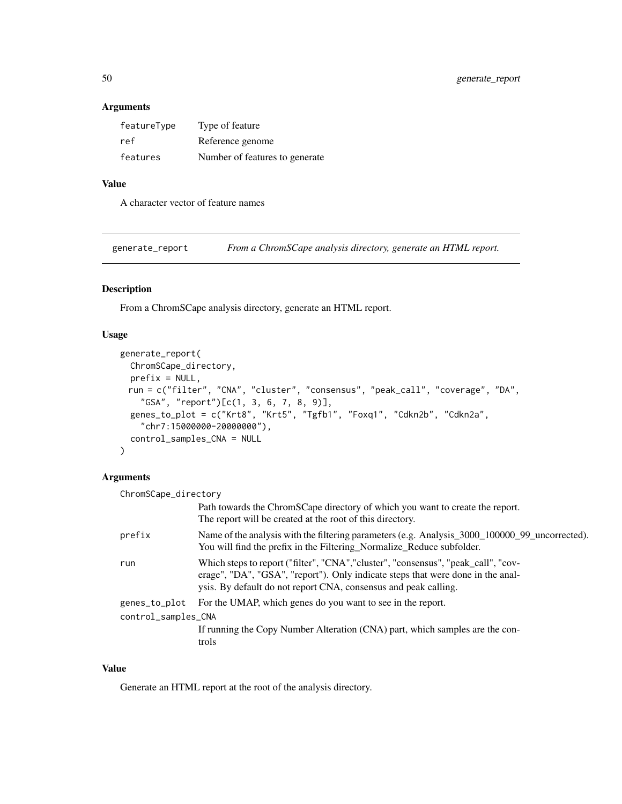## Arguments

| featureType | Type of feature                |
|-------------|--------------------------------|
| ref         | Reference genome               |
| features    | Number of features to generate |

# Value

A character vector of feature names

generate\_report *From a ChromSCape analysis directory, generate an HTML report.*

#### Description

From a ChromSCape analysis directory, generate an HTML report.

### Usage

```
generate_report(
 ChromSCape_directory,
 prefix = NULL,run = c("filter", "CNA", "cluster", "consensus", "peak_call", "coverage", "DA",
    "GSA", "report")[c(1, 3, 6, 7, 8, 9)],
  genes_to_plot = c("Krt8", "Krt5", "Tgfb1", "Foxq1", "Cdkn2b", "Cdkn2a",
    "chr7:15000000-20000000"),
 control_samples_CNA = NULL
)
```
#### Arguments

| ChromSCape_directory                 |                                                                                                                                                                                                                                          |
|--------------------------------------|------------------------------------------------------------------------------------------------------------------------------------------------------------------------------------------------------------------------------------------|
|                                      | Path towards the ChromSCape directory of which you want to create the report.<br>The report will be created at the root of this directory.                                                                                               |
| prefix                               | Name of the analysis with the filtering parameters (e.g. Analysis 3000 100000 99 uncorrected).<br>You will find the prefix in the Filtering_Normalize_Reduce subfolder.                                                                  |
| run                                  | Which steps to report ("filter", "CNA", "cluster", "consensus", "peak_call", "cov-<br>erage", "DA", "GSA", "report"). Only indicate steps that were done in the anal-<br>ysis. By default do not report CNA, consensus and peak calling. |
| genes_to_plot<br>control_samples_CNA | For the UMAP, which genes do you want to see in the report.<br>If running the Copy Number Alteration (CNA) part, which samples are the con-                                                                                              |
|                                      | trols                                                                                                                                                                                                                                    |

# Value

Generate an HTML report at the root of the analysis directory.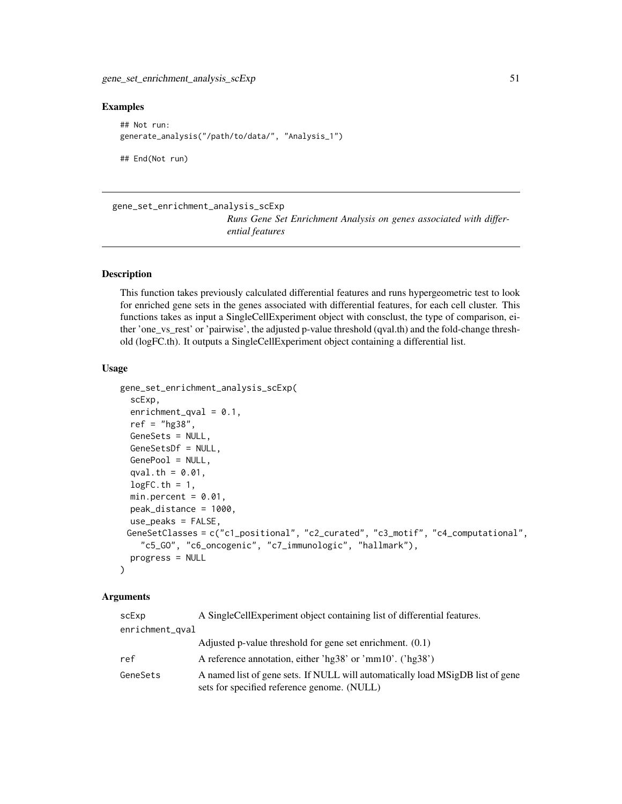#### Examples

```
## Not run:
generate_analysis("/path/to/data/", "Analysis_1")
## End(Not run)
```
gene\_set\_enrichment\_analysis\_scExp

*Runs Gene Set Enrichment Analysis on genes associated with differential features*

# Description

This function takes previously calculated differential features and runs hypergeometric test to look for enriched gene sets in the genes associated with differential features, for each cell cluster. This functions takes as input a SingleCellExperiment object with consclust, the type of comparison, either 'one\_vs\_rest' or 'pairwise', the adjusted p-value threshold (qval.th) and the fold-change threshold (logFC.th). It outputs a SingleCellExperiment object containing a differential list.

#### Usage

```
gene_set_enrichment_analysis_scExp(
  scExp,
  enrichment_qval = 0.1,
  ref = "hg38",
 GeneSets = NULL,
  GeneSetsDf = NULL,
  GenePool = NULL,
  qval.th = 0.01,
  logFC.th = 1,min.percent = 0.01,
 peak_distance = 1000,
 use_peaks = FALSE,
 GeneSetClasses = c("c1_positional", "c2_curated", "c3_motif", "c4_computational",
    "c5_GO", "c6_oncogenic", "c7_immunologic", "hallmark"),
  progress = NULL
)
```
#### Arguments

| scExp           | A SingleCellExperiment object containing list of differential features.                                                       |  |
|-----------------|-------------------------------------------------------------------------------------------------------------------------------|--|
| enrichment_qval |                                                                                                                               |  |
|                 | Adjusted p-value threshold for gene set enrichment. $(0.1)$                                                                   |  |
| ref             | A reference annotation, either 'hg38' or 'mm10'. ('hg38')                                                                     |  |
| GeneSets        | A named list of gene sets. If NULL will automatically load MSigDB list of gene<br>sets for specified reference genome. (NULL) |  |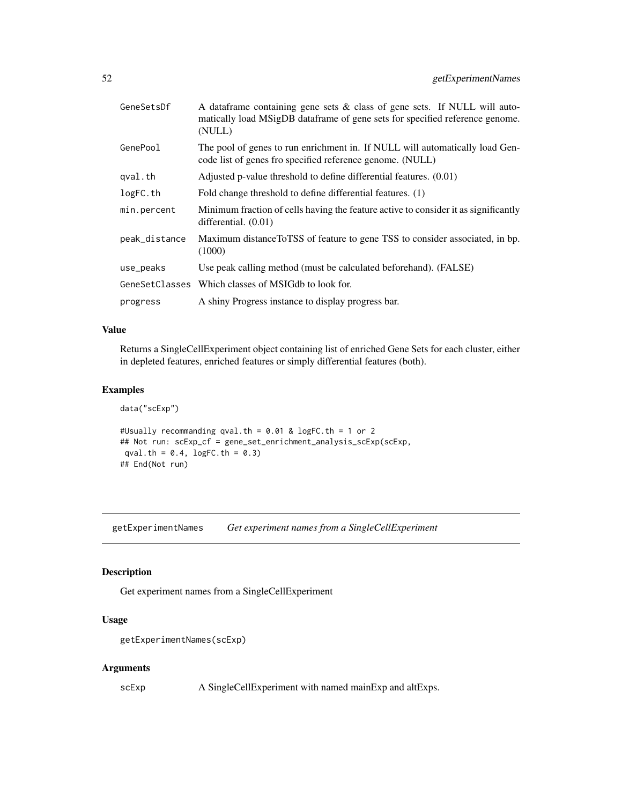| GeneSetsDf    | A data frame containing gene sets & class of gene sets. If NULL will auto-<br>matically load MSigDB dataframe of gene sets for specified reference genome.<br>(NULL) |
|---------------|----------------------------------------------------------------------------------------------------------------------------------------------------------------------|
| GenePool      | The pool of genes to run enrichment in. If NULL will automatically load Gen-<br>code list of genes fro specified reference genome. (NULL)                            |
| qval.th       | Adjusted p-value threshold to define differential features. (0.01)                                                                                                   |
| logFC.th      | Fold change threshold to define differential features. (1)                                                                                                           |
| min.percent   | Minimum fraction of cells having the feature active to consider it as significantly<br>differential. $(0.01)$                                                        |
| peak_distance | Maximum distanceToTSS of feature to gene TSS to consider associated, in bp.<br>(1000)                                                                                |
| use_peaks     | Use peak calling method (must be calculated beforehand). (FALSE)                                                                                                     |
|               | GeneSetClasses Which classes of MSIGdb to look for.                                                                                                                  |
| progress      | A shiny Progress instance to display progress bar.                                                                                                                   |

# Value

Returns a SingleCellExperiment object containing list of enriched Gene Sets for each cluster, either in depleted features, enriched features or simply differential features (both).

## Examples

```
data("scExp")
#Usually recommanding qval.th = 0.01 & logFC.th = 1 or 2
## Not run: scExp_cf = gene_set_enrichment_analysis_scExp(scExp,
qval.th = 0.4, logFC.th = 0.3)
## End(Not run)
```
getExperimentNames *Get experiment names from a SingleCellExperiment*

### Description

Get experiment names from a SingleCellExperiment

## Usage

```
getExperimentNames(scExp)
```
# Arguments

scExp A SingleCellExperiment with named mainExp and altExps.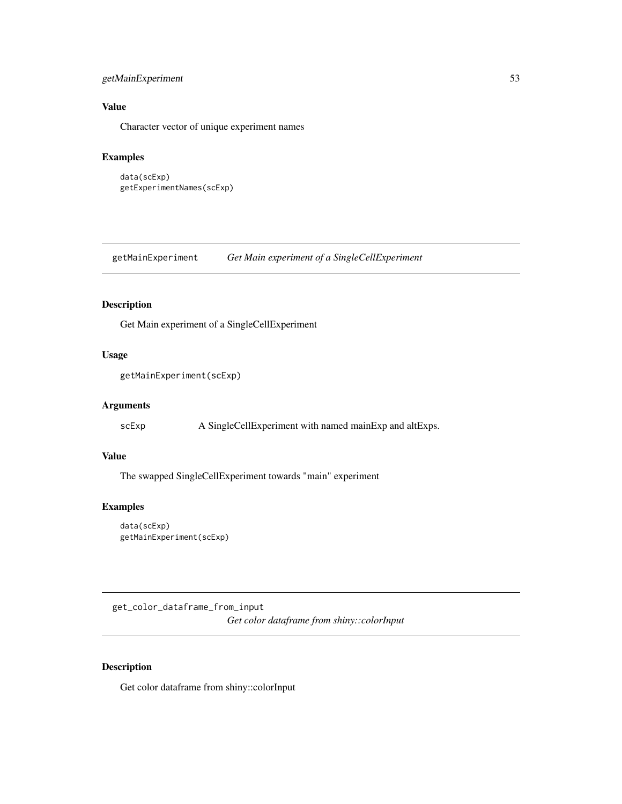## getMainExperiment 53

# Value

Character vector of unique experiment names

### Examples

```
data(scExp)
getExperimentNames(scExp)
```
getMainExperiment *Get Main experiment of a SingleCellExperiment*

### Description

Get Main experiment of a SingleCellExperiment

# Usage

```
getMainExperiment(scExp)
```
## Arguments

scExp A SingleCellExperiment with named mainExp and altExps.

## Value

The swapped SingleCellExperiment towards "main" experiment

#### Examples

```
data(scExp)
getMainExperiment(scExp)
```
get\_color\_dataframe\_from\_input

*Get color dataframe from shiny::colorInput*

## Description

Get color dataframe from shiny::colorInput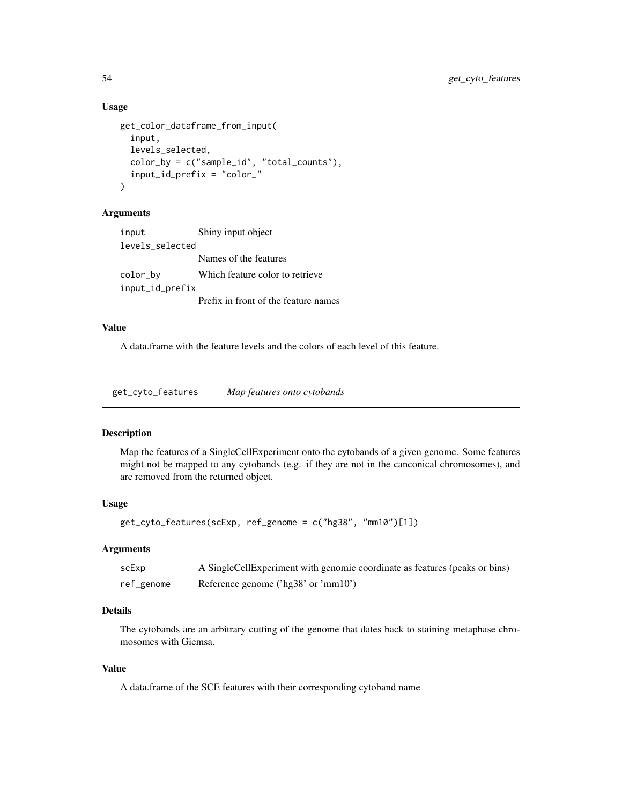#### Usage

```
get_color_dataframe_from_input(
  input,
  levels_selected,
  color_by = c("sample_id", "total_counts"),
  input_id_prefix = "color_"
)
```
# Arguments

| input           | Shiny input object                   |
|-----------------|--------------------------------------|
| levels_selected |                                      |
|                 | Names of the features                |
| color_by        | Which feature color to retrieve      |
| input_id_prefix |                                      |
|                 | Prefix in front of the feature names |

### Value

A data.frame with the feature levels and the colors of each level of this feature.

get\_cyto\_features *Map features onto cytobands*

#### Description

Map the features of a SingleCellExperiment onto the cytobands of a given genome. Some features might not be mapped to any cytobands (e.g. if they are not in the canconical chromosomes), and are removed from the returned object.

# Usage

get\_cyto\_features(scExp, ref\_genome = c("hg38", "mm10")[1])

#### Arguments

| scExp      | A Single Cell Experiment with genomic coordinate as features (peaks or bins)        |
|------------|-------------------------------------------------------------------------------------|
| ref_genome | Reference genome ( $\langle \text{hg38} \rangle$ or $\langle \text{mm10} \rangle$ ) |

## Details

The cytobands are an arbitrary cutting of the genome that dates back to staining metaphase chromosomes with Giemsa.

#### Value

A data.frame of the SCE features with their corresponding cytoband name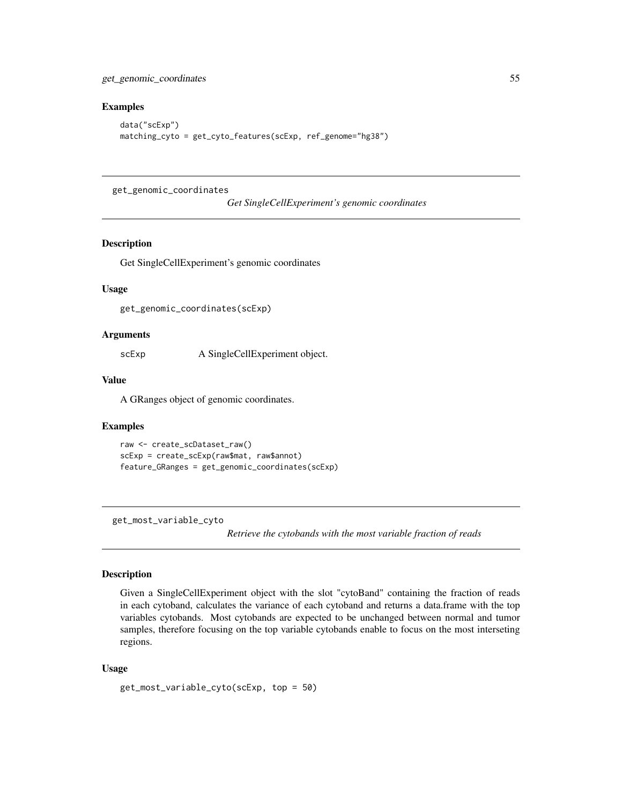get\_genomic\_coordinates 55

#### Examples

```
data("scExp")
matching_cyto = get_cyto_features(scExp, ref_genome="hg38")
```
get\_genomic\_coordinates

*Get SingleCellExperiment's genomic coordinates*

#### Description

Get SingleCellExperiment's genomic coordinates

#### Usage

get\_genomic\_coordinates(scExp)

#### Arguments

scExp A SingleCellExperiment object.

#### Value

A GRanges object of genomic coordinates.

#### Examples

```
raw <- create_scDataset_raw()
scExp = create_scExp(raw$mat, raw$annot)
feature_GRanges = get_genomic_coordinates(scExp)
```
get\_most\_variable\_cyto

*Retrieve the cytobands with the most variable fraction of reads*

### Description

Given a SingleCellExperiment object with the slot "cytoBand" containing the fraction of reads in each cytoband, calculates the variance of each cytoband and returns a data.frame with the top variables cytobands. Most cytobands are expected to be unchanged between normal and tumor samples, therefore focusing on the top variable cytobands enable to focus on the most interseting regions.

#### Usage

```
get_most_variable_cyto(scExp, top = 50)
```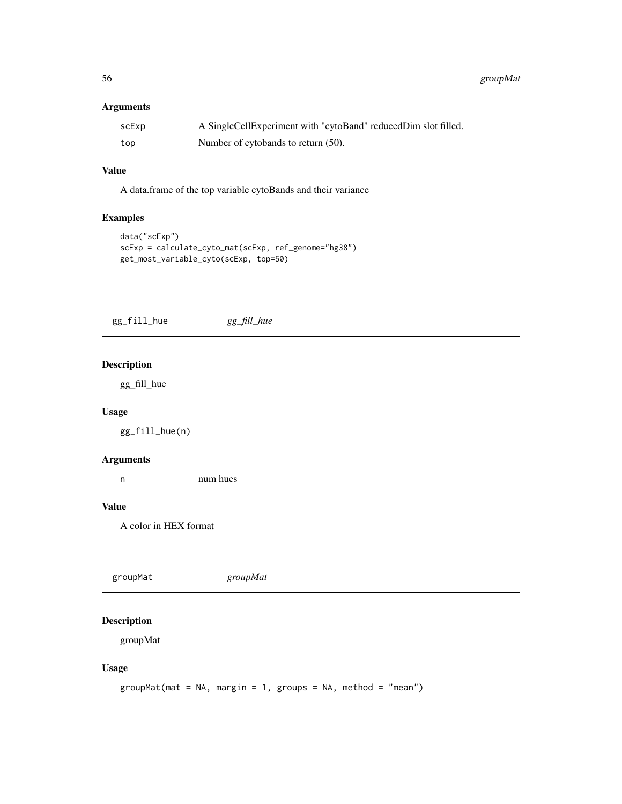56 groupMat

# Arguments

| scExp | A SingleCellExperiment with "cytoBand" reducedDim slot filled. |
|-------|----------------------------------------------------------------|
| top   | Number of cytobands to return $(50)$ .                         |

# Value

A data.frame of the top variable cytoBands and their variance

## Examples

```
data("scExp")
scExp = calculate_cyto_mat(scExp, ref_genome="hg38")
get_most_variable_cyto(scExp, top=50)
```
gg\_fill\_hue *gg\_fill\_hue*

## Description

gg\_fill\_hue

### Usage

gg\_fill\_hue(n)

#### Arguments

n num hues

#### Value

A color in HEX format

| groupMat |  |
|----------|--|
|          |  |

# Description

groupMat

## Usage

```
groupMat(mat = NA, margin = 1, groups = NA, method = "mean")
```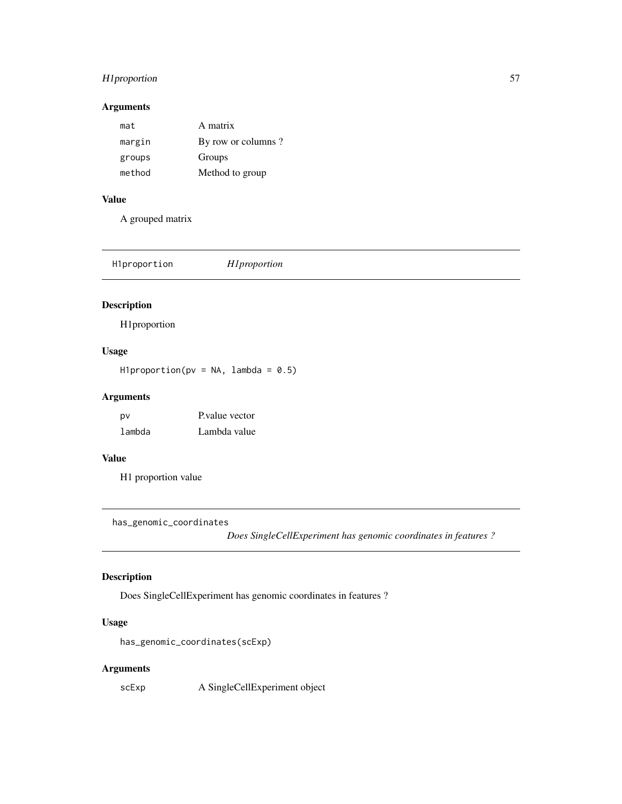## H1proportion 57

# Arguments

| mat    | A matrix           |
|--------|--------------------|
| margin | By row or columns? |
| groups | Groups             |
| method | Method to group    |

# Value

A grouped matrix

H1proportion *H1proportion*

# Description

H1proportion

# Usage

H1proportion(pv = NA, lambda =  $0.5$ )

# Arguments

| pv     | P value vector |
|--------|----------------|
| lambda | Lambda value   |

# Value

H1 proportion value

has\_genomic\_coordinates

*Does SingleCellExperiment has genomic coordinates in features ?*

# Description

Does SingleCellExperiment has genomic coordinates in features ?

# Usage

has\_genomic\_coordinates(scExp)

## Arguments

scExp A SingleCellExperiment object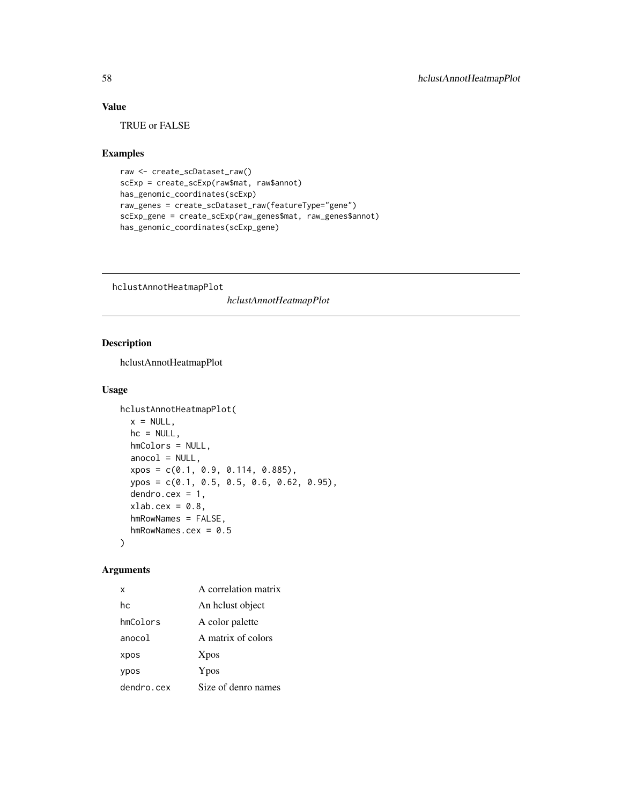# Value

TRUE or FALSE

# Examples

```
raw <- create_scDataset_raw()
scExp = create_scExp(raw$mat, raw$annot)
has_genomic_coordinates(scExp)
raw_genes = create_scDataset_raw(featureType="gene")
scExp_gene = create_scExp(raw_genes$mat, raw_genes$annot)
has_genomic_coordinates(scExp_gene)
```
hclustAnnotHeatmapPlot

*hclustAnnotHeatmapPlot*

### Description

hclustAnnotHeatmapPlot

### Usage

```
hclustAnnotHeatmapPlot(
 x = NULL,hc = NULL,hmColors = NULL,
 anocol = NULL,xpos = c(0.1, 0.9, 0.114, 0.885),ypos = c(0.1, 0.5, 0.5, 0.6, 0.62, 0.95),
 dendro.cex = 1,
 xlab.cex = 0.8,
 hmRowNames = FALSE,
  hmRowNames.cex = 0.5
)
```
# Arguments

| X          | A correlation matrix |
|------------|----------------------|
| hc         | An helust object     |
| hmColors   | A color palette      |
| anocol     | A matrix of colors   |
| xpos       | Xpos                 |
| ypos       | Ypos                 |
| dendro.cex | Size of denro names  |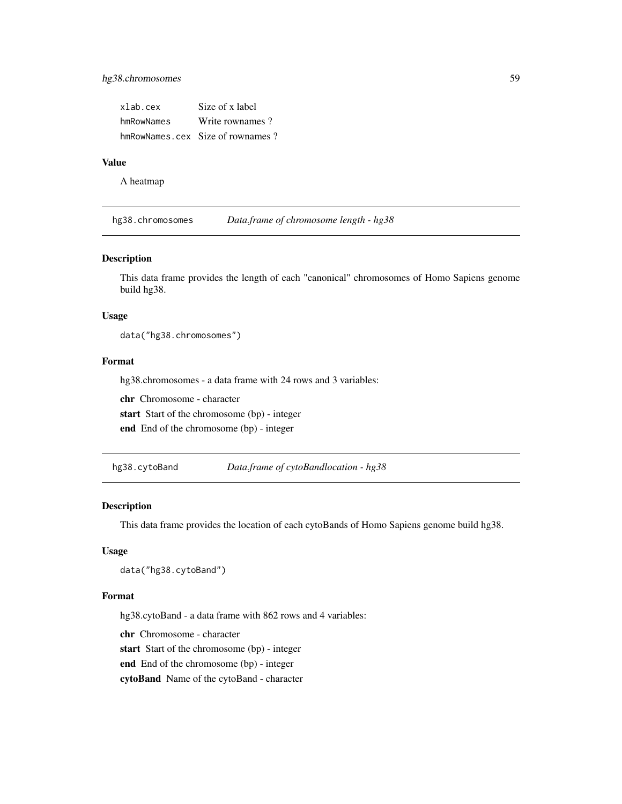# hg38.chromosomes 59

| xlab.cex   | Size of x label                  |
|------------|----------------------------------|
| hmRowNames | Write rownames?                  |
|            | hmRowNames.cex Size of rownames? |

### Value

A heatmap

hg38.chromosomes *Data.frame of chromosome length - hg38*

### Description

This data frame provides the length of each "canonical" chromosomes of Homo Sapiens genome build hg38.

#### Usage

data("hg38.chromosomes")

#### Format

hg38.chromosomes - a data frame with 24 rows and 3 variables:

chr Chromosome - character

start Start of the chromosome (bp) - integer

end End of the chromosome (bp) - integer

hg38.cytoBand *Data.frame of cytoBandlocation - hg38*

#### Description

This data frame provides the location of each cytoBands of Homo Sapiens genome build hg38.

### Usage

```
data("hg38.cytoBand")
```
### Format

hg38.cytoBand - a data frame with 862 rows and 4 variables:

chr Chromosome - character

start Start of the chromosome (bp) - integer

end End of the chromosome (bp) - integer

cytoBand Name of the cytoBand - character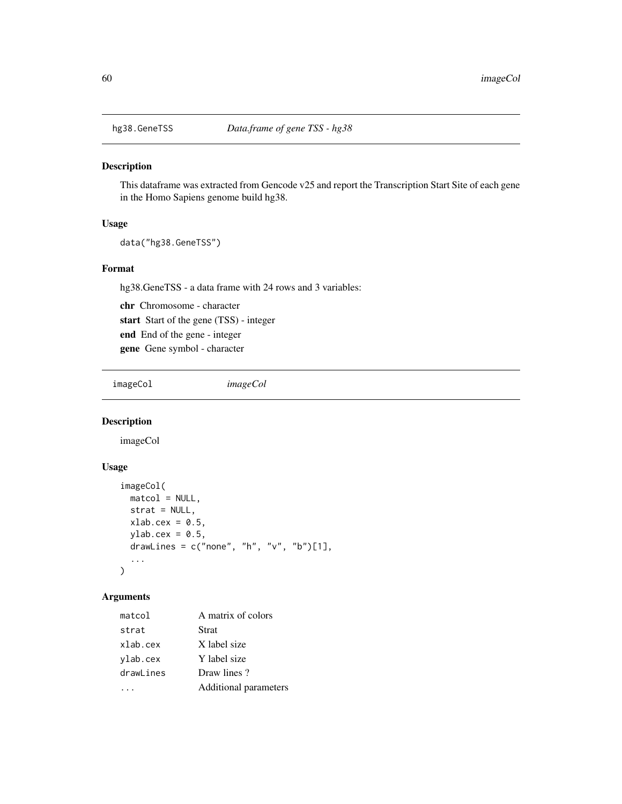### Description

This dataframe was extracted from Gencode v25 and report the Transcription Start Site of each gene in the Homo Sapiens genome build hg38.

# Usage

data("hg38.GeneTSS")

#### Format

hg38.GeneTSS - a data frame with 24 rows and 3 variables:

chr Chromosome - character start Start of the gene (TSS) - integer end End of the gene - integer gene Gene symbol - character

imageCol *imageCol*

## Description

imageCol

### Usage

```
imageCol(
 matcol = NULL,
 strat = NULL,
 xlab.cex = 0.5,
 ylab.cex = 0.5,
 drawLines = c("none", "h", "v", "b")[1],...
\mathcal{L}
```
## Arguments

| matcol    | A matrix of colors    |
|-----------|-----------------------|
| strat     | <b>Strat</b>          |
| xlab.cex  | X label size          |
| ylab.cex  | Y label size          |
| drawlines | Draw lines?           |
|           | Additional parameters |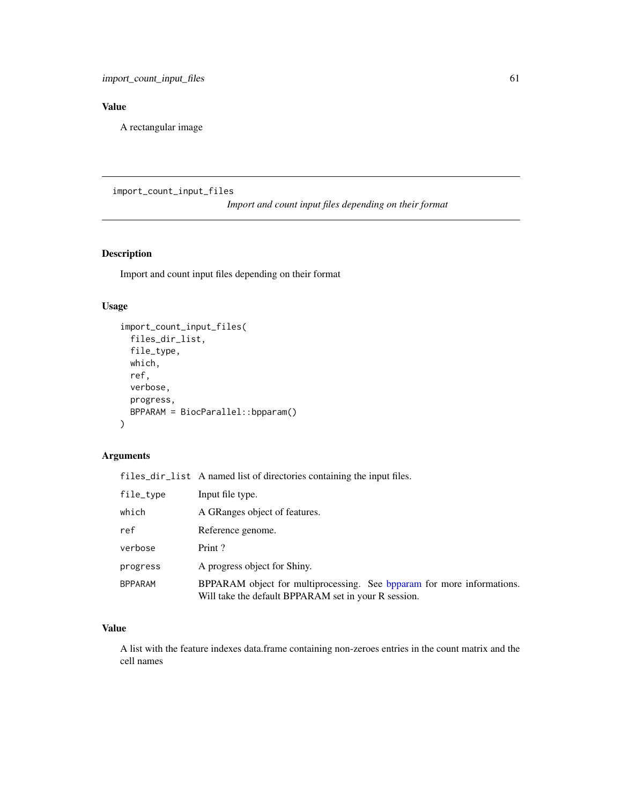# Value

A rectangular image

import\_count\_input\_files

*Import and count input files depending on their format*

# Description

Import and count input files depending on their format

#### Usage

```
import_count_input_files(
 files_dir_list,
 file_type,
 which,
  ref,
 verbose,
 progress,
 BPPARAM = BiocParallel::bpparam()
)
```
# Arguments

|  |  |  | files_dir_list A named list of directories containing the input files. |
|--|--|--|------------------------------------------------------------------------|
|--|--|--|------------------------------------------------------------------------|

| file_type      | Input file type.                                                                                                               |
|----------------|--------------------------------------------------------------------------------------------------------------------------------|
| which          | A GRanges object of features.                                                                                                  |
| ref            | Reference genome.                                                                                                              |
| verbose        | Print?                                                                                                                         |
| progress       | A progress object for Shiny.                                                                                                   |
| <b>BPPARAM</b> | BPPARAM object for multiprocessing. See bpparam for more informations.<br>Will take the default BPPARAM set in your R session. |

# Value

A list with the feature indexes data.frame containing non-zeroes entries in the count matrix and the cell names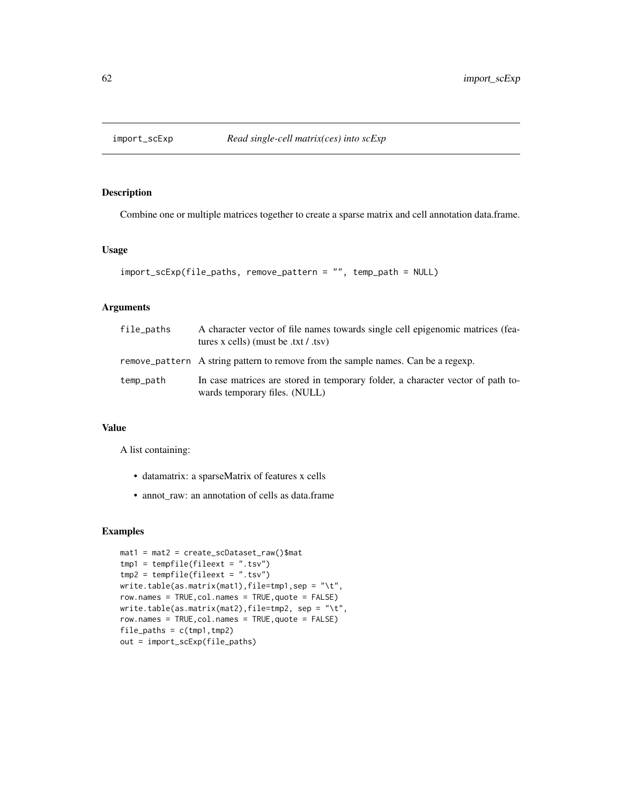#### Description

Combine one or multiple matrices together to create a sparse matrix and cell annotation data.frame.

#### Usage

```
import_scExp(file_paths, remove_pattern = "", temp_path = NULL)
```
### Arguments

| file_paths | A character vector of file names towards single cell epigenomic matrices (fea-<br>tures x cells) (must be $.txt / .tsv$ ) |
|------------|---------------------------------------------------------------------------------------------------------------------------|
|            | remove_pattern A string pattern to remove from the sample names. Can be a regexp.                                         |
| temp_path  | In case matrices are stored in temporary folder, a character vector of path to-<br>wards temporary files. (NULL)          |

#### Value

A list containing:

- datamatrix: a sparseMatrix of features x cells
- annot\_raw: an annotation of cells as data.frame

# Examples

```
mat1 = mat2 = create_scDataset_raw()$mat
tmp1 = tempfile(fileext = ".tsv")
tmp2 = tempfile(fileext = ".tsv")
write.table(as.matrix(mat1),file=tmp1,sep = "\t",
row.names = TRUE,col.names = TRUE,quote = FALSE)
write.table(as.matrix(mat2),file=tmp2, sep = "\t",
row.names = TRUE,col.names = TRUE,quote = FALSE)
file\_paths = c(tmp1,tmp2)out = import_scExp(file_paths)
```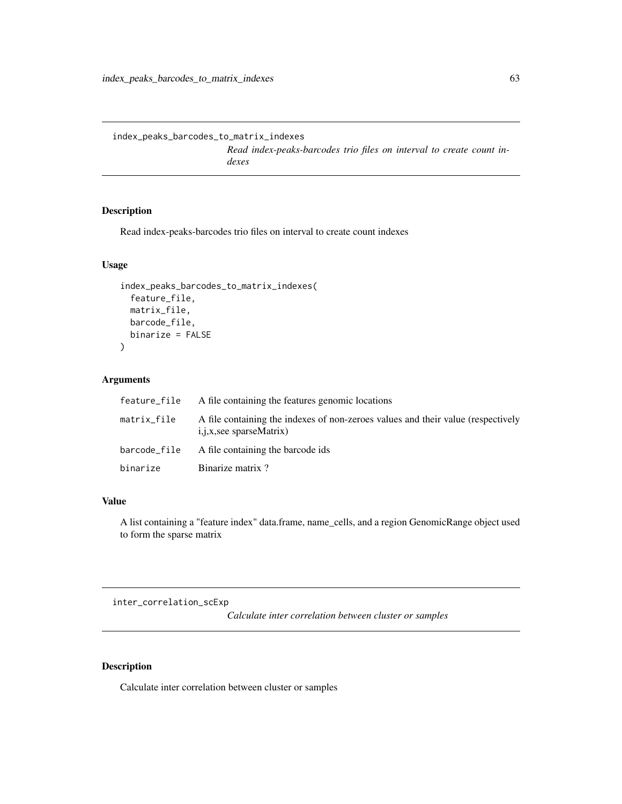index\_peaks\_barcodes\_to\_matrix\_indexes

*Read index-peaks-barcodes trio files on interval to create count indexes*

## Description

Read index-peaks-barcodes trio files on interval to create count indexes

### Usage

```
index_peaks_barcodes_to_matrix_indexes(
  feature_file,
 matrix_file,
 barcode_file,
 binarize = FALSE
)
```
### Arguments

| feature_file | A file containing the features genomic locations                                                                   |
|--------------|--------------------------------------------------------------------------------------------------------------------|
| matrix_file  | A file containing the indexes of non-zeroes values and their value (respectively<br><i>i,j,x,see sparseMatrix)</i> |
| barcode_file | A file containing the barcode ids                                                                                  |
| binarize     | Binarize matrix?                                                                                                   |

### Value

A list containing a "feature index" data.frame, name\_cells, and a region GenomicRange object used to form the sparse matrix

inter\_correlation\_scExp

*Calculate inter correlation between cluster or samples*

### Description

Calculate inter correlation between cluster or samples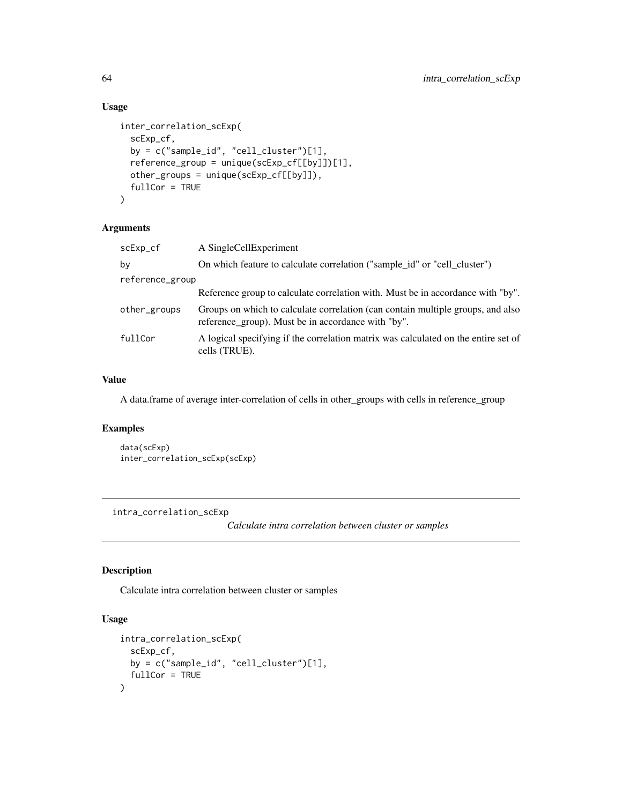# Usage

```
inter_correlation_scExp(
  scExp_cf,
 by = c("sample_id", "cell_cluster")[1],
 reference_group = unique(scExp_cf[[by]])[1],
 other_groups = unique(scExp_cf[[by]]),
  fullCor = TRUE
)
```
# Arguments

| scExp_cf        | A SingleCellExperiment                                                                                                                |
|-----------------|---------------------------------------------------------------------------------------------------------------------------------------|
| by              | On which feature to calculate correlation ("sample_id" or "cell_cluster")                                                             |
| reference_group |                                                                                                                                       |
|                 | Reference group to calculate correlation with. Must be in accordance with "by".                                                       |
| other_groups    | Groups on which to calculate correlation (can contain multiple groups, and also<br>reference_group). Must be in accordance with "by". |
| fullCor         | A logical specifying if the correlation matrix was calculated on the entire set of<br>cells (TRUE).                                   |

### Value

A data.frame of average inter-correlation of cells in other\_groups with cells in reference\_group

#### Examples

data(scExp) inter\_correlation\_scExp(scExp)

intra\_correlation\_scExp

*Calculate intra correlation between cluster or samples*

## Description

Calculate intra correlation between cluster or samples

# Usage

```
intra_correlation_scExp(
 scExp_cf,
 by = c("sample_id", "cell_cluster")[1],
  fullCor = TRUE
)
```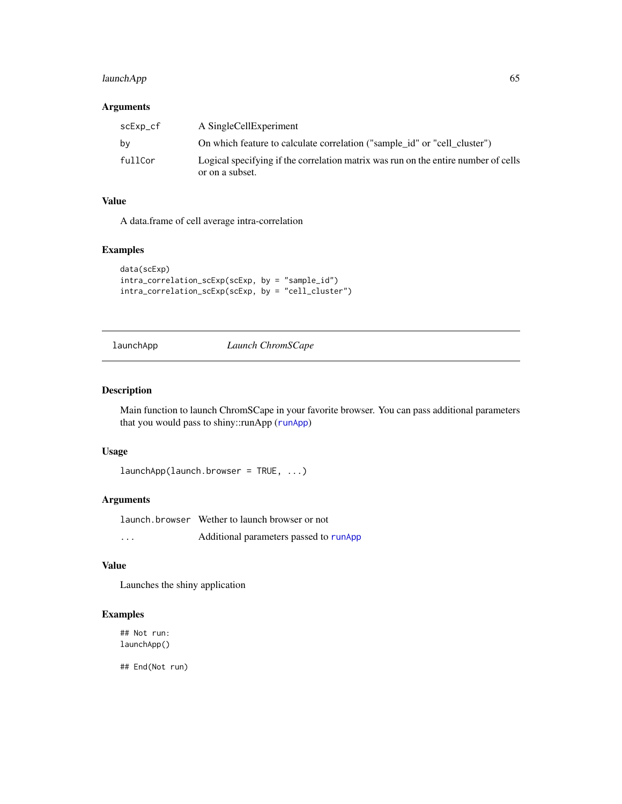## launchApp 65

#### Arguments

| scExp_cf | A SingleCellExperiment                                                                                |
|----------|-------------------------------------------------------------------------------------------------------|
| by       | On which feature to calculate correlation ("sample_id" or "cell_cluster")                             |
| fullCor  | Logical specifying if the correlation matrix was run on the entire number of cells<br>or on a subset. |

### Value

A data.frame of cell average intra-correlation

## Examples

```
data(scExp)
intra_correlation_scExp(scExp, by = "sample_id")
intra_correlation_scExp(scExp, by = "cell_cluster")
```
launchApp *Launch ChromSCape*

## Description

Main function to launch ChromSCape in your favorite browser. You can pass additional parameters that you would pass to shiny::runApp ([runApp](#page-0-0))

## Usage

```
launchApp(launch.browser = TRUE, ...)
```
# Arguments

launch.browser Wether to launch browser or not ... Additional parameters passed to [runApp](#page-0-0)

### Value

Launches the shiny application

## Examples

## Not run: launchApp()

## End(Not run)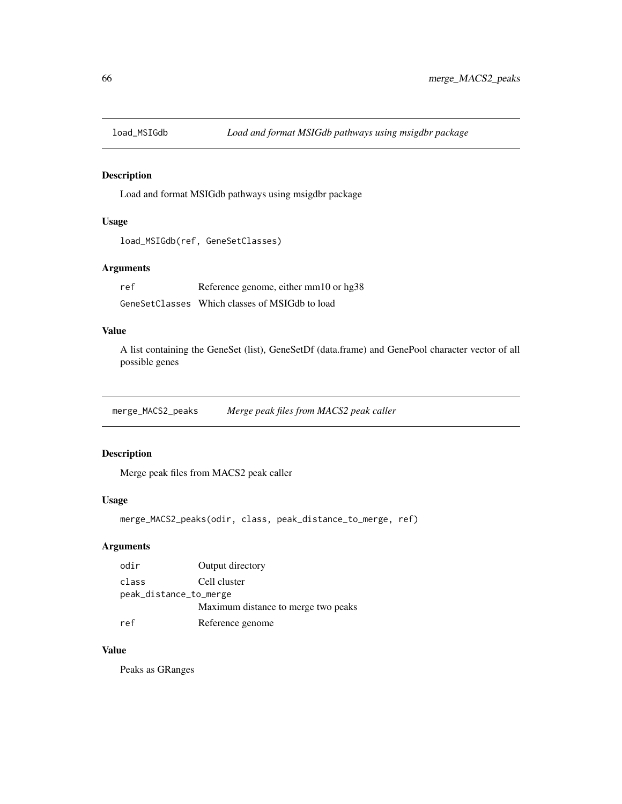## Description

Load and format MSIGdb pathways using msigdbr package

#### Usage

```
load_MSIGdb(ref, GeneSetClasses)
```
## Arguments

ref Reference genome, either mm10 or hg38 GeneSetClasses Which classes of MSIGdb to load

# Value

A list containing the GeneSet (list), GeneSetDf (data.frame) and GenePool character vector of all possible genes

merge\_MACS2\_peaks *Merge peak files from MACS2 peak caller*

### Description

Merge peak files from MACS2 peak caller

### Usage

merge\_MACS2\_peaks(odir, class, peak\_distance\_to\_merge, ref)

### Arguments

| odir                   | Output directory                    |
|------------------------|-------------------------------------|
| class                  | Cell cluster                        |
| peak_distance_to_merge |                                     |
|                        | Maximum distance to merge two peaks |
| ref                    | Reference genome                    |

### Value

Peaks as GRanges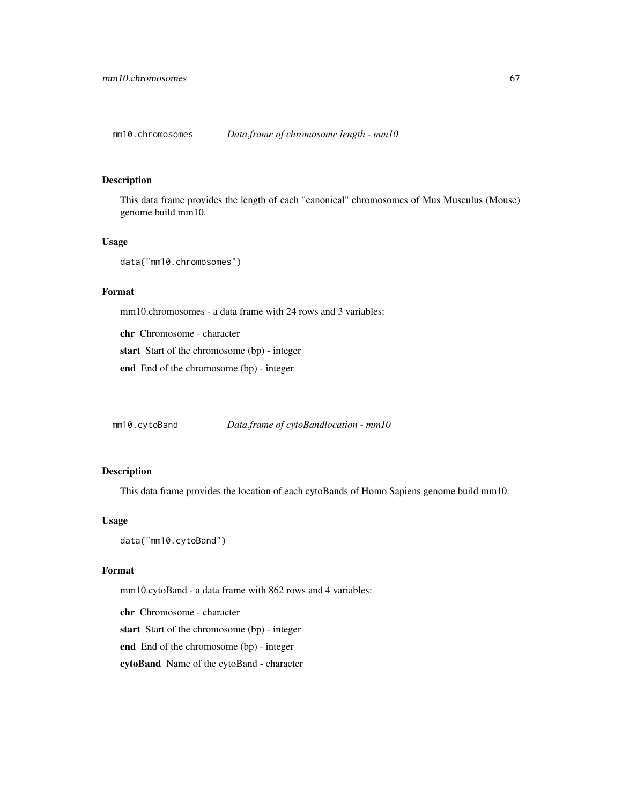mm10.chromosomes *Data.frame of chromosome length - mm10*

#### Description

This data frame provides the length of each "canonical" chromosomes of Mus Musculus (Mouse) genome build mm10.

#### Usage

```
data("mm10.chromosomes")
```
### Format

mm10.chromosomes - a data frame with 24 rows and 3 variables:

chr Chromosome - character

start Start of the chromosome (bp) - integer

end End of the chromosome (bp) - integer

mm10.cytoBand *Data.frame of cytoBandlocation - mm10*

#### Description

This data frame provides the location of each cytoBands of Homo Sapiens genome build mm10.

## Usage

```
data("mm10.cytoBand")
```
#### Format

mm10.cytoBand - a data frame with 862 rows and 4 variables:

chr Chromosome - character start Start of the chromosome (bp) - integer end End of the chromosome (bp) - integer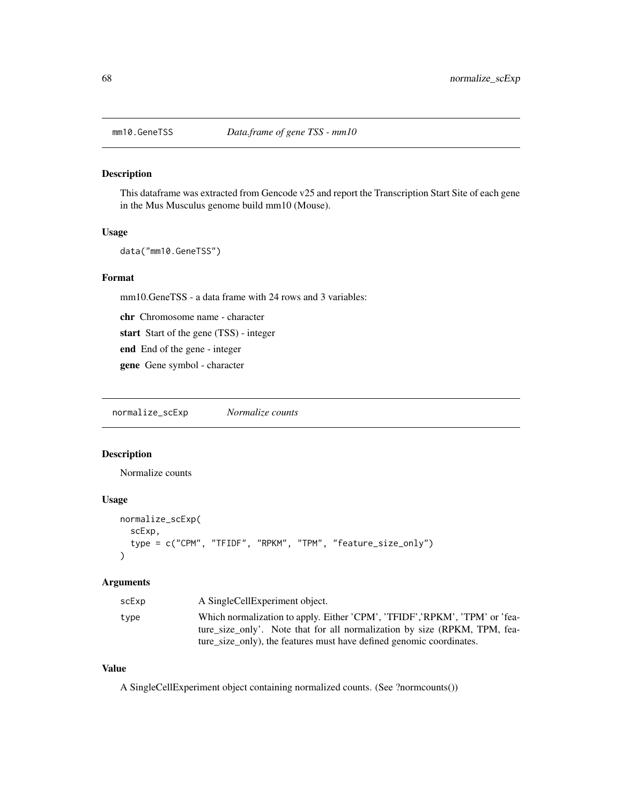### Description

This dataframe was extracted from Gencode v25 and report the Transcription Start Site of each gene in the Mus Musculus genome build mm10 (Mouse).

#### Usage

data("mm10.GeneTSS")

#### Format

mm10.GeneTSS - a data frame with 24 rows and 3 variables:

chr Chromosome name - character

start Start of the gene (TSS) - integer

end End of the gene - integer

gene Gene symbol - character

normalize\_scExp *Normalize counts*

#### Description

Normalize counts

#### Usage

```
normalize_scExp(
  scExp,
  type = c("CPM", "TFIDF", "RPKM", "TPM", "feature_size_only")
)
```
#### Arguments

| scExp | A SingleCellExperiment object.                                              |
|-------|-----------------------------------------------------------------------------|
| type  | Which normalization to apply. Either 'CPM', 'TFIDF', 'RPKM', 'TPM' or 'fea- |
|       | ture size only'. Note that for all normalization by size (RPKM, TPM, fea-   |
|       | ture_size_only), the features must have defined genomic coordinates.        |

### Value

A SingleCellExperiment object containing normalized counts. (See ?normcounts())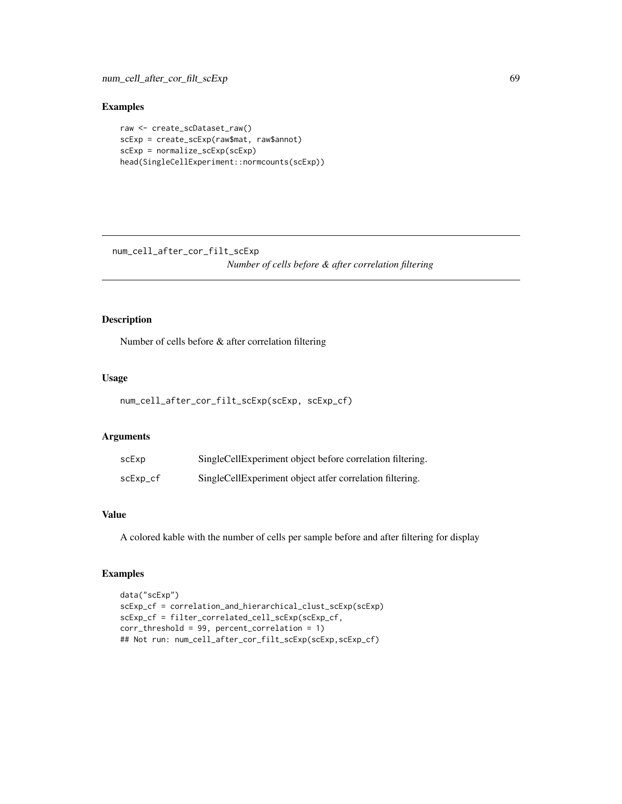num\_cell\_after\_cor\_filt\_scExp 69

# Examples

```
raw <- create_scDataset_raw()
scExp = create_scExp(raw$mat, raw$annot)
scExp = normalize_scExp(scExp)
head(SingleCellExperiment::normcounts(scExp))
```
num\_cell\_after\_cor\_filt\_scExp *Number of cells before & after correlation filtering*

## Description

Number of cells before & after correlation filtering

#### Usage

num\_cell\_after\_cor\_filt\_scExp(scExp, scExp\_cf)

# Arguments

| scExp    | SingleCellExperiment object before correlation filtering. |
|----------|-----------------------------------------------------------|
| scExp_cf | SingleCellExperiment object atfer correlation filtering.  |

### Value

A colored kable with the number of cells per sample before and after filtering for display

#### Examples

```
data("scExp")
scExp_cf = correlation_and_hierarchical_clust_scExp(scExp)
scExp_cf = filter_correlated_cell_scExp(scExp_cf,
corr_threshold = 99, percent_correlation = 1)
## Not run: num_cell_after_cor_filt_scExp(scExp,scExp_cf)
```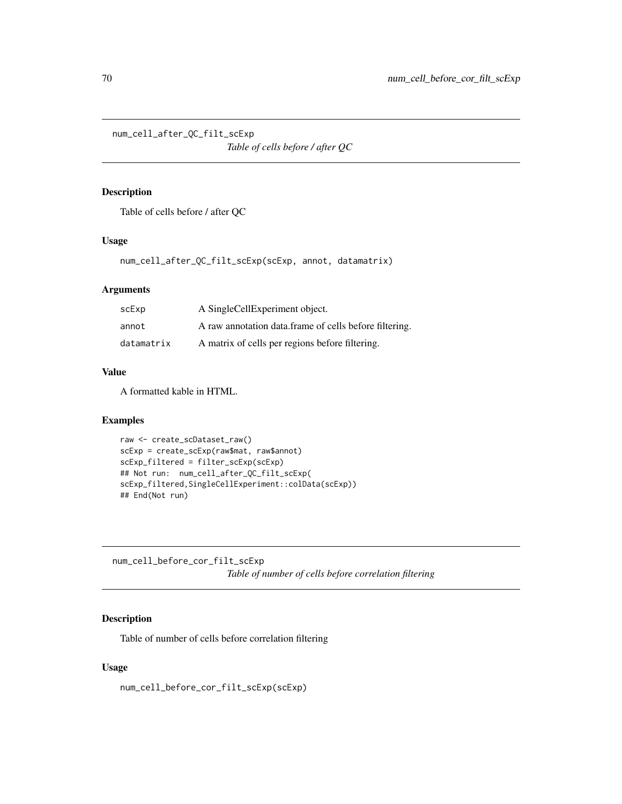num\_cell\_after\_QC\_filt\_scExp

*Table of cells before / after QC*

#### Description

Table of cells before / after QC

#### Usage

```
num_cell_after_QC_filt_scExp(scExp, annot, datamatrix)
```
#### Arguments

| scExp      | A SingleCellExperiment object.                         |
|------------|--------------------------------------------------------|
| annot      | A raw annotation data frame of cells before filtering. |
| datamatrix | A matrix of cells per regions before filtering.        |

# Value

A formatted kable in HTML.

### Examples

```
raw <- create_scDataset_raw()
scExp = create_scExp(raw$mat, raw$annot)
scExp_filtered = filter_scExp(scExp)
## Not run: num_cell_after_QC_filt_scExp(
scExp_filtered,SingleCellExperiment::colData(scExp))
## End(Not run)
```
num\_cell\_before\_cor\_filt\_scExp *Table of number of cells before correlation filtering*

# Description

Table of number of cells before correlation filtering

### Usage

num\_cell\_before\_cor\_filt\_scExp(scExp)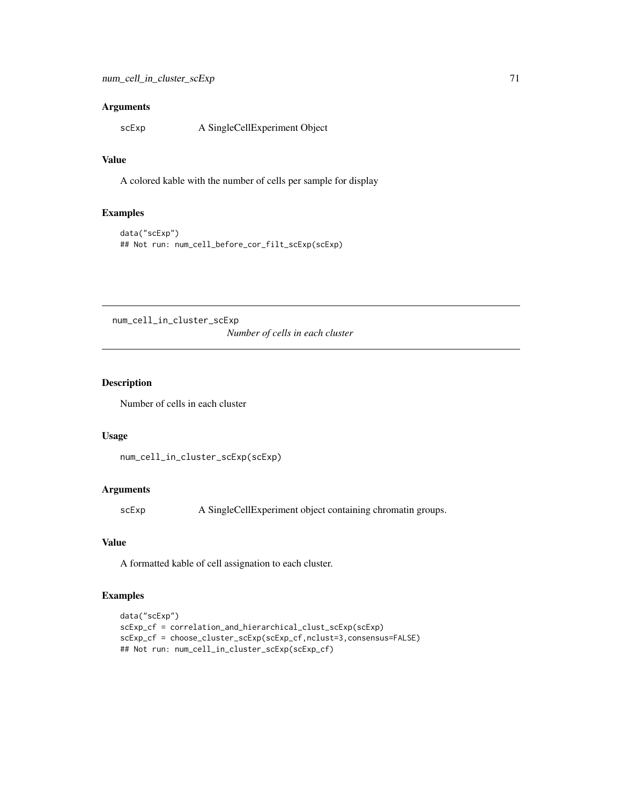### Arguments

scExp A SingleCellExperiment Object

#### Value

A colored kable with the number of cells per sample for display

# Examples

```
data("scExp")
## Not run: num_cell_before_cor_filt_scExp(scExp)
```
num\_cell\_in\_cluster\_scExp

*Number of cells in each cluster*

## Description

Number of cells in each cluster

#### Usage

```
num_cell_in_cluster_scExp(scExp)
```
#### Arguments

scExp A SingleCellExperiment object containing chromatin groups.

# Value

A formatted kable of cell assignation to each cluster.

## Examples

```
data("scExp")
scExp_cf = correlation_and_hierarchical_clust_scExp(scExp)
scExp_cf = choose_cluster_scExp(scExp_cf,nclust=3,consensus=FALSE)
## Not run: num_cell_in_cluster_scExp(scExp_cf)
```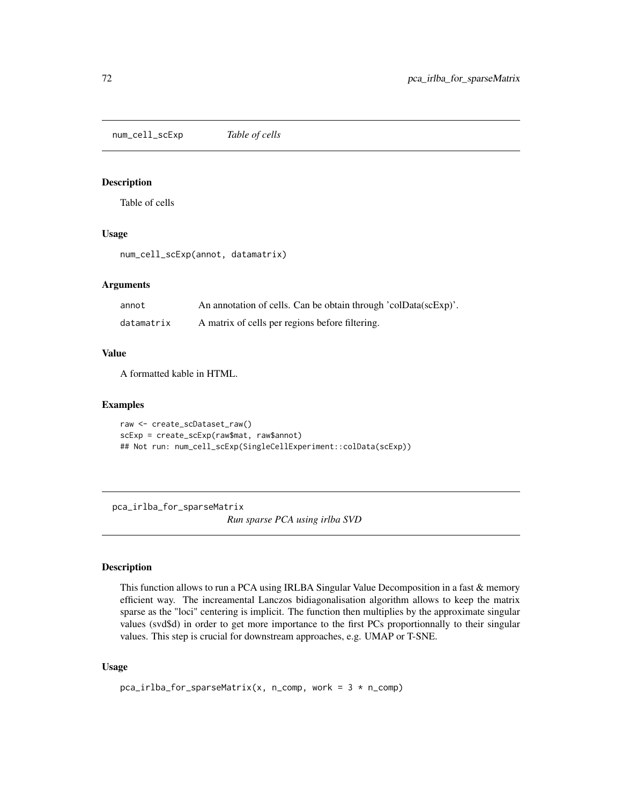num\_cell\_scExp *Table of cells*

#### Description

Table of cells

## Usage

num\_cell\_scExp(annot, datamatrix)

# Arguments

| annot      | An annotation of cells. Can be obtain through 'colData(scExp)'. |
|------------|-----------------------------------------------------------------|
| datamatrix | A matrix of cells per regions before filtering.                 |

#### Value

A formatted kable in HTML.

#### Examples

```
raw <- create_scDataset_raw()
scExp = create_scExp(raw$mat, raw$annot)
## Not run: num_cell_scExp(SingleCellExperiment::colData(scExp))
```
pca\_irlba\_for\_sparseMatrix *Run sparse PCA using irlba SVD*

#### Description

This function allows to run a PCA using IRLBA Singular Value Decomposition in a fast & memory efficient way. The increamental Lanczos bidiagonalisation algorithm allows to keep the matrix sparse as the "loci" centering is implicit. The function then multiplies by the approximate singular values (svd\$d) in order to get more importance to the first PCs proportionnally to their singular values. This step is crucial for downstream approaches, e.g. UMAP or T-SNE.

#### Usage

```
pca_irlba_for_sparseMatrix(x, n_comp, work = 3 * n_ccomp)
```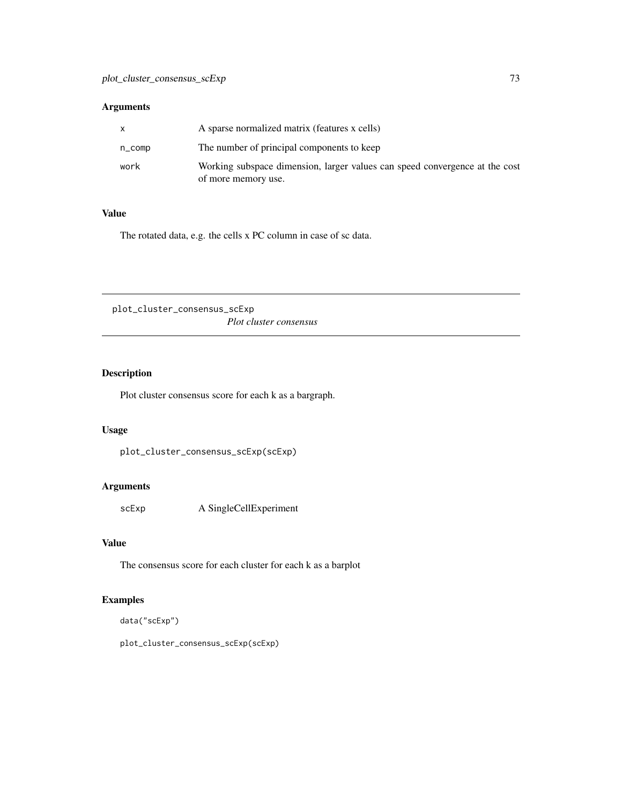# Arguments

|                 | A sparse normalized matrix (features x cells)                                                      |
|-----------------|----------------------------------------------------------------------------------------------------|
| $n_{\rm\_comp}$ | The number of principal components to keep                                                         |
| work            | Working subspace dimension, larger values can speed convergence at the cost<br>of more memory use. |

# Value

The rotated data, e.g. the cells x PC column in case of sc data.

plot\_cluster\_consensus\_scExp *Plot cluster consensus*

# Description

Plot cluster consensus score for each k as a bargraph.

# Usage

plot\_cluster\_consensus\_scExp(scExp)

# Arguments

scExp A SingleCellExperiment

# Value

The consensus score for each cluster for each k as a barplot

# Examples

data("scExp")

plot\_cluster\_consensus\_scExp(scExp)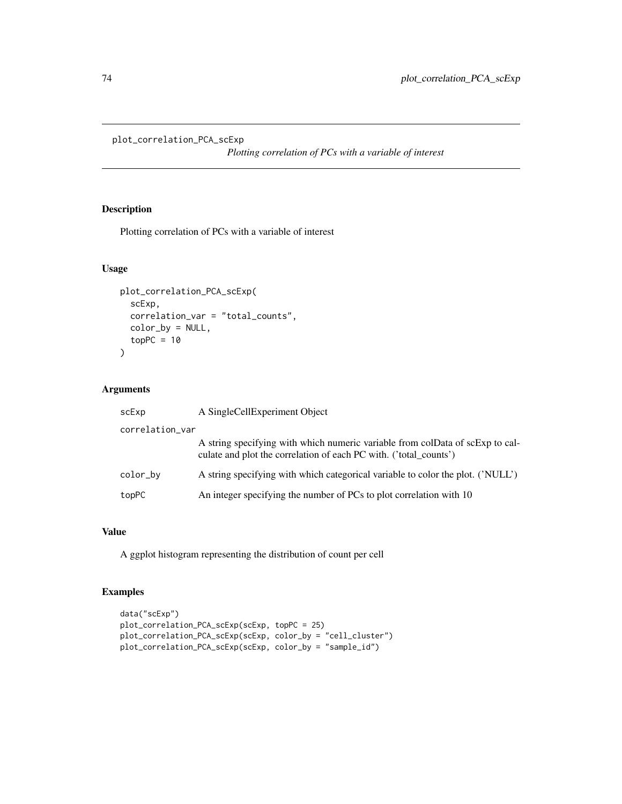plot\_correlation\_PCA\_scExp

*Plotting correlation of PCs with a variable of interest*

# Description

Plotting correlation of PCs with a variable of interest

# Usage

```
plot_correlation_PCA_scExp(
  scExp,
  correlation_var = "total_counts",
  color_by = NULL,
  topPC = 10\mathcal{L}
```
# Arguments

| scExp           | A SingleCellExperiment Object                                                                                                                      |
|-----------------|----------------------------------------------------------------------------------------------------------------------------------------------------|
| correlation_var |                                                                                                                                                    |
|                 | A string specifying with which numeric variable from colData of scExp to cal-<br>culate and plot the correlation of each PC with. ('total_counts') |
| color_by        | A string specifying with which categorical variable to color the plot. ('NULL')                                                                    |
| topPC           | An integer specifying the number of PCs to plot correlation with 10                                                                                |

# Value

A ggplot histogram representing the distribution of count per cell

# Examples

```
data("scExp")
plot_correlation_PCA_scExp(scExp, topPC = 25)
plot_correlation_PCA_scExp(scExp, color_by = "cell_cluster")
plot_correlation_PCA_scExp(scExp, color_by = "sample_id")
```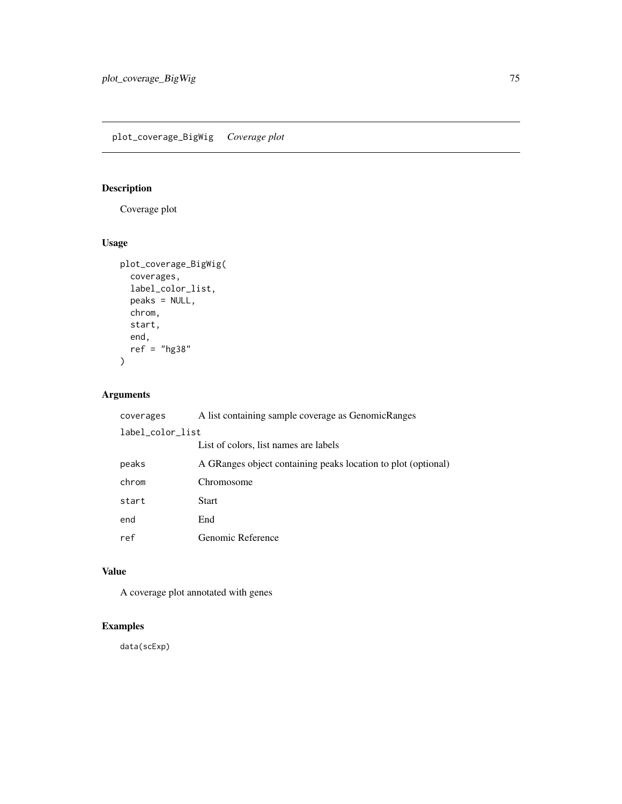# Description

Coverage plot

# Usage

```
plot_coverage_BigWig(
  coverages,
  label_color_list,
  peaks = NULL,
  chrom,
  start,
  end,
  ref = "hg38"\mathcal{L}
```
# Arguments

| coverages        | A list containing sample coverage as Genomic Ranges           |
|------------------|---------------------------------------------------------------|
| label_color_list |                                                               |
|                  | List of colors, list names are labels                         |
| peaks            | A GRanges object containing peaks location to plot (optional) |
| chrom            | Chromosome                                                    |
| start            | <b>Start</b>                                                  |
| end              | End                                                           |
| ref              | Genomic Reference                                             |

# Value

A coverage plot annotated with genes

# Examples

data(scExp)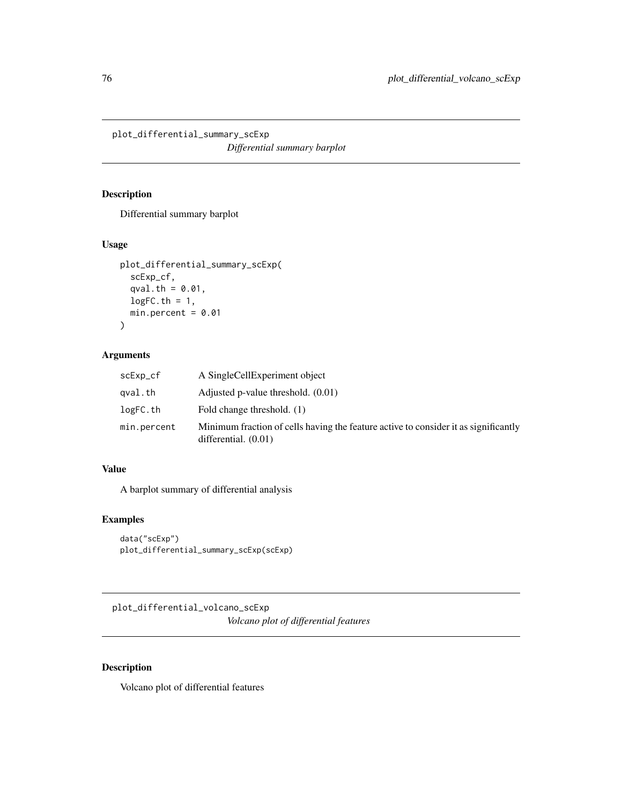plot\_differential\_summary\_scExp *Differential summary barplot*

# Description

Differential summary barplot

# Usage

```
plot_differential_summary_scExp(
  scExp_cf,
  qval.th = 0.01,
  logFC.th = 1,min.percent = 0.01\mathcal{L}
```
# Arguments

| scExp_cf    | A Single Cell Experiment object                                                                               |
|-------------|---------------------------------------------------------------------------------------------------------------|
| qval.th     | Adjusted p-value threshold. $(0.01)$                                                                          |
| logFC.th    | Fold change threshold. (1)                                                                                    |
| min.percent | Minimum fraction of cells having the feature active to consider it as significantly<br>differential. $(0.01)$ |

# Value

A barplot summary of differential analysis

# Examples

```
data("scExp")
plot_differential_summary_scExp(scExp)
```
plot\_differential\_volcano\_scExp *Volcano plot of differential features*

# Description

Volcano plot of differential features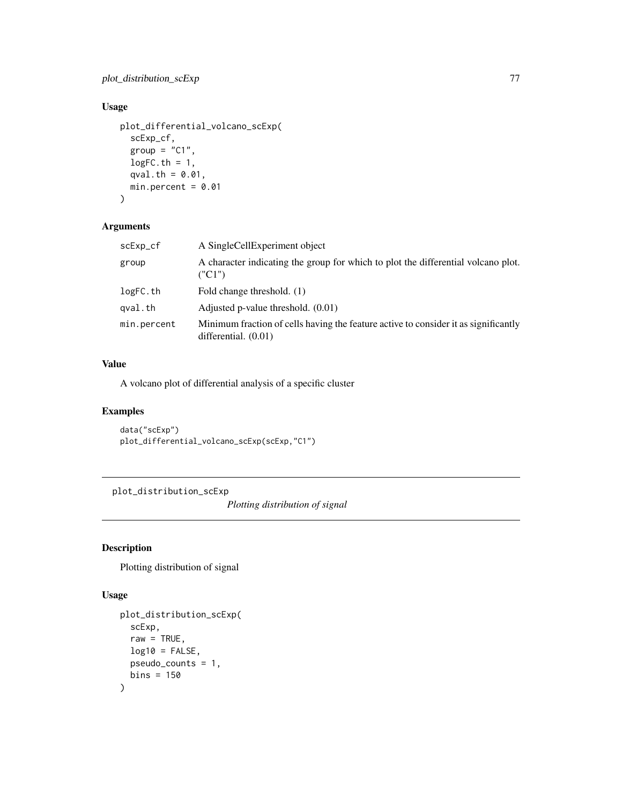# Usage

```
plot_differential_volcano_scExp(
  scExp_cf,
 group = "C1",logFC.th = 1,qval.th = 0.01,
 min.percent = 0.01)
```
# Arguments

| A SingleCellExperiment object                                                                                 |
|---------------------------------------------------------------------------------------------------------------|
| A character indicating the group for which to plot the differential volcano plot.<br>(TCl'')                  |
| Fold change threshold. (1)                                                                                    |
| Adjusted p-value threshold. (0.01)                                                                            |
| Minimum fraction of cells having the feature active to consider it as significantly<br>differential. $(0.01)$ |
|                                                                                                               |

# Value

A volcano plot of differential analysis of a specific cluster

# Examples

```
data("scExp")
plot_differential_volcano_scExp(scExp,"C1")
```
plot\_distribution\_scExp

*Plotting distribution of signal*

# Description

Plotting distribution of signal

#### Usage

```
plot_distribution_scExp(
  scExp,
  raw = TRUE,
  log10 = FALSE,pseudo_counts = 1,
  bins = 150
\mathcal{E}
```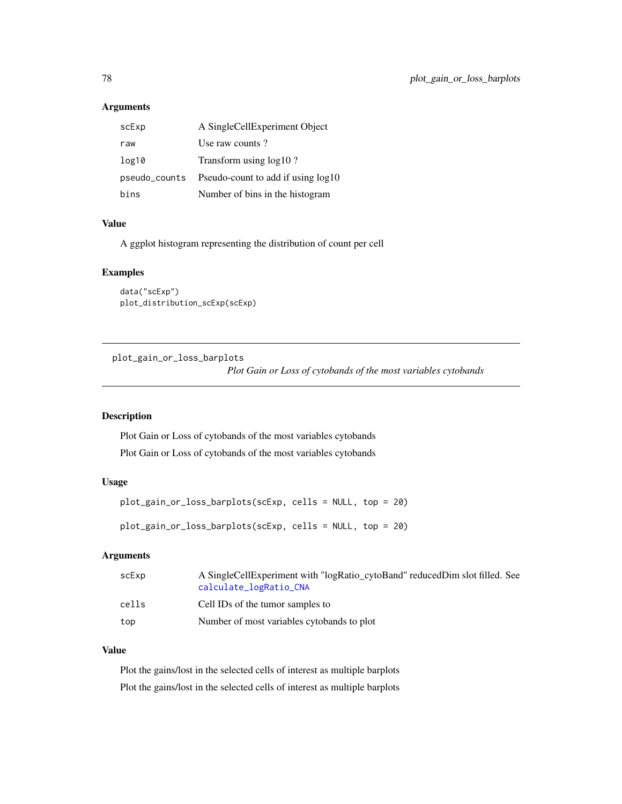# Arguments

| scExp         | A SingleCellExperiment Object      |
|---------------|------------------------------------|
| raw           | Use raw counts?                    |
| log10         | Transform using $log10$ ?          |
| pseudo_counts | Pseudo-count to add if using log10 |
| bins          | Number of bins in the histogram    |

# Value

A ggplot histogram representing the distribution of count per cell

## Examples

```
data("scExp")
plot_distribution_scExp(scExp)
```
plot\_gain\_or\_loss\_barplots *Plot Gain or Loss of cytobands of the most variables cytobands*

# Description

Plot Gain or Loss of cytobands of the most variables cytobands Plot Gain or Loss of cytobands of the most variables cytobands

# Usage

```
plot_gain_or_loss_barplots(scExp, cells = NULL, top = 20)
plot_gain_or_loss_barplots(scExp, cells = NULL, top = 20)
```
# Arguments

| scExp | A SingleCellExperiment with "logRatio_cytoBand" reducedDim slot filled. See<br>calculate_logRatio_CNA |
|-------|-------------------------------------------------------------------------------------------------------|
| cells | Cell IDs of the tumor samples to                                                                      |
| top   | Number of most variables cytobands to plot                                                            |

# Value

Plot the gains/lost in the selected cells of interest as multiple barplots Plot the gains/lost in the selected cells of interest as multiple barplots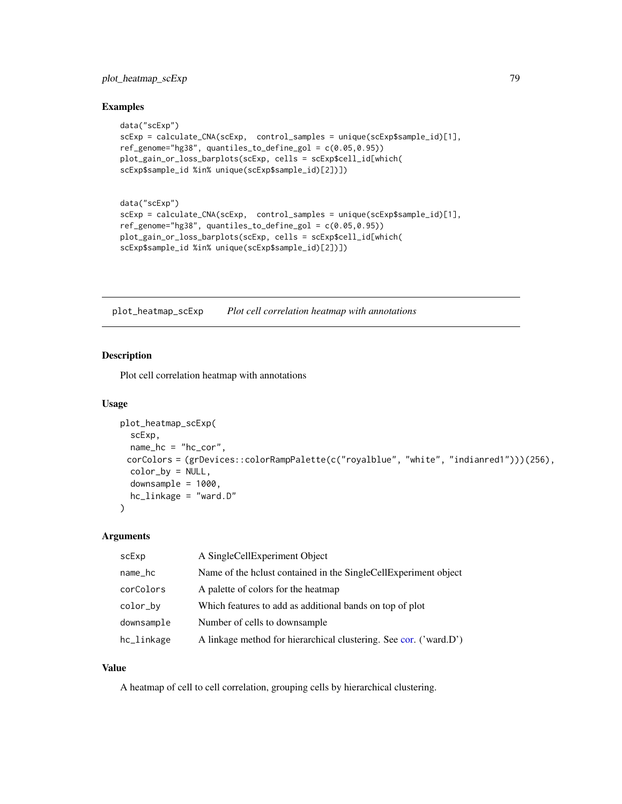# plot\_heatmap\_scExp 79

#### Examples

```
data("scExp")
scExp = calculate_CNA(scExp, control_samples = unique(scExp$sample_id)[1],
ref_genome="hg38", quantiles_to_define_gol = c(0.05,0.95))
plot_gain_or_loss_barplots(scExp, cells = scExp$cell_id[which(
scExp$sample_id %in% unique(scExp$sample_id)[2])])
data("scExp")
scExp = calculate_CNA(scExp, control_samples = unique(scExp$sample_id)[1],
```

```
ref_genome="hg38", quantiles_to_define_gol = c(0.05,0.95))
plot_gain_or_loss_barplots(scExp, cells = scExp$cell_id[which(
scExp$sample_id %in% unique(scExp$sample_id)[2])])
```
plot\_heatmap\_scExp *Plot cell correlation heatmap with annotations*

## Description

Plot cell correlation heatmap with annotations

#### Usage

```
plot_heatmap_scExp(
  scExp,
  name_hc = "hc_cor",
 corColors = (grDevices::colorRampPalette(c("royalblue", "white", "indianred1")))(256),
  color_by = NULL,
  downsample = 1000,
  hc_linkage = "ward.D"
)
```
# Arguments

| scExp      | A SingleCellExperiment Object                                     |
|------------|-------------------------------------------------------------------|
| name_hc    | Name of the holust contained in the SingleCellExperiment object   |
| corColors  | A palette of colors for the heatmap                               |
| color_by   | Which features to add as additional bands on top of plot          |
| downsample | Number of cells to downsample                                     |
| hc_linkage | A linkage method for hierarchical clustering. See cor. ('ward.D') |

# Value

A heatmap of cell to cell correlation, grouping cells by hierarchical clustering.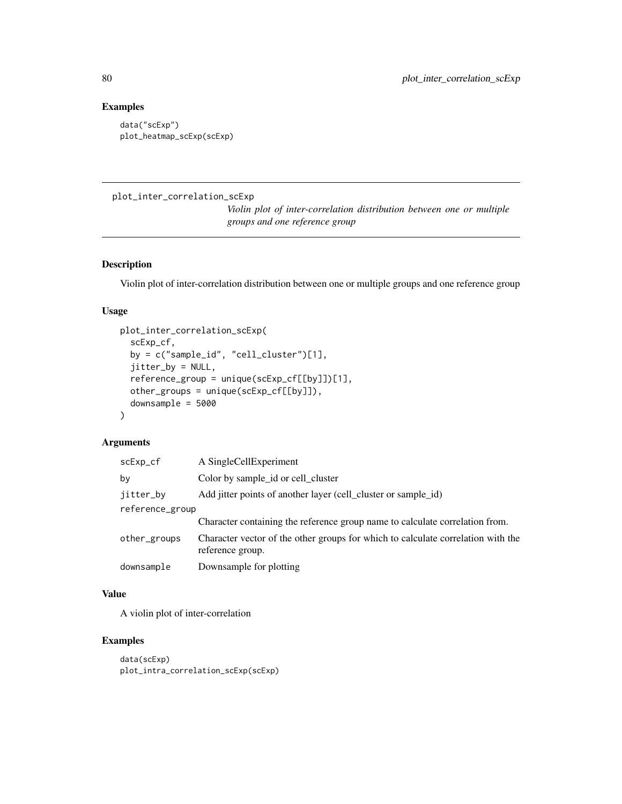# Examples

```
data("scExp")
plot_heatmap_scExp(scExp)
```
# plot\_inter\_correlation\_scExp

*Violin plot of inter-correlation distribution between one or multiple groups and one reference group*

## Description

Violin plot of inter-correlation distribution between one or multiple groups and one reference group

#### Usage

```
plot_inter_correlation_scExp(
  scExp_cf,
 by = c("sample_id", "cell_cluster")[1],
  jitter_by = NULL,
  reference_group = unique(scExp_cf[[by]])[1],
  other_groups = unique(scExp_cf[[by]]),
  downsample = 5000
)
```
# Arguments

| scExp_cf        | A SingleCellExperiment                                                                               |
|-----------------|------------------------------------------------------------------------------------------------------|
| by              | Color by sample_id or cell_cluster                                                                   |
| jitter_by       | Add jitter points of another layer (cell_cluster or sample_id)                                       |
| reference_group |                                                                                                      |
|                 | Character containing the reference group name to calculate correlation from.                         |
| other_groups    | Character vector of the other groups for which to calculate correlation with the<br>reference group. |
| downsample      | Downsample for plotting                                                                              |

#### Value

A violin plot of inter-correlation

#### Examples

data(scExp) plot\_intra\_correlation\_scExp(scExp)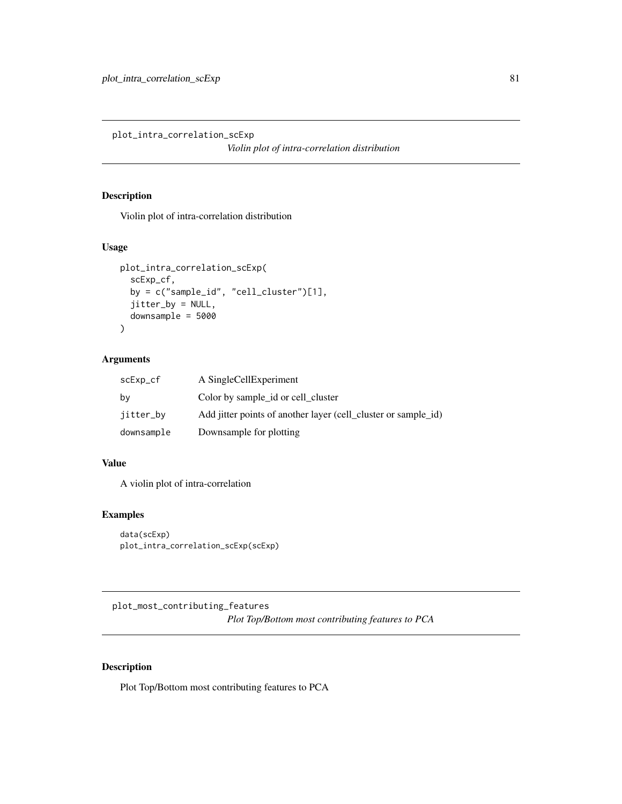plot\_intra\_correlation\_scExp

*Violin plot of intra-correlation distribution*

# Description

Violin plot of intra-correlation distribution

# Usage

```
plot_intra_correlation_scExp(
  scExp_cf,
 by = c("sample_id", "cell_cluster")[1],
  jitter_by = NULL,
 downsample = 5000
)
```
# Arguments

| scExp_cf   | A SingleCellExperiment                                         |
|------------|----------------------------------------------------------------|
| by         | Color by sample id or cell cluster                             |
| jitter_by  | Add jitter points of another layer (cell_cluster or sample_id) |
| downsample | Downsample for plotting                                        |

## Value

A violin plot of intra-correlation

# Examples

```
data(scExp)
plot_intra_correlation_scExp(scExp)
```
plot\_most\_contributing\_features *Plot Top/Bottom most contributing features to PCA*

# Description

Plot Top/Bottom most contributing features to PCA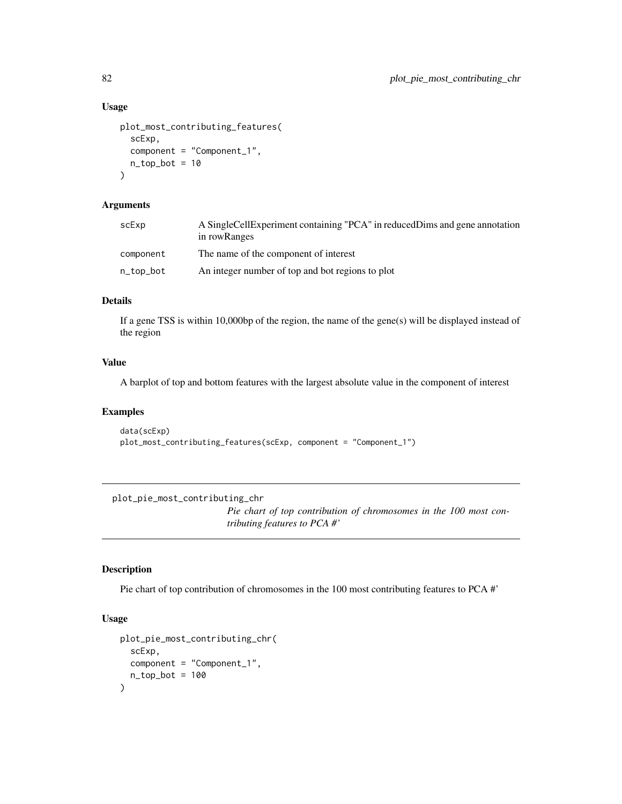# Usage

```
plot_most_contributing_features(
  scExp,
  component = "Component_1",
  n_t top_bot = 10
\lambda
```
# Arguments

| scExp     | A SingleCellExperiment containing "PCA" in reducedDims and gene annotation<br>in rowRanges |
|-----------|--------------------------------------------------------------------------------------------|
| component | The name of the component of interest                                                      |
| n_top_bot | An integer number of top and bot regions to plot                                           |

## Details

If a gene TSS is within 10,000bp of the region, the name of the gene(s) will be displayed instead of the region

#### Value

A barplot of top and bottom features with the largest absolute value in the component of interest

#### Examples

```
data(scExp)
plot_most_contributing_features(scExp, component = "Component_1")
```
plot\_pie\_most\_contributing\_chr

*Pie chart of top contribution of chromosomes in the 100 most contributing features to PCA #'*

# Description

Pie chart of top contribution of chromosomes in the 100 most contributing features to PCA #'

# Usage

```
plot_pie_most_contributing_chr(
  scExp,
 component = "Component_1",
  n_t top_bot = 100
)
```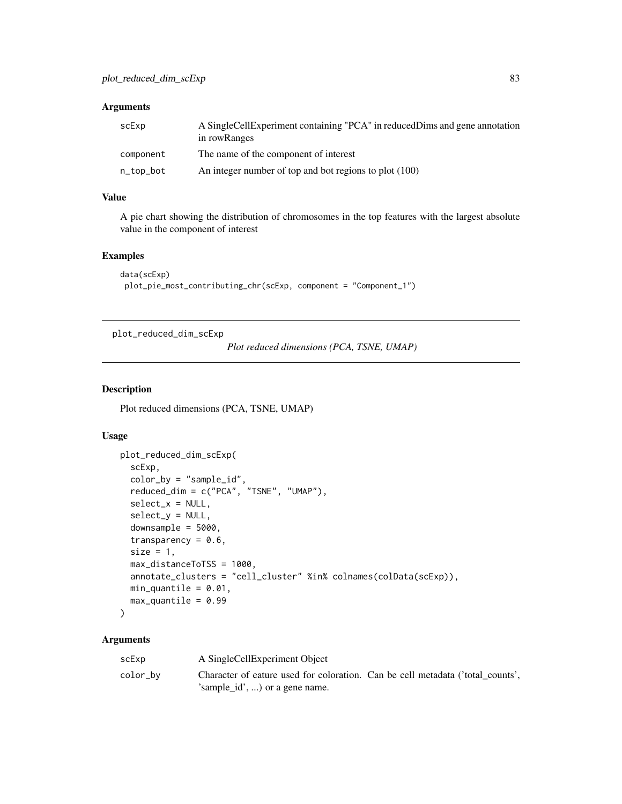## Arguments

| scExp     | A Single Cell Experiment containing "PCA" in reduced Dims and gene annotation<br>in rowRanges |
|-----------|-----------------------------------------------------------------------------------------------|
| component | The name of the component of interest                                                         |
| n_top_bot | An integer number of top and bot regions to plot (100)                                        |

# Value

A pie chart showing the distribution of chromosomes in the top features with the largest absolute value in the component of interest

# Examples

```
data(scExp)
plot_pie_most_contributing_chr(scExp, component = "Component_1")
```
plot\_reduced\_dim\_scExp

*Plot reduced dimensions (PCA, TSNE, UMAP)*

#### Description

Plot reduced dimensions (PCA, TSNE, UMAP)

# Usage

```
plot_reduced_dim_scExp(
  scExp,
  color_by = "sample_id",
  reduced_dim = c("PCA", "TSNE", "UMAP"),
  select_x = NULL,select_y = NULL,
  downsample = 5000,
  transparency = 0.6,
  size = 1,
 max_distanceToTSS = 1000,
  annotate_clusters = "cell_cluster" %in% colnames(colData(scExp)),
 min\_quantile = 0.01,
  max_quantile = 0.99)
```
#### Arguments

| scExp    | A SingleCellExperiment Object                                                                                           |  |
|----------|-------------------------------------------------------------------------------------------------------------------------|--|
| color_by | Character of eature used for coloration. Can be cell metadata ('total counts',<br>$'sample_id', \ldots$ or a gene name. |  |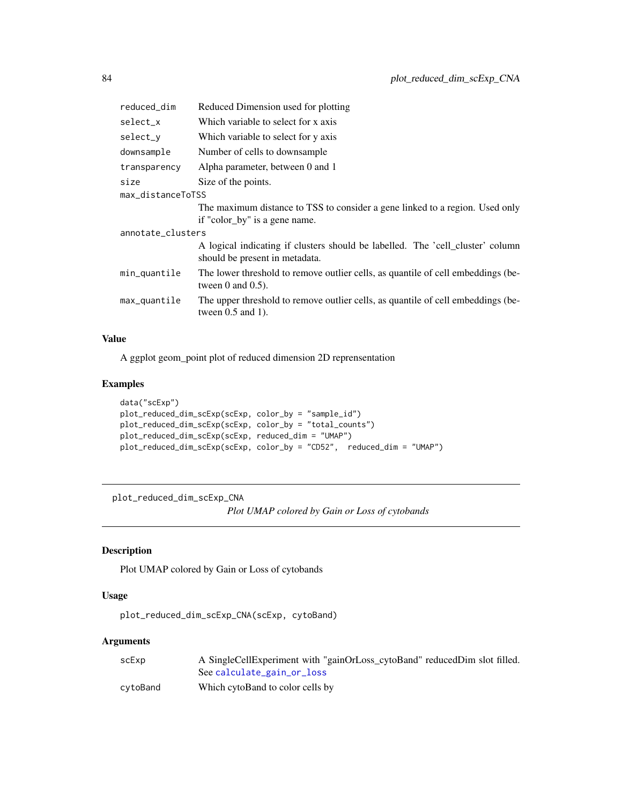| reduced_dim       | Reduced Dimension used for plotting                                                                              |  |
|-------------------|------------------------------------------------------------------------------------------------------------------|--|
| select_x          | Which variable to select for x axis                                                                              |  |
| select_y          | Which variable to select for y axis                                                                              |  |
| downsample        | Number of cells to downsample                                                                                    |  |
| transparency      | Alpha parameter, between 0 and 1                                                                                 |  |
| size              | Size of the points.                                                                                              |  |
| max_distanceToTSS |                                                                                                                  |  |
|                   | The maximum distance to TSS to consider a gene linked to a region. Used only<br>if "color by" is a gene name.    |  |
| annotate_clusters |                                                                                                                  |  |
|                   | A logical indicating if clusters should be labelled. The 'cell_cluster' column<br>should be present in metadata. |  |
| min_quantile      | The lower threshold to remove outlier cells, as quantile of cell embeddings (be-<br>tween $0$ and $0.5$ ).       |  |
| max_quantile      | The upper threshold to remove outlier cells, as quantile of cell embeddings (be-<br>tween $0.5$ and $1$ ).       |  |
|                   |                                                                                                                  |  |

# Value

A ggplot geom\_point plot of reduced dimension 2D reprensentation

# Examples

```
data("scExp")
plot_reduced_dim_scExp(scExp, color_by = "sample_id")
plot_reduced_dim_scExp(scExp, color_by = "total_counts")
plot_reduced_dim_scExp(scExp, reduced_dim = "UMAP")
plot_reduced_dim_scExp(scExp, color_by = "CD52", reduced_dim = "UMAP")
```
plot\_reduced\_dim\_scExp\_CNA

*Plot UMAP colored by Gain or Loss of cytobands*

# Description

Plot UMAP colored by Gain or Loss of cytobands

#### Usage

```
plot_reduced_dim_scExp_CNA(scExp, cytoBand)
```
#### Arguments

| scExp    | A SingleCellExperiment with "gainOrLoss_cytoBand" reducedDim slot filled. |
|----------|---------------------------------------------------------------------------|
|          | See calculate_gain_or_loss                                                |
| cytoBand | Which cytoBand to color cells by                                          |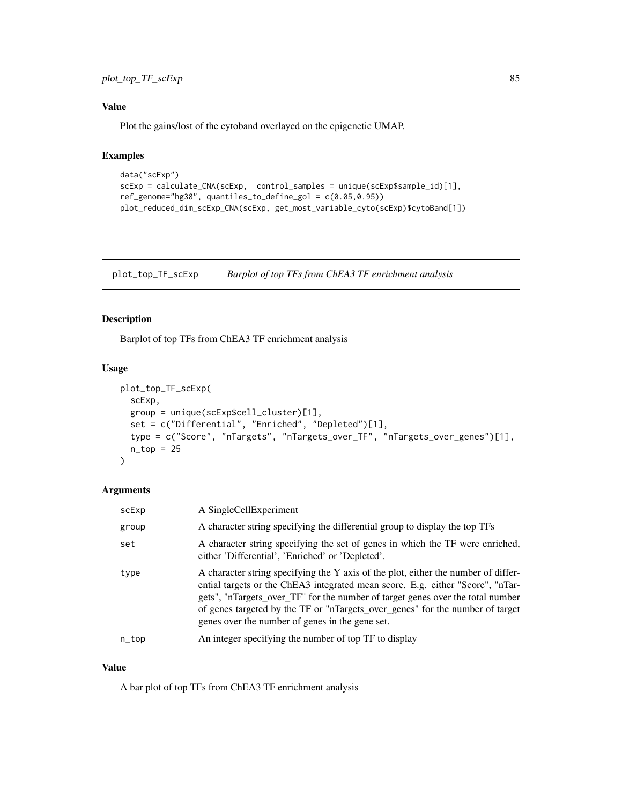# plot\_top\_TF\_scExp 85

# Value

Plot the gains/lost of the cytoband overlayed on the epigenetic UMAP.

# Examples

```
data("scExp")
scExp = calculate_CNA(scExp, control_samples = unique(scExp$sample_id)[1],
ref_genome="hg38", quantiles_to_define_gol = c(0.05,0.95))
plot_reduced_dim_scExp_CNA(scExp, get_most_variable_cyto(scExp)$cytoBand[1])
```
plot\_top\_TF\_scExp *Barplot of top TFs from ChEA3 TF enrichment analysis*

# Description

Barplot of top TFs from ChEA3 TF enrichment analysis

# Usage

```
plot_top_TF_scExp(
  scExp,
  group = unique(scExp$cell_cluster)[1],
  set = c("Differential", "Enriched", "Depleted")[1],
  type = c("Score", "nTargets", "nTargets_over_TF", "nTargets_over_genes")[1],
  n\_top = 25)
```
#### Arguments

| scExp | A SingleCellExperiment                                                                                                                                                                                                                                                                                                                                                                     |
|-------|--------------------------------------------------------------------------------------------------------------------------------------------------------------------------------------------------------------------------------------------------------------------------------------------------------------------------------------------------------------------------------------------|
| group | A character string specifying the differential group to display the top TFs                                                                                                                                                                                                                                                                                                                |
| set   | A character string specifying the set of genes in which the TF were enriched,<br>either 'Differential', 'Enriched' or 'Depleted'.                                                                                                                                                                                                                                                          |
| type  | A character string specifying the Y axis of the plot, either the number of differ-<br>ential targets or the ChEA3 integrated mean score. E.g. either "Score", "nTar-<br>gets", "nTargets_over_TF" for the number of target genes over the total number<br>of genes targeted by the TF or "nTargets_over_genes" for the number of target<br>genes over the number of genes in the gene set. |
| n_top | An integer specifying the number of top TF to display                                                                                                                                                                                                                                                                                                                                      |

#### Value

A bar plot of top TFs from ChEA3 TF enrichment analysis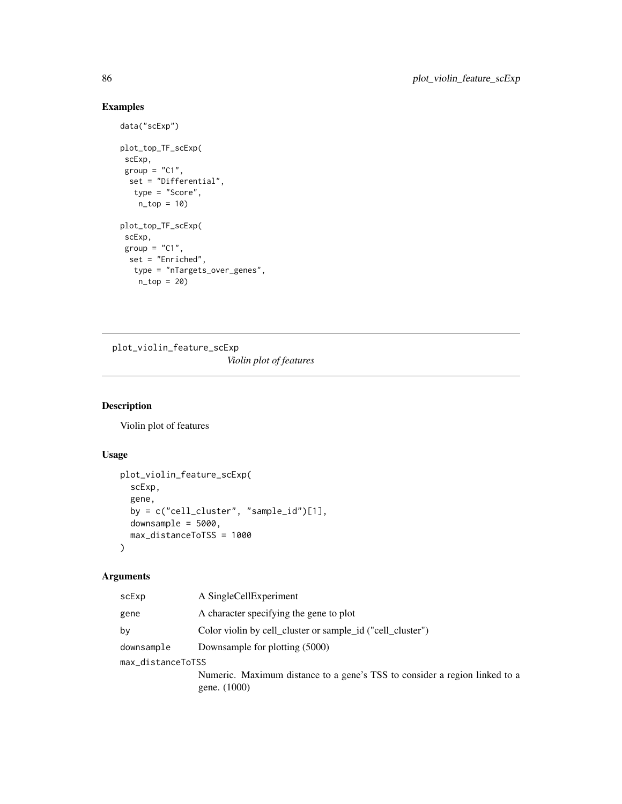# Examples

data("scExp")

```
plot_top_TF_scExp(
 scExp,
 group = "C1",set = "Differential",
  type = "Score",
   n_{top} = 10plot_top_TF_scExp(
 scExp,
 group = "C1",set = "Enriched",
  type = "nTargets_over_genes",
   n_top = 20)
```
plot\_violin\_feature\_scExp *Violin plot of features*

# Description

Violin plot of features

# Usage

```
plot_violin_feature_scExp(
  scExp,
  gene,
 by = c("cell_cluster", "sample_id")[1],
 downsample = 5000,
 max_distanceToTSS = 1000
)
```
# Arguments

| scExp             | A SingleCellExperiment                                                                       |  |
|-------------------|----------------------------------------------------------------------------------------------|--|
| gene              | A character specifying the gene to plot                                                      |  |
| bν                | Color violin by cell cluster or sample id ("cell cluster")                                   |  |
| downsample        | Downsample for plotting (5000)                                                               |  |
| max_distanceToTSS |                                                                                              |  |
|                   | Numeric. Maximum distance to a gene's TSS to consider a region linked to a<br>gene. $(1000)$ |  |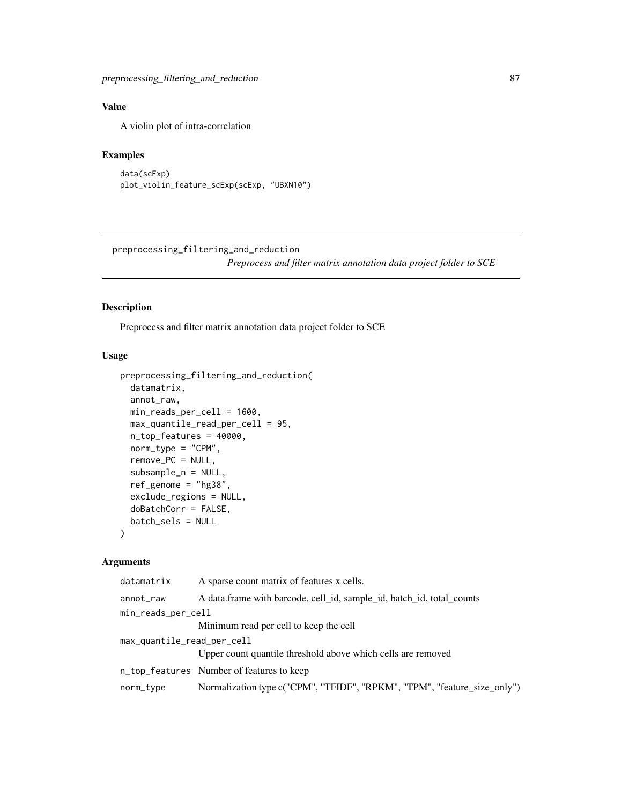# Value

A violin plot of intra-correlation

#### Examples

```
data(scExp)
plot_violin_feature_scExp(scExp, "UBXN10")
```
preprocessing\_filtering\_and\_reduction *Preprocess and filter matrix annotation data project folder to SCE*

# Description

Preprocess and filter matrix annotation data project folder to SCE

# Usage

```
preprocessing_filtering_and_reduction(
  datamatrix,
  annot_raw,
 min_reads_per_cell = 1600,
 max_quantile_read_per_cell = 95,
 n_top_features = 40000,
 norm_type = "CPM",
  remove_PC = NULL,
  subsample_n = NULL,
  ref_genome = "hg38",
  exclude_regions = NULL,
  doBatchCorr = FALSE,
 batch_sels = NULL
)
```
#### Arguments

| datamatrix                 | A sparse count matrix of features x cells.                               |
|----------------------------|--------------------------------------------------------------------------|
| annot_raw                  | A data.frame with barcode, cell_id, sample_id, batch_id, total_counts    |
| min_reads_per_cell         |                                                                          |
|                            | Minimum read per cell to keep the cell                                   |
| max_quantile_read_per_cell |                                                                          |
|                            | Upper count quantile threshold above which cells are removed             |
|                            | n_top_features Number of features to keep                                |
| norm_type                  | Normalization type c("CPM", "TFIDF", "RPKM", "TPM", "feature_size_only") |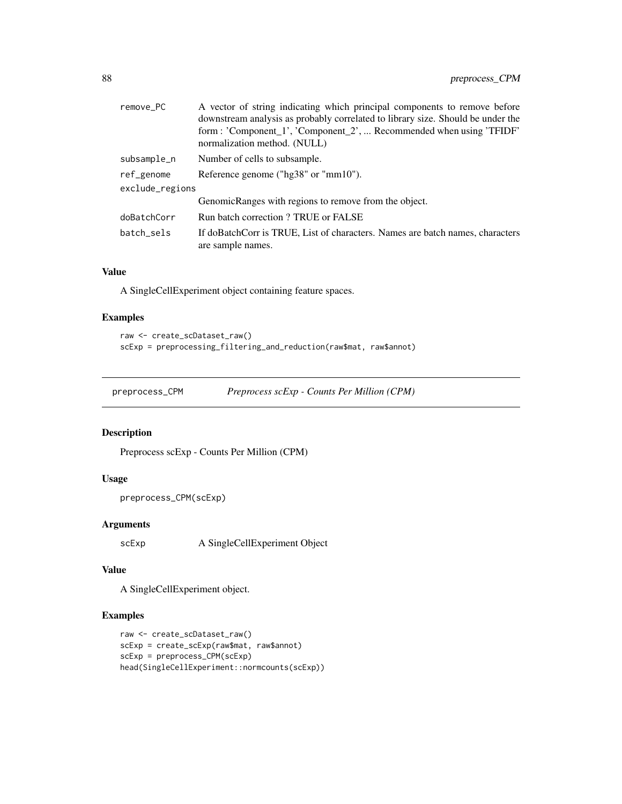| remove_PC       | A vector of string indicating which principal components to remove before<br>downstream analysis as probably correlated to library size. Should be under the |  |
|-----------------|--------------------------------------------------------------------------------------------------------------------------------------------------------------|--|
|                 | form : 'Component_1', 'Component_2',  Recommended when using 'TFIDF'<br>normalization method. (NULL)                                                         |  |
| subsample_n     | Number of cells to subsample.                                                                                                                                |  |
| ref_genome      | Reference genome ("hg38" or "mm10").                                                                                                                         |  |
| exclude_regions |                                                                                                                                                              |  |
|                 | GenomicRanges with regions to remove from the object.                                                                                                        |  |
| doBatchCorr     | Run batch correction? TRUE or FALSE                                                                                                                          |  |
| batch sels      | If doBatchCorr is TRUE, List of characters. Names are batch names, characters<br>are sample names.                                                           |  |

# Value

A SingleCellExperiment object containing feature spaces.

# Examples

```
raw <- create_scDataset_raw()
scExp = preprocessing_filtering_and_reduction(raw$mat, raw$annot)
```
preprocess\_CPM *Preprocess scExp - Counts Per Million (CPM)*

# Description

Preprocess scExp - Counts Per Million (CPM)

#### Usage

```
preprocess_CPM(scExp)
```
## Arguments

scExp A SingleCellExperiment Object

## Value

A SingleCellExperiment object.

# Examples

```
raw <- create_scDataset_raw()
scExp = create_scExp(raw$mat, raw$annot)
scExp = preprocess_CPM(scExp)
head(SingleCellExperiment::normcounts(scExp))
```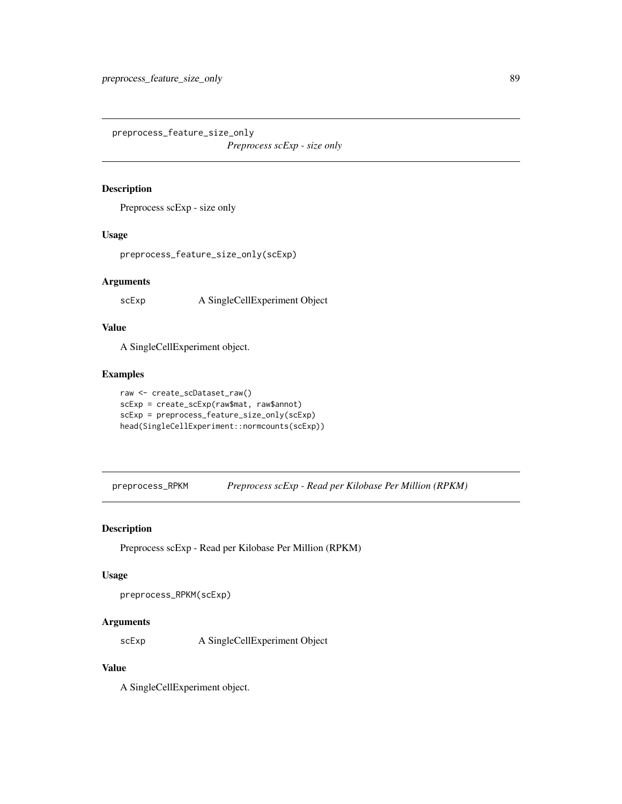preprocess\_feature\_size\_only

*Preprocess scExp - size only*

## Description

Preprocess scExp - size only

#### Usage

preprocess\_feature\_size\_only(scExp)

#### Arguments

scExp A SingleCellExperiment Object

# Value

A SingleCellExperiment object.

# Examples

```
raw <- create_scDataset_raw()
scExp = create_scExp(raw$mat, raw$annot)
scExp = preprocess_feature_size_only(scExp)
head(SingleCellExperiment::normcounts(scExp))
```
preprocess\_RPKM *Preprocess scExp - Read per Kilobase Per Million (RPKM)*

#### Description

Preprocess scExp - Read per Kilobase Per Million (RPKM)

#### Usage

```
preprocess_RPKM(scExp)
```
# Arguments

scExp A SingleCellExperiment Object

# Value

A SingleCellExperiment object.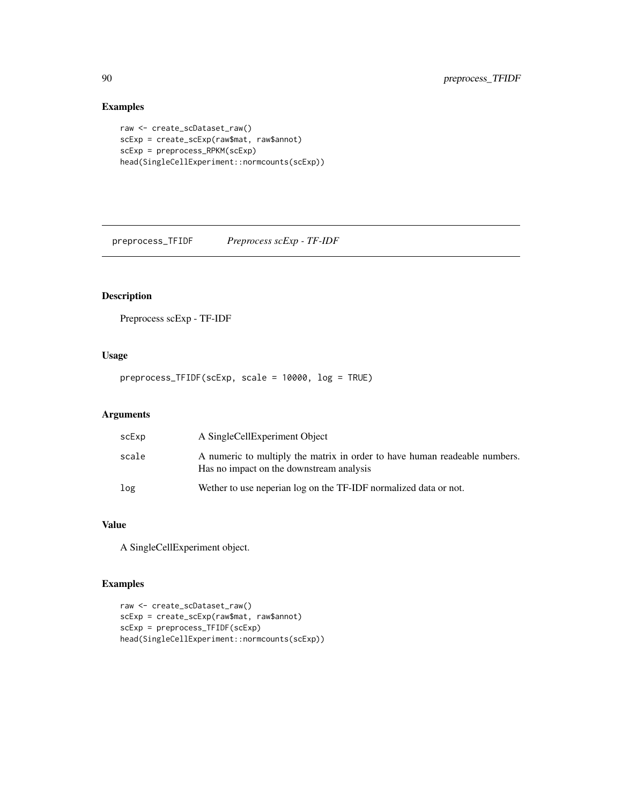# Examples

```
raw <- create_scDataset_raw()
scExp = create_scExp(raw$mat, raw$annot)
scExp = preprocess_RPKM(scExp)
head(SingleCellExperiment::normcounts(scExp))
```
preprocess\_TFIDF *Preprocess scExp - TF-IDF*

# Description

Preprocess scExp - TF-IDF

# Usage

preprocess\_TFIDF(scExp, scale = 10000, log = TRUE)

# Arguments

| scExp | A SingleCellExperiment Object                                                                                          |
|-------|------------------------------------------------------------------------------------------------------------------------|
| scale | A numeric to multiply the matrix in order to have human readeable numbers.<br>Has no impact on the downstream analysis |
| log   | Wether to use neperian log on the TF-IDF normalized data or not.                                                       |

# Value

A SingleCellExperiment object.

# Examples

```
raw <- create_scDataset_raw()
scExp = create_scExp(raw$mat, raw$annot)
scExp = preprocess_TFIDF(scExp)
head(SingleCellExperiment::normcounts(scExp))
```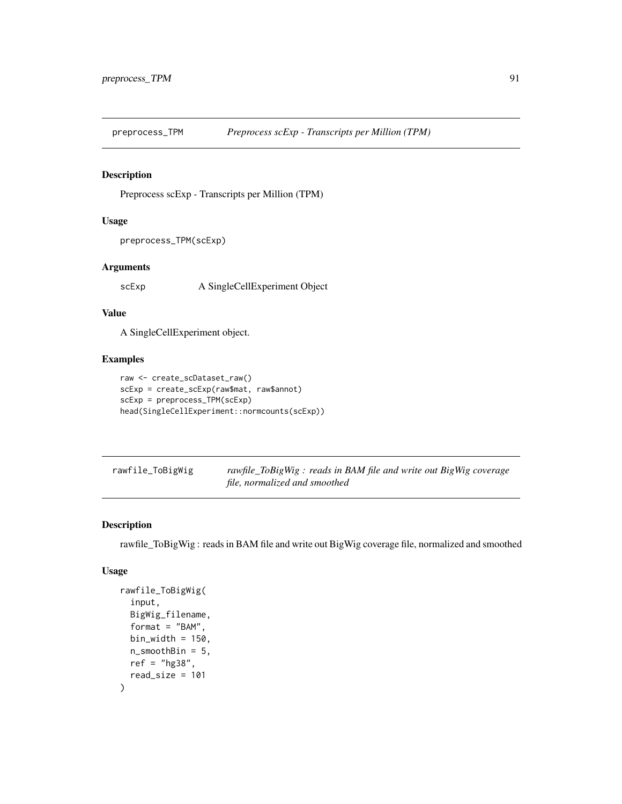preprocess\_TPM *Preprocess scExp - Transcripts per Million (TPM)*

# Description

Preprocess scExp - Transcripts per Million (TPM)

#### Usage

```
preprocess_TPM(scExp)
```
# Arguments

scExp A SingleCellExperiment Object

# Value

A SingleCellExperiment object.

## Examples

```
raw <- create_scDataset_raw()
scExp = create_scExp(raw$mat, raw$annot)
scExp = preprocess_TPM(scExp)
head(SingleCellExperiment::normcounts(scExp))
```

| rawfile_ToBigWig | rawfile_ToBigWig: reads in BAM file and write out BigWig coverage |
|------------------|-------------------------------------------------------------------|
|                  | file, normalized and smoothed                                     |

## Description

rawfile\_ToBigWig : reads in BAM file and write out BigWig coverage file, normalized and smoothed

## Usage

```
rawfile_ToBigWig(
  input,
 BigWig_filename,
  format = "BAM",bin_width = 150,
 n_smoothBin = 5,
 ref = "hg38",
  read_size = 101
\mathcal{E}
```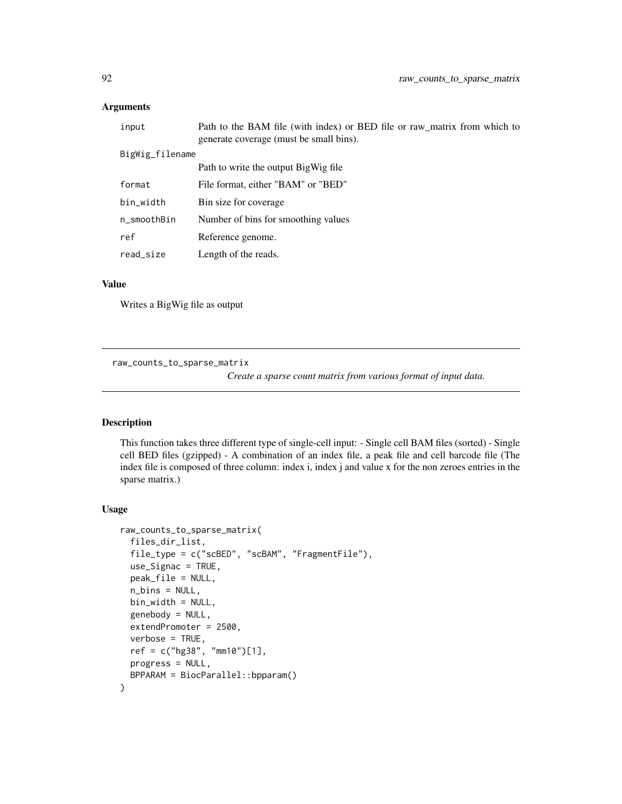#### Arguments

| input           | Path to the BAM file (with index) or BED file or raw matrix from which to<br>generate coverage (must be small bins). |
|-----------------|----------------------------------------------------------------------------------------------------------------------|
| BigWig_filename |                                                                                                                      |
|                 | Path to write the output BigWig file                                                                                 |
| format          | File format, either "BAM" or "BED"                                                                                   |
| bin_width       | Bin size for coverage                                                                                                |
| n_smoothBin     | Number of bins for smoothing values                                                                                  |
| ref             | Reference genome.                                                                                                    |
| read_size       | Length of the reads.                                                                                                 |

#### Value

Writes a BigWig file as output

raw\_counts\_to\_sparse\_matrix

*Create a sparse count matrix from various format of input data.*

## Description

This function takes three different type of single-cell input: - Single cell BAM files (sorted) - Single cell BED files (gzipped) - A combination of an index file, a peak file and cell barcode file (The index file is composed of three column: index i, index j and value x for the non zeroes entries in the sparse matrix.)

#### Usage

```
raw_counts_to_sparse_matrix(
  files_dir_list,
  file_type = c("scBED", "scBAM", "FragmentFile"),
 use_Signac = TRUE,
 peak_file = NULL,
  n_bins = NULL,
 bin_width = NULL,
  genebody = NULL,
  extendPromoter = 2500,
  verbose = TRUE,
  ref = c("hg38", "mm10")[1],
 progress = NULL,
 BPPARAM = BiocParallel::bpparam()
)
```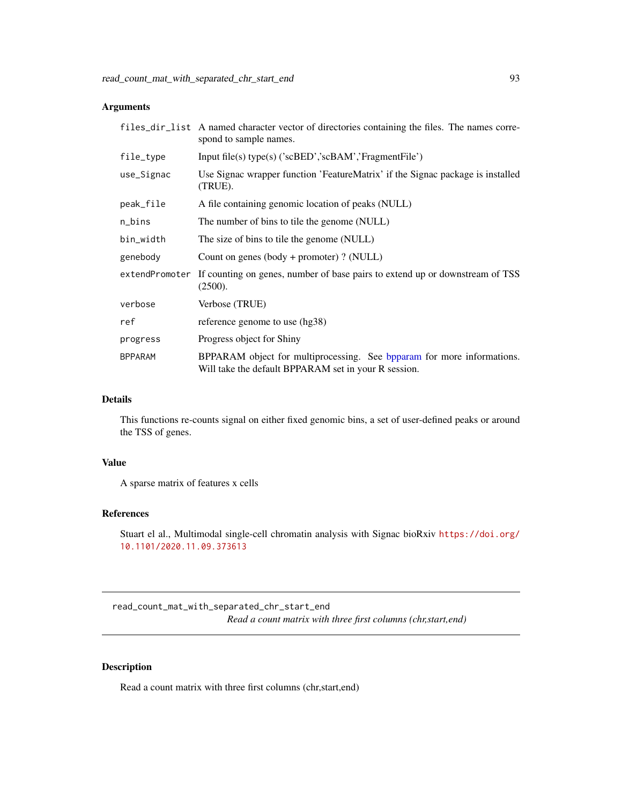# Arguments

|                | files_dir_list A named character vector of directories containing the files. The names corre-<br>spond to sample names.        |  |
|----------------|--------------------------------------------------------------------------------------------------------------------------------|--|
| file_type      | Input file(s) type(s) ('scBED','scBAM','FragmentFile')                                                                         |  |
| use_Signac     | Use Signac wrapper function 'FeatureMatrix' if the Signac package is installed<br>(TRUE).                                      |  |
| peak_file      | A file containing genomic location of peaks (NULL)                                                                             |  |
| n_bins         | The number of bins to tile the genome (NULL)                                                                                   |  |
| bin_width      | The size of bins to tile the genome (NULL)                                                                                     |  |
| genebody       | Count on genes (body + promoter) ? (NULL)                                                                                      |  |
|                | extendPromoter If counting on genes, number of base pairs to extend up or downstream of TSS<br>(2500).                         |  |
| verbose        | Verbose (TRUE)                                                                                                                 |  |
| ref            | reference genome to use (hg38)                                                                                                 |  |
| progress       | Progress object for Shiny                                                                                                      |  |
| <b>BPPARAM</b> | BPPARAM object for multiprocessing. See bpparam for more informations.<br>Will take the default BPPARAM set in your R session. |  |

#### Details

This functions re-counts signal on either fixed genomic bins, a set of user-defined peaks or around the TSS of genes.

#### Value

A sparse matrix of features x cells

# References

Stuart el al., Multimodal single-cell chromatin analysis with Signac bioRxiv [https://doi.org/](https://doi.org/10.1101/2020.11.09.373613) [10.1101/2020.11.09.373613](https://doi.org/10.1101/2020.11.09.373613)

read\_count\_mat\_with\_separated\_chr\_start\_end *Read a count matrix with three first columns (chr,start,end)*

# Description

Read a count matrix with three first columns (chr,start,end)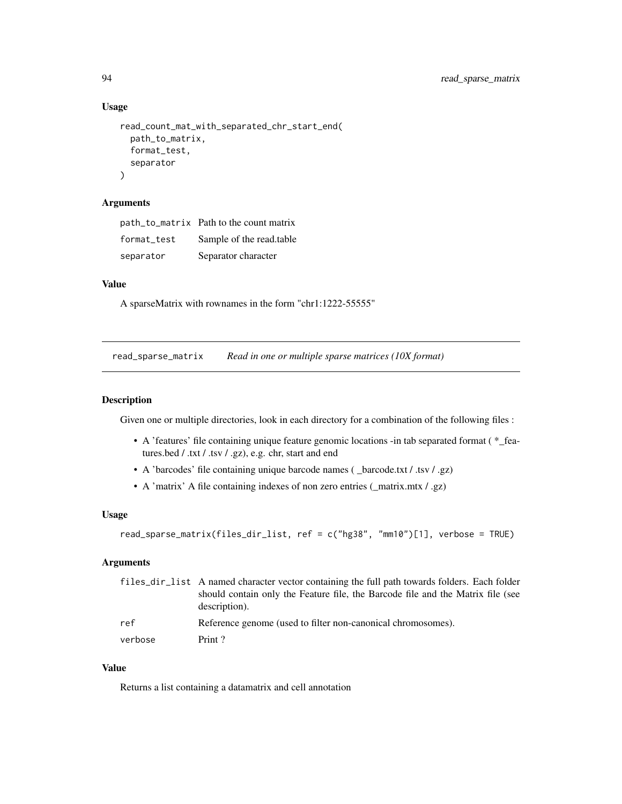#### Usage

```
read_count_mat_with_separated_chr_start_end(
  path_to_matrix,
  format_test,
  separator
)
```
### Arguments

|             | path_to_matrix Path to the count matrix |
|-------------|-----------------------------------------|
| format test | Sample of the read.table                |
| separator   | Separator character                     |

## Value

A sparseMatrix with rownames in the form "chr1:1222-55555"

read\_sparse\_matrix *Read in one or multiple sparse matrices (10X format)*

#### Description

Given one or multiple directories, look in each directory for a combination of the following files :

- A 'features' file containing unique feature genomic locations -in tab separated format ( \*\_features.bed / .txt / .tsv / .gz), e.g. chr, start and end
- A 'barcodes' file containing unique barcode names ( \_barcode.txt / .tsv / .gz)
- A 'matrix' A file containing indexes of non zero entries (\_matrix.mtx / .gz)

#### Usage

```
read_sparse_matrix(files_dir_list, ref = c("hg38", "mm10")[1], verbose = TRUE)
```
#### Arguments

|         | files_dir_list A named character vector containing the full path towards folders. Each folder<br>should contain only the Feature file, the Barcode file and the Matrix file (see<br>description). |
|---------|---------------------------------------------------------------------------------------------------------------------------------------------------------------------------------------------------|
| ref     | Reference genome (used to filter non-canonical chromosomes).                                                                                                                                      |
| verbose | Print?                                                                                                                                                                                            |

# Value

Returns a list containing a datamatrix and cell annotation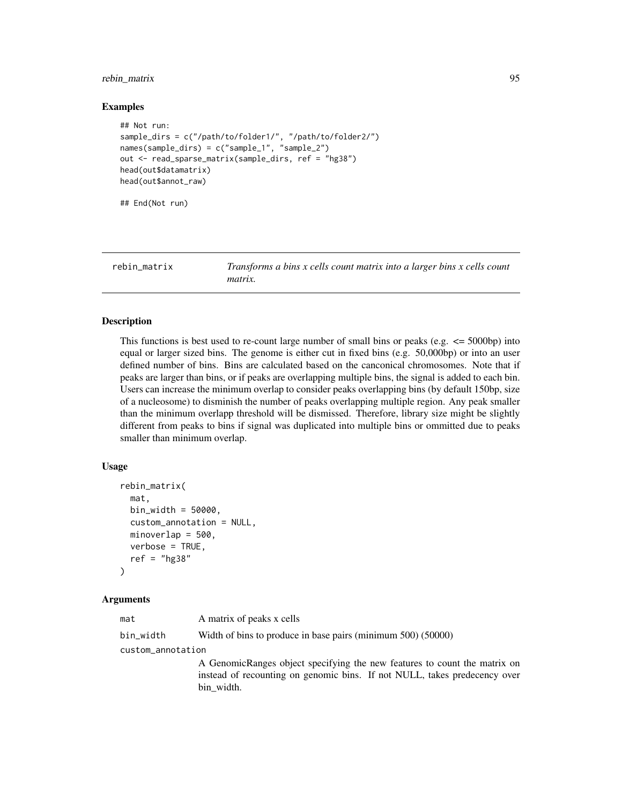## rebin\_matrix 95

#### Examples

```
## Not run:
sample_dirs = c("/path/to/folder1/", "/path/to/folder2/")
names(sample_dirs) = c("sample_1", "sample_2")
out <- read_sparse_matrix(sample_dirs, ref = "hg38")
head(out$datamatrix)
head(out$annot_raw)
```
## End(Not run)

| rebin matrix | Transforms a bins x cells count matrix into a larger bins x cells count |
|--------------|-------------------------------------------------------------------------|
|              | matrix.                                                                 |

#### Description

This functions is best used to re-count large number of small bins or peaks (e.g.  $\leq$  5000bp) into equal or larger sized bins. The genome is either cut in fixed bins (e.g. 50,000bp) or into an user defined number of bins. Bins are calculated based on the canconical chromosomes. Note that if peaks are larger than bins, or if peaks are overlapping multiple bins, the signal is added to each bin. Users can increase the minimum overlap to consider peaks overlapping bins (by default 150bp, size of a nucleosome) to disminish the number of peaks overlapping multiple region. Any peak smaller than the minimum overlapp threshold will be dismissed. Therefore, library size might be slightly different from peaks to bins if signal was duplicated into multiple bins or ommitted due to peaks smaller than minimum overlap.

#### Usage

```
rebin_matrix(
 mat,
 bin_width = 50000,
  custom_annotation = NULL,
 minoverlap = 500,
  verbose = TRUE,
  ref = "hg38"\lambda
```
#### Arguments

| A matrix of peaks x cells |
|---------------------------|
|                           |

bin\_width Width of bins to produce in base pairs (minimum 500) (50000)

custom\_annotation

A GenomicRanges object specifying the new features to count the matrix on instead of recounting on genomic bins. If not NULL, takes predecency over bin\_width.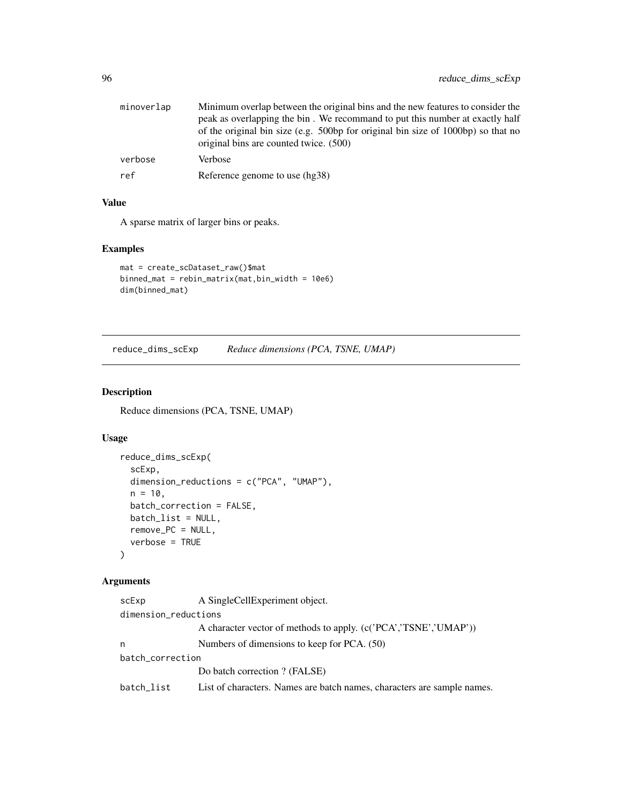| minoverlap | Minimum overlap between the original bins and the new features to consider the                                             |
|------------|----------------------------------------------------------------------------------------------------------------------------|
|            | peak as overlapping the bin. We recommand to put this number at exactly half                                               |
|            | of the original bin size (e.g. 500bp for original bin size of 1000bp) so that no<br>original bins are counted twice. (500) |
|            |                                                                                                                            |
| verbose    | Verbose                                                                                                                    |
| ref        | Reference genome to use (hg38)                                                                                             |

# Value

A sparse matrix of larger bins or peaks.

#### Examples

```
mat = create_scDataset_raw()$mat
binned_mat = rebin_matrix(mat,bin_width = 10e6)
dim(binned_mat)
```
reduce\_dims\_scExp *Reduce dimensions (PCA, TSNE, UMAP)*

# Description

Reduce dimensions (PCA, TSNE, UMAP)

## Usage

```
reduce_dims_scExp(
  scExp,
 dimension_reductions = c("PCA", "UMAP"),
 n = 10,
 batch_correction = FALSE,
 batch_list = NULL,
  remove_PC = NULL,
 verbose = TRUE
\lambda
```
#### Arguments

```
scExp A SingleCellExperiment object.
dimension_reductions
                A character vector of methods to apply. (c('PCA','TSNE','UMAP'))
n Numbers of dimensions to keep for PCA. (50)
batch_correction
               Do batch correction ? (FALSE)
batch_list List of characters. Names are batch names, characters are sample names.
```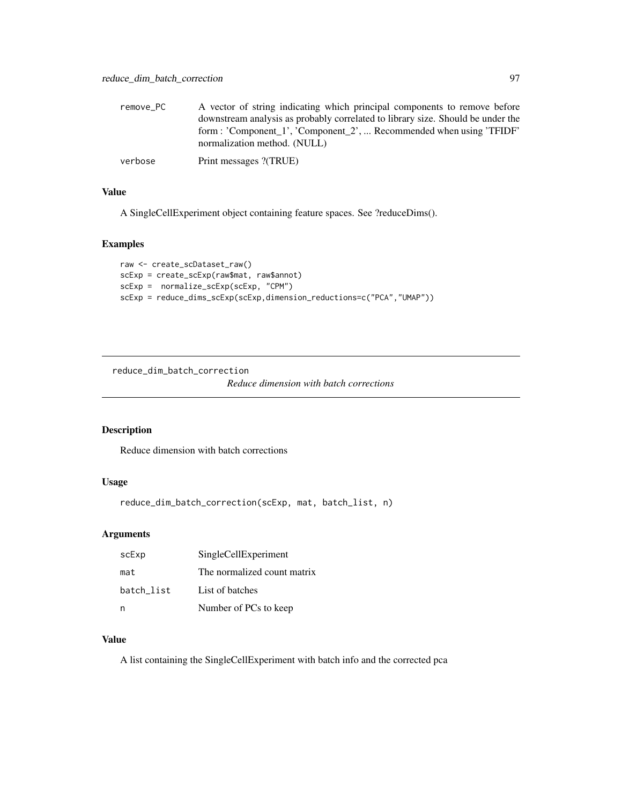| remove PC | A vector of string indicating which principal components to remove before<br>downstream analysis as probably correlated to library size. Should be under the |
|-----------|--------------------------------------------------------------------------------------------------------------------------------------------------------------|
|           | form : 'Component_1', 'Component_2',  Recommended when using 'TFIDF'<br>normalization method. (NULL)                                                         |
| verbose   | Print messages ?(TRUE)                                                                                                                                       |

# Value

A SingleCellExperiment object containing feature spaces. See ?reduceDims().

#### Examples

```
raw <- create_scDataset_raw()
scExp = create_scExp(raw$mat, raw$annot)
scExp = normalize_scExp(scExp, "CPM")
scExp = reduce_dims_scExp(scExp,dimension_reductions=c("PCA","UMAP"))
```
reduce\_dim\_batch\_correction

*Reduce dimension with batch corrections*

# Description

Reduce dimension with batch corrections

# Usage

reduce\_dim\_batch\_correction(scExp, mat, batch\_list, n)

# Arguments

| scExp      | SingleCellExperiment        |
|------------|-----------------------------|
| mat        | The normalized count matrix |
| batch list | List of batches             |
| n          | Number of PCs to keep       |

## Value

A list containing the SingleCellExperiment with batch info and the corrected pca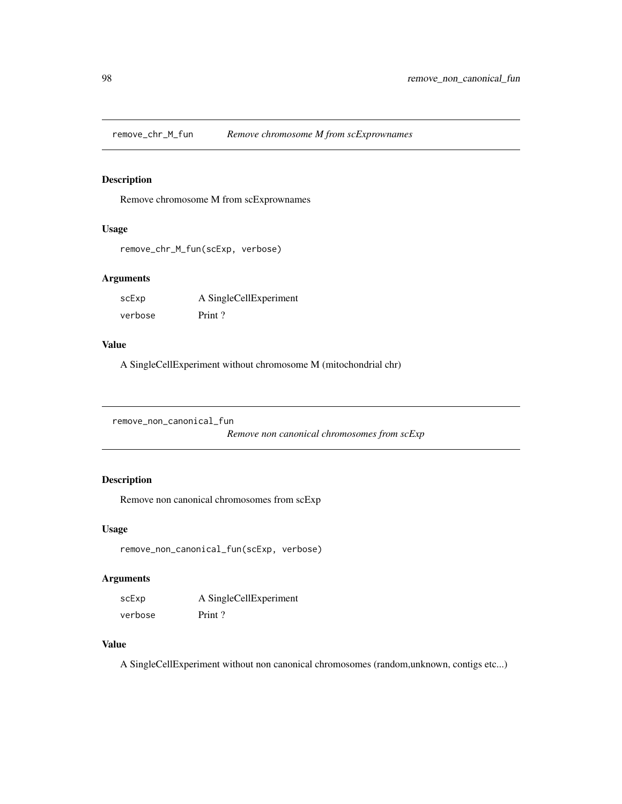remove\_chr\_M\_fun *Remove chromosome M from scExprownames*

## Description

Remove chromosome M from scExprownames

# Usage

```
remove_chr_M_fun(scExp, verbose)
```
# Arguments

| scExp   | A SingleCellExperiment |
|---------|------------------------|
| verbose | Print?                 |

## Value

A SingleCellExperiment without chromosome M (mitochondrial chr)

remove\_non\_canonical\_fun

*Remove non canonical chromosomes from scExp*

# Description

Remove non canonical chromosomes from scExp

# Usage

```
remove_non_canonical_fun(scExp, verbose)
```
# Arguments

| scExp   | A SingleCellExperiment |
|---------|------------------------|
| verbose | Print?                 |

# Value

A SingleCellExperiment without non canonical chromosomes (random,unknown, contigs etc...)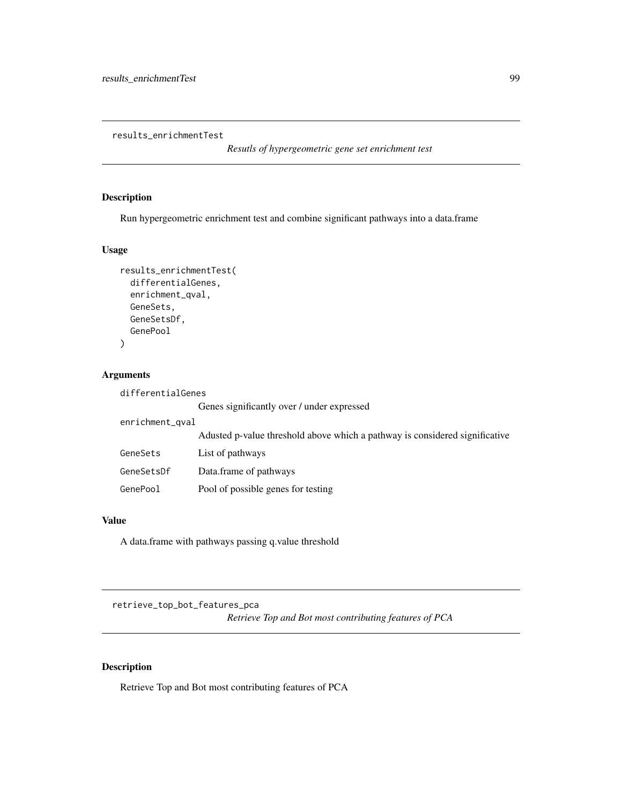results\_enrichmentTest

*Resutls of hypergeometric gene set enrichment test*

# Description

Run hypergeometric enrichment test and combine significant pathways into a data.frame

#### Usage

```
results_enrichmentTest(
  differentialGenes,
  enrichment_qval,
 GeneSets,
  GeneSetsDf,
  GenePool
)
```
# Arguments

| differentialGenes |                                                                             |
|-------------------|-----------------------------------------------------------------------------|
|                   | Genes significantly over / under expressed                                  |
| enrichment_qval   |                                                                             |
|                   | Adusted p-value threshold above which a pathway is considered significative |
| GeneSets          | List of pathways                                                            |
| GeneSetsDf        | Data.frame of pathways                                                      |
| GenePool          | Pool of possible genes for testing                                          |
|                   |                                                                             |

# Value

A data.frame with pathways passing q.value threshold

retrieve\_top\_bot\_features\_pca

*Retrieve Top and Bot most contributing features of PCA*

# Description

Retrieve Top and Bot most contributing features of PCA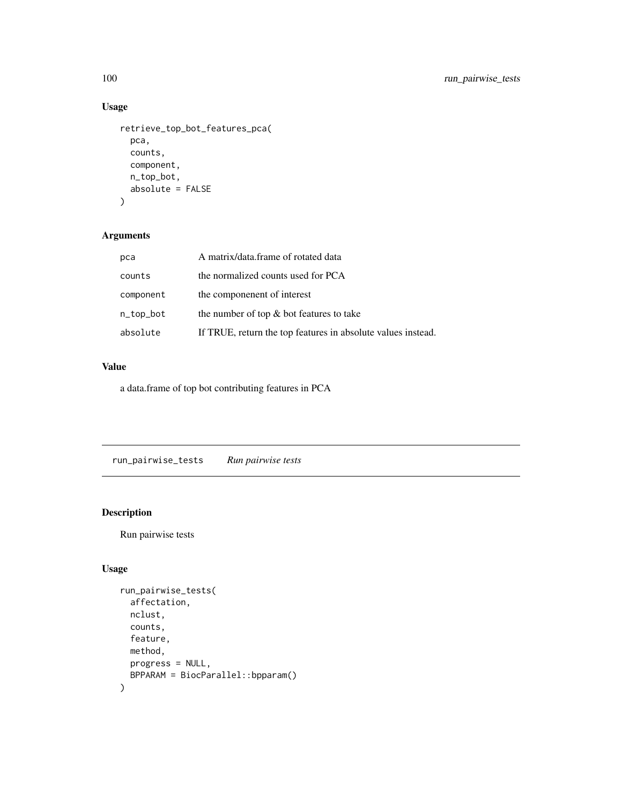# Usage

```
retrieve_top_bot_features_pca(
  pca,
  counts,
  component,
  n_top_bot,
  absolute = FALSE
\mathcal{L}
```
# Arguments

| pca       | A matrix/data.frame of rotated data                          |
|-----------|--------------------------------------------------------------|
| counts    | the normalized counts used for PCA                           |
| component | the componenent of interest                                  |
| n_top_bot | the number of top $\&$ bot features to take                  |
| absolute  | If TRUE, return the top features in absolute values instead. |

# Value

a data.frame of top bot contributing features in PCA

run\_pairwise\_tests *Run pairwise tests*

# Description

Run pairwise tests

# Usage

```
run_pairwise_tests(
 affectation,
 nclust,
 counts,
 feature,
 method,
 progress = NULL,
 BPPARAM = BiocParallel::bpparam()
\mathcal{L}
```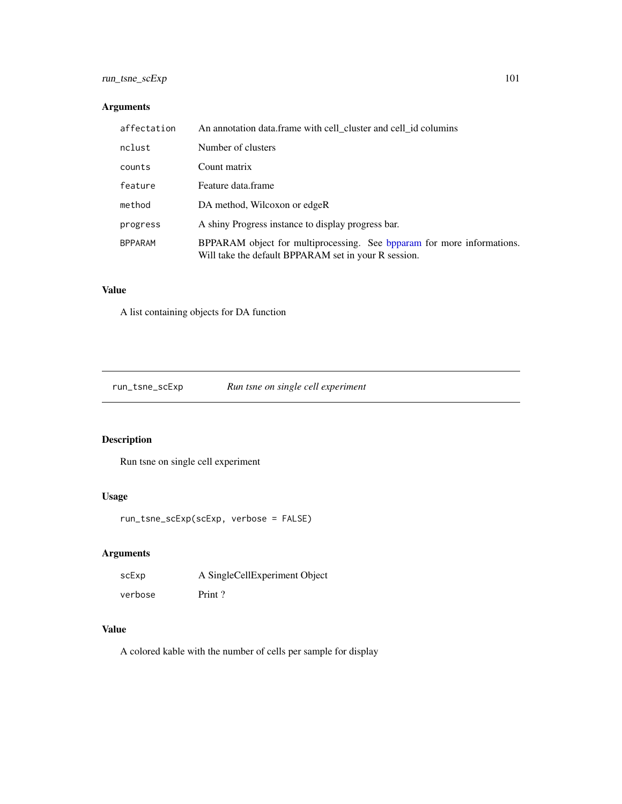# run\_tsne\_scExp 101

# Arguments

| affectation    | An annotation data.frame with cell_cluster and cell_id columins                                                                |
|----------------|--------------------------------------------------------------------------------------------------------------------------------|
| nclust         | Number of clusters                                                                                                             |
| counts         | Count matrix                                                                                                                   |
| feature        | Feature data frame                                                                                                             |
| method         | DA method, Wilcoxon or edgeR                                                                                                   |
| progress       | A shiny Progress instance to display progress bar.                                                                             |
| <b>BPPARAM</b> | BPPARAM object for multiprocessing. See bpparam for more informations.<br>Will take the default BPPARAM set in your R session. |

# Value

A list containing objects for DA function

run\_tsne\_scExp *Run tsne on single cell experiment*

# Description

Run tsne on single cell experiment

# Usage

```
run_tsne_scExp(scExp, verbose = FALSE)
```
# Arguments

| scExp   | A SingleCellExperiment Object |
|---------|-------------------------------|
| verbose | Print?                        |

# Value

A colored kable with the number of cells per sample for display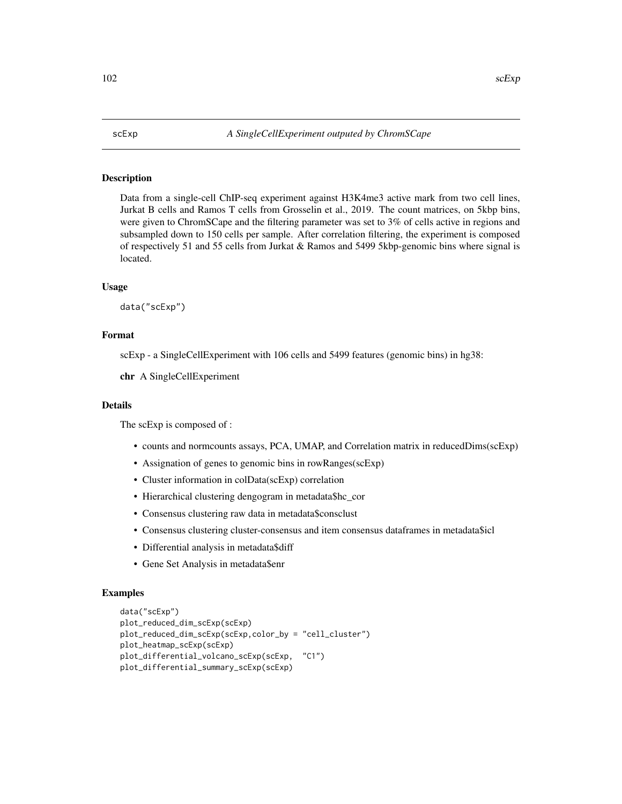# Description

Data from a single-cell ChIP-seq experiment against H3K4me3 active mark from two cell lines, Jurkat B cells and Ramos T cells from Grosselin et al., 2019. The count matrices, on 5kbp bins, were given to ChromSCape and the filtering parameter was set to 3% of cells active in regions and subsampled down to 150 cells per sample. After correlation filtering, the experiment is composed of respectively 51 and 55 cells from Jurkat & Ramos and 5499 5kbp-genomic bins where signal is located.

#### Usage

data("scExp")

# Format

scExp - a SingleCellExperiment with 106 cells and 5499 features (genomic bins) in hg38:

chr A SingleCellExperiment

#### Details

The scExp is composed of :

- counts and normcounts assays, PCA, UMAP, and Correlation matrix in reducedDims(scExp)
- Assignation of genes to genomic bins in rowRanges(scExp)
- Cluster information in colData(scExp) correlation
- Hierarchical clustering dengogram in metadata\$hc\_cor
- Consensus clustering raw data in metadata\$consclust
- Consensus clustering cluster-consensus and item consensus dataframes in metadata\$icl
- Differential analysis in metadata\$diff
- Gene Set Analysis in metadata\$enr

#### Examples

```
data("scExp")
plot_reduced_dim_scExp(scExp)
plot_reduced_dim_scExp(scExp,color_by = "cell_cluster")
plot_heatmap_scExp(scExp)
plot_differential_volcano_scExp(scExp, "C1")
plot_differential_summary_scExp(scExp)
```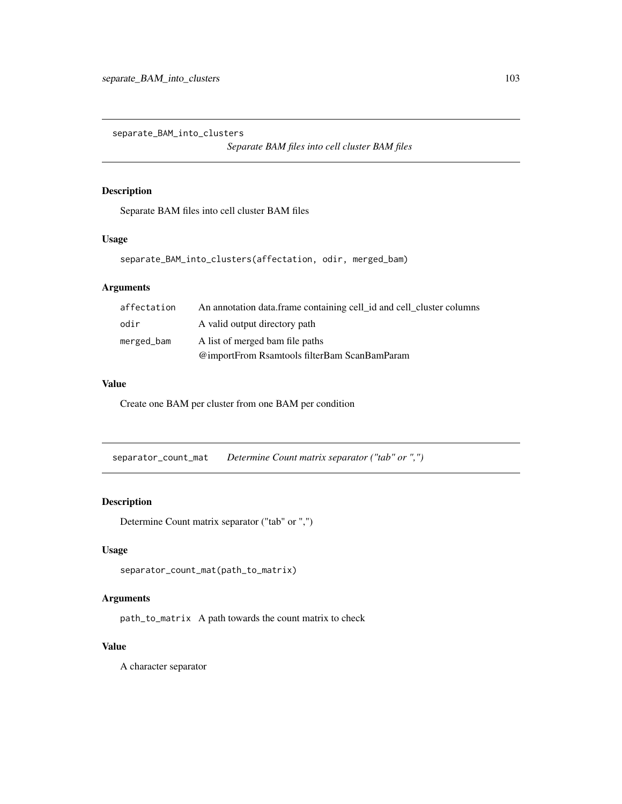separate\_BAM\_into\_clusters

*Separate BAM files into cell cluster BAM files*

# Description

Separate BAM files into cell cluster BAM files

# Usage

```
separate_BAM_into_clusters(affectation, odir, merged_bam)
```
# Arguments

| affectation | An annotation data frame containing cell id and cell cluster columns |
|-------------|----------------------------------------------------------------------|
| odir        | A valid output directory path                                        |
| merged_bam  | A list of merged bam file paths                                      |
|             | @importFrom Rsamtools filterBam ScanBamParam                         |

# Value

Create one BAM per cluster from one BAM per condition

separator\_count\_mat *Determine Count matrix separator ("tab" or ",")*

# Description

Determine Count matrix separator ("tab" or ",")

# Usage

separator\_count\_mat(path\_to\_matrix)

# Arguments

path\_to\_matrix A path towards the count matrix to check

## Value

A character separator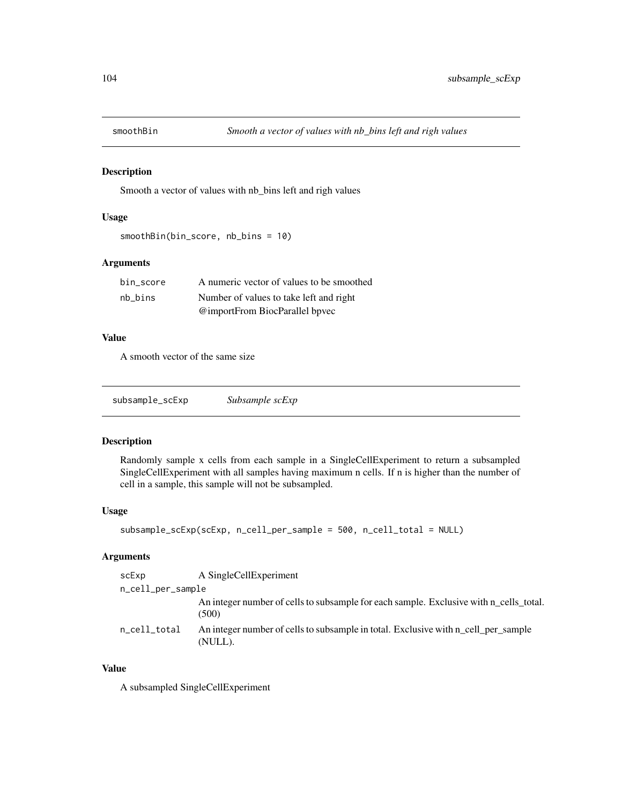#### Description

Smooth a vector of values with nb\_bins left and righ values

# Usage

```
smoothBin(bin_score, nb_bins = 10)
```
# Arguments

| bin score | A numeric vector of values to be smoothed |
|-----------|-------------------------------------------|
| nb bins   | Number of values to take left and right   |
|           | @importFrom BiocParallel bpvec            |

#### Value

A smooth vector of the same size

| subsample_scExp | Subsample scExp |  |
|-----------------|-----------------|--|
|-----------------|-----------------|--|

# Description

Randomly sample x cells from each sample in a SingleCellExperiment to return a subsampled SingleCellExperiment with all samples having maximum n cells. If n is higher than the number of cell in a sample, this sample will not be subsampled.

#### Usage

```
subsample_scExp(scExp, n_cell_per_sample = 500, n_cell_total = NULL)
```
## Arguments

| scExp             | A SingleCellExperiment                                                                          |
|-------------------|-------------------------------------------------------------------------------------------------|
| n_cell_per_sample |                                                                                                 |
|                   | An integer number of cells to subsample for each sample. Exclusive with n_cells_total.<br>(500) |
| n_cell_total      | An integer number of cells to subsample in total. Exclusive with n_cell_per_sample<br>(NULL).   |

# Value

A subsampled SingleCellExperiment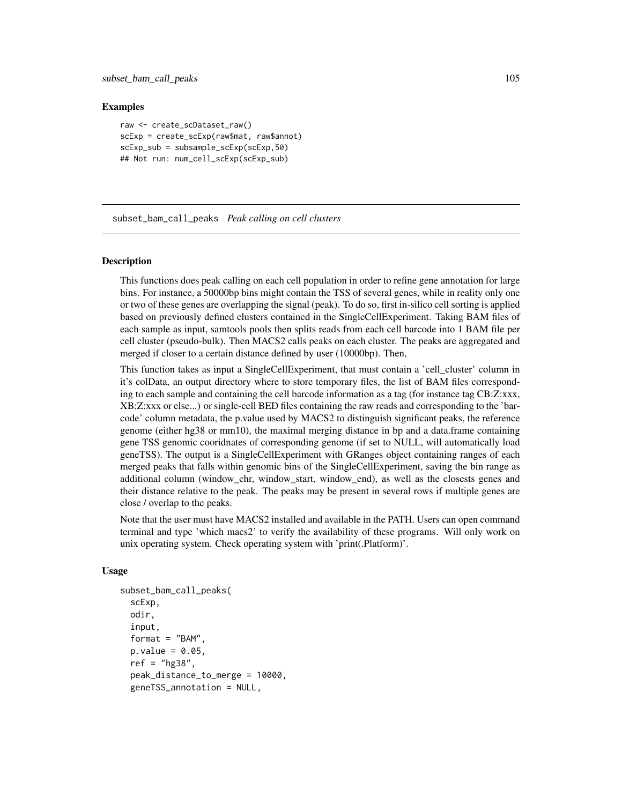#### Examples

```
raw <- create_scDataset_raw()
scExp = create_scExp(raw$mat, raw$annot)
scExp_sub = subsample_scExp(scExp,50)
## Not run: num_cell_scExp(scExp_sub)
```
subset\_bam\_call\_peaks *Peak calling on cell clusters*

#### Description

This functions does peak calling on each cell population in order to refine gene annotation for large bins. For instance, a 50000bp bins might contain the TSS of several genes, while in reality only one or two of these genes are overlapping the signal (peak). To do so, first in-silico cell sorting is applied based on previously defined clusters contained in the SingleCellExperiment. Taking BAM files of each sample as input, samtools pools then splits reads from each cell barcode into 1 BAM file per cell cluster (pseudo-bulk). Then MACS2 calls peaks on each cluster. The peaks are aggregated and merged if closer to a certain distance defined by user (10000bp). Then,

This function takes as input a SingleCellExperiment, that must contain a 'cell\_cluster' column in it's colData, an output directory where to store temporary files, the list of BAM files corresponding to each sample and containing the cell barcode information as a tag (for instance tag CB:Z:xxx, XB:Z:xxx or else...) or single-cell BED files containing the raw reads and corresponding to the 'barcode' column metadata, the p.value used by MACS2 to distinguish significant peaks, the reference genome (either hg38 or mm10), the maximal merging distance in bp and a data.frame containing gene TSS genomic cooridnates of corresponding genome (if set to NULL, will automatically load geneTSS). The output is a SingleCellExperiment with GRanges object containing ranges of each merged peaks that falls within genomic bins of the SingleCellExperiment, saving the bin range as additional column (window\_chr, window\_start, window\_end), as well as the closests genes and their distance relative to the peak. The peaks may be present in several rows if multiple genes are close / overlap to the peaks.

Note that the user must have MACS2 installed and available in the PATH. Users can open command terminal and type 'which macs2' to verify the availability of these programs. Will only work on unix operating system. Check operating system with 'print(.Platform)'.

## Usage

```
subset_bam_call_peaks(
  scExp,
  odir,
  input,
  format = "BAM".p.value = 0.05,
  ref = "hg38",peak_distance_to_merge = 10000,
  geneTSS_annotation = NULL,
```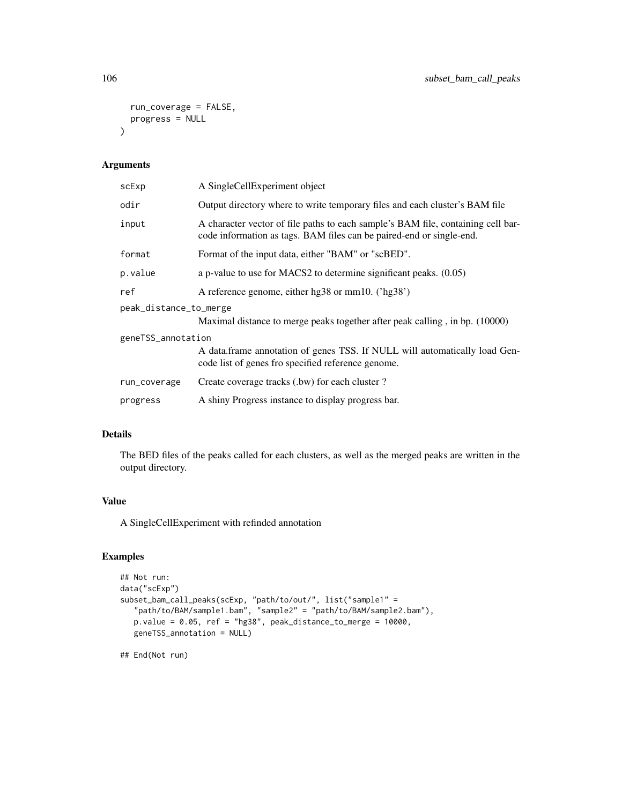```
run_coverage = FALSE,
 progress = NULL
)
```
# Arguments

| scExp                  | A SingleCellExperiment object                                                                                                                            |
|------------------------|----------------------------------------------------------------------------------------------------------------------------------------------------------|
| odir                   | Output directory where to write temporary files and each cluster's BAM file                                                                              |
| input                  | A character vector of file paths to each sample's BAM file, containing cell bar-<br>code information as tags. BAM files can be paired-end or single-end. |
| format                 | Format of the input data, either "BAM" or "scBED".                                                                                                       |
| p.value                | a p-value to use for MACS2 to determine significant peaks. $(0.05)$                                                                                      |
| ref                    | A reference genome, either hg38 or mm10. ('hg38')                                                                                                        |
| peak_distance_to_merge |                                                                                                                                                          |
|                        | Maximal distance to merge peaks together after peak calling, in bp. (10000)                                                                              |
| geneTSS_annotation     |                                                                                                                                                          |
|                        | A data.frame annotation of genes TSS. If NULL will automatically load Gen-<br>code list of genes fro specified reference genome.                         |
| run_coverage           | Create coverage tracks (.bw) for each cluster?                                                                                                           |
| progress               | A shiny Progress instance to display progress bar.                                                                                                       |

## Details

The BED files of the peaks called for each clusters, as well as the merged peaks are written in the output directory.

# Value

A SingleCellExperiment with refinded annotation

# Examples

```
## Not run:
data("scExp")
subset_bam_call_peaks(scExp, "path/to/out/", list("sample1" =
   "path/to/BAM/sample1.bam", "sample2" = "path/to/BAM/sample2.bam"),
  p.value = 0.05, ref = "hg38", peak_distance_to_merge = 10000,
   geneTSS_annotation = NULL)
```
## End(Not run)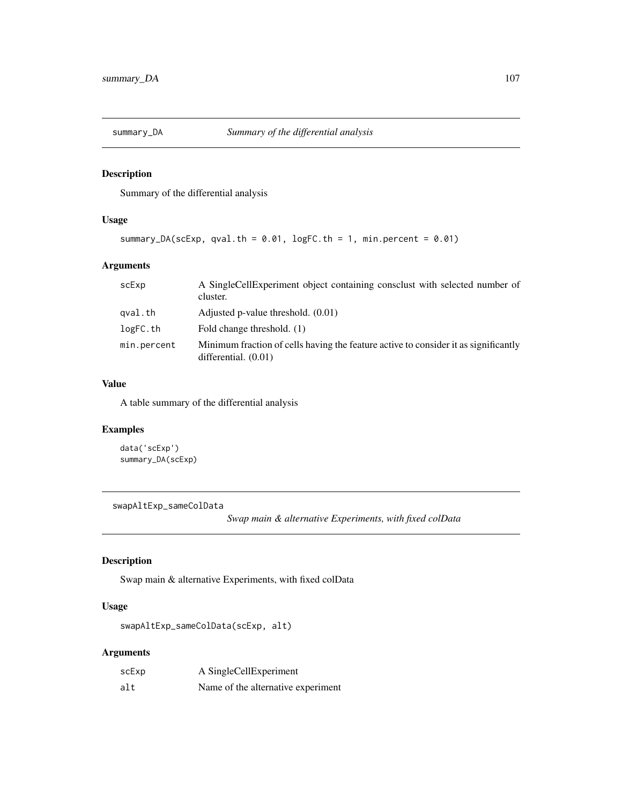# Description

Summary of the differential analysis

# Usage

```
summary_DA(scExp, qval.th = 0.01, logFC.th = 1, min.percent = 0.01)
```
# Arguments

| scExp       | A SingleCellExperiment object containing consclust with selected number of<br>cluster.                        |
|-------------|---------------------------------------------------------------------------------------------------------------|
| qval.th     | Adjusted p-value threshold. $(0.01)$                                                                          |
| logFC.th    | Fold change threshold. (1)                                                                                    |
| min.percent | Minimum fraction of cells having the feature active to consider it as significantly<br>differential. $(0.01)$ |

# Value

A table summary of the differential analysis

# Examples

data('scExp') summary\_DA(scExp)

swapAltExp\_sameColData

*Swap main & alternative Experiments, with fixed colData*

# Description

Swap main & alternative Experiments, with fixed colData

# Usage

swapAltExp\_sameColData(scExp, alt)

# Arguments

| scExp | A SingleCellExperiment             |
|-------|------------------------------------|
| alt   | Name of the alternative experiment |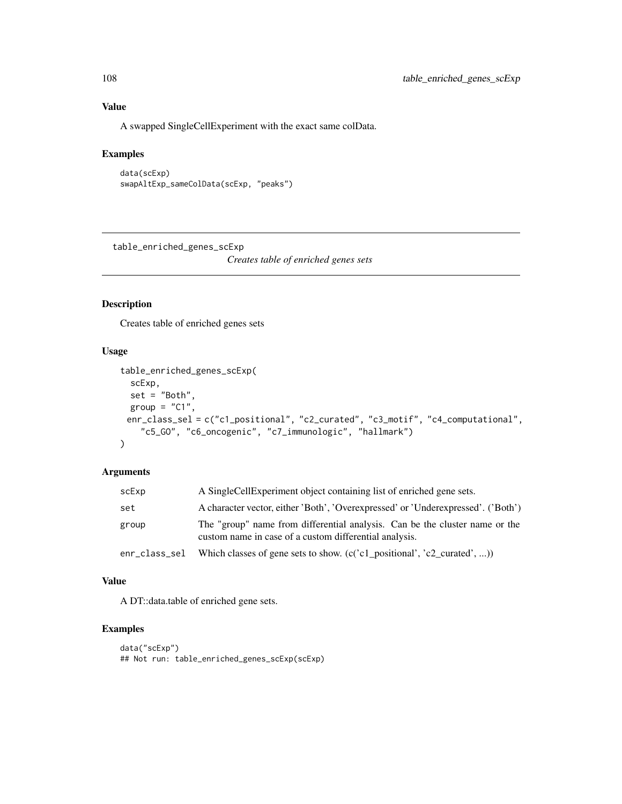# Value

A swapped SingleCellExperiment with the exact same colData.

#### Examples

```
data(scExp)
swapAltExp_sameColData(scExp, "peaks")
```
table\_enriched\_genes\_scExp

*Creates table of enriched genes sets*

# Description

Creates table of enriched genes sets

# Usage

```
table_enriched_genes_scExp(
  scExp,
  set = "Both",
  group = "C1",enr_class_sel = c("c1_positional", "c2_curated", "c3_motif", "c4_computational",
    "c5_GO", "c6_oncogenic", "c7_immunologic", "hallmark")
\mathcal{L}
```
#### Arguments

| scExp         | A SingleCellExperiment object containing list of enriched gene sets.                                                                  |
|---------------|---------------------------------------------------------------------------------------------------------------------------------------|
| set           | A character vector, either 'Both', 'Overexpressed' or 'Underexpressed'. ('Both')                                                      |
| group         | The "group" name from differential analysis. Can be the cluster name or the<br>custom name in case of a custom differential analysis. |
| enr_class_sel | Which classes of gene sets to show. $(c('c1_{positional'}, 'c2_{curated'}, )$                                                         |

### Value

A DT::data.table of enriched gene sets.

#### Examples

```
data("scExp")
## Not run: table_enriched_genes_scExp(scExp)
```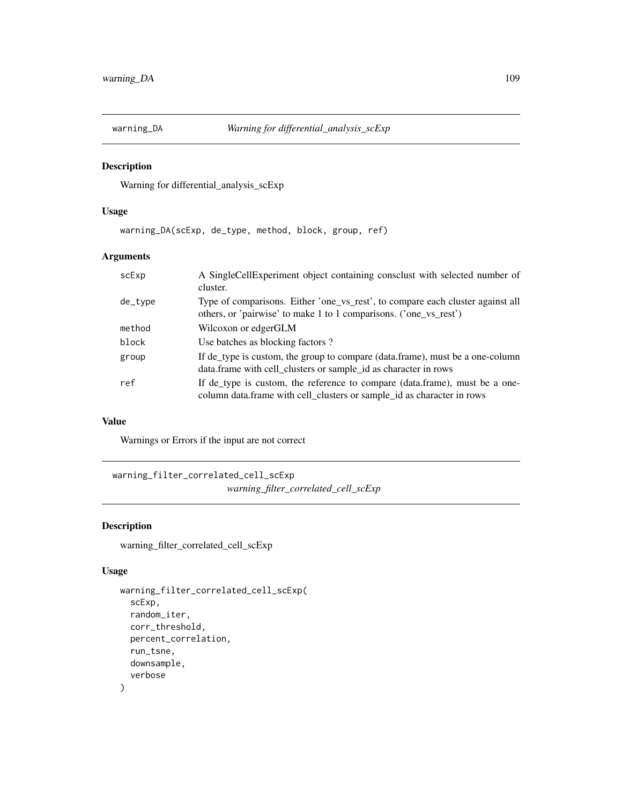<span id="page-108-0"></span>

## Description

Warning for differential\_analysis\_scExp

## Usage

warning\_DA(scExp, de\_type, method, block, group, ref)

## Arguments

| scExp   | A SingleCellExperiment object containing consclust with selected number of<br>cluster.                                                                |
|---------|-------------------------------------------------------------------------------------------------------------------------------------------------------|
| de_type | Type of comparisons. Either 'one_vs_rest', to compare each cluster against all<br>others, or 'pairwise' to make 1 to 1 comparisons. ('one_vs_rest')   |
| method  | Wilcoxon or edgerGLM                                                                                                                                  |
| block   | Use batches as blocking factors?                                                                                                                      |
| group   | If de_type is custom, the group to compare (data.frame), must be a one-column<br>data.frame with cell_clusters or sample_id as character in rows      |
| ref     | If de_type is custom, the reference to compare (data.frame), must be a one-<br>column data.frame with cell_clusters or sample_id as character in rows |

#### Value

Warnings or Errors if the input are not correct

warning\_filter\_correlated\_cell\_scExp *warning\_filter\_correlated\_cell\_scExp*

## Description

warning\_filter\_correlated\_cell\_scExp

#### Usage

```
warning_filter_correlated_cell_scExp(
  scExp,
  random_iter,
  corr_threshold,
  percent_correlation,
  run_tsne,
  downsample,
  verbose
\mathcal{E}
```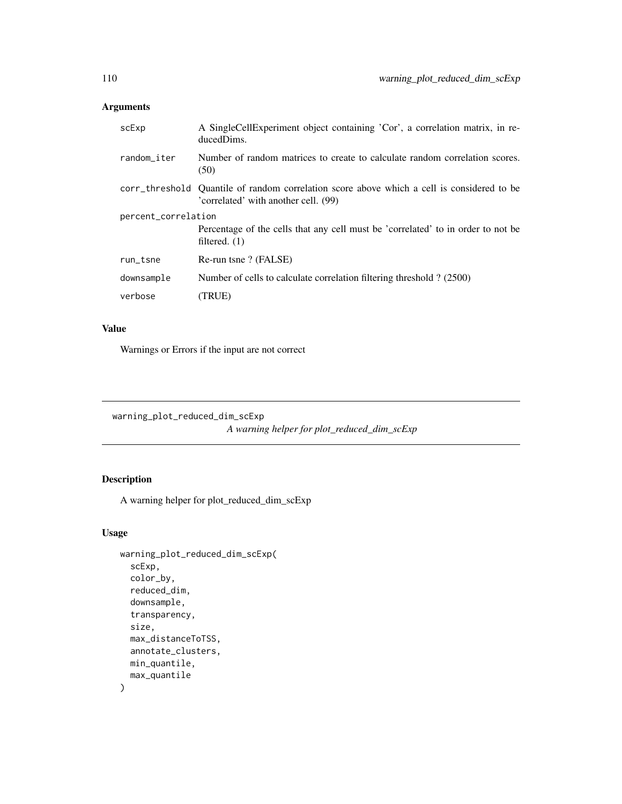# <span id="page-109-0"></span>Arguments

| scExp               | A SingleCellExperiment object containing 'Cor', a correlation matrix, in re-<br>ducedDims.                                         |  |
|---------------------|------------------------------------------------------------------------------------------------------------------------------------|--|
| random_iter         | Number of random matrices to create to calculate random correlation scores.<br>(50)                                                |  |
|                     | corr_threshold Quantile of random correlation score above which a cell is considered to be<br>'correlated' with another cell. (99) |  |
| percent_correlation |                                                                                                                                    |  |
|                     | Percentage of the cells that any cell must be 'correlated' to in order to not be<br>filtered. $(1)$                                |  |
| run_tsne            | Re-run tsne? (FALSE)                                                                                                               |  |
| downsample          | Number of cells to calculate correlation filtering threshold ? (2500)                                                              |  |
| verbose             | <b>TRUE)</b>                                                                                                                       |  |

# Value

Warnings or Errors if the input are not correct

warning\_plot\_reduced\_dim\_scExp

*A warning helper for plot\_reduced\_dim\_scExp*

## Description

A warning helper for plot\_reduced\_dim\_scExp

#### Usage

```
warning_plot_reduced_dim_scExp(
  scExp,
  color_by,
  reduced_dim,
  downsample,
  transparency,
  size,
 max_distanceToTSS,
 annotate_clusters,
 min_quantile,
 max_quantile
\mathcal{E}
```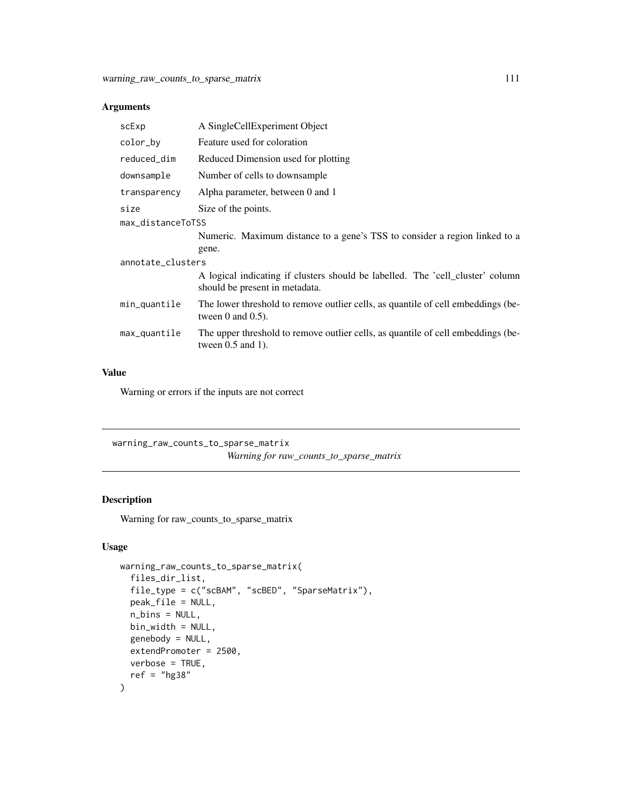#### <span id="page-110-0"></span>Arguments

| scExp             | A SingleCellExperiment Object                                                                                    |  |
|-------------------|------------------------------------------------------------------------------------------------------------------|--|
| color_by          | Feature used for coloration                                                                                      |  |
| reduced_dim       | Reduced Dimension used for plotting                                                                              |  |
| downsample        | Number of cells to downsample                                                                                    |  |
| transparency      | Alpha parameter, between 0 and 1                                                                                 |  |
| size              | Size of the points.                                                                                              |  |
| max_distanceToTSS |                                                                                                                  |  |
|                   | Numeric. Maximum distance to a gene's TSS to consider a region linked to a                                       |  |
|                   | gene.                                                                                                            |  |
| annotate_clusters |                                                                                                                  |  |
|                   | A logical indicating if clusters should be labelled. The 'cell cluster' column<br>should be present in metadata. |  |
| min_quantile      | The lower threshold to remove outlier cells, as quantile of cell embeddings (be-<br>tween $0$ and $0.5$ ).       |  |
| max_quantile      | The upper threshold to remove outlier cells, as quantile of cell embeddings (be-<br>tween $0.5$ and $1$ ).       |  |
|                   |                                                                                                                  |  |

## Value

Warning or errors if the inputs are not correct

warning\_raw\_counts\_to\_sparse\_matrix *Warning for raw\_counts\_to\_sparse\_matrix*

## Description

Warning for raw\_counts\_to\_sparse\_matrix

## Usage

```
warning_raw_counts_to_sparse_matrix(
  files_dir_list,
  file_type = c("scBAM", "scBED", "SparseMatrix"),
 peak_file = NULL,
 n_bins = NULL,
 bin_width = NULL,
 genebody = NULL,
 extendPromoter = 2500,
 verbose = TRUE,
  ref = "hg38"\mathcal{E}
```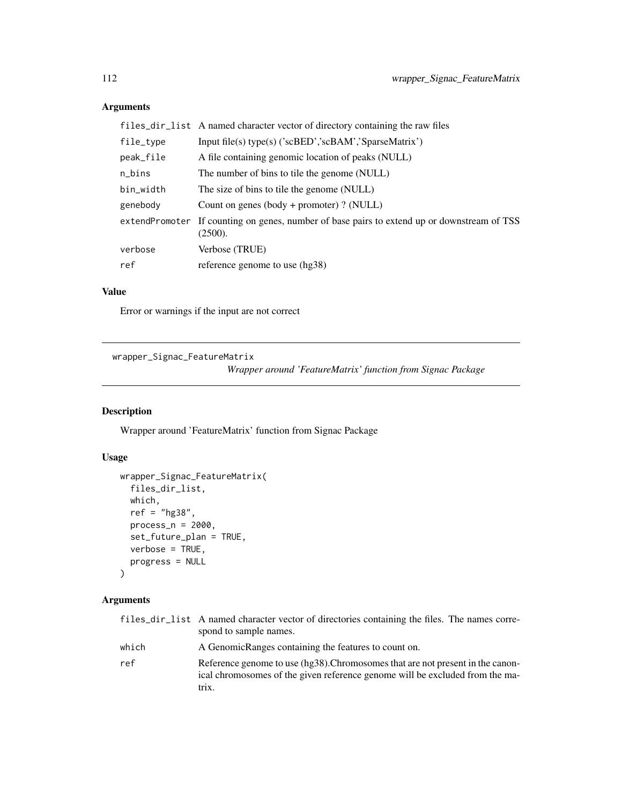# <span id="page-111-0"></span>Arguments

|           | files_dir_list A named character vector of directory containing the raw files                          |
|-----------|--------------------------------------------------------------------------------------------------------|
| file_type | Input file(s) type(s) ('scBED','scBAM','SparseMatrix')                                                 |
| peak_file | A file containing genomic location of peaks (NULL)                                                     |
| n_bins    | The number of bins to tile the genome (NULL)                                                           |
| bin_width | The size of bins to tile the genome (NULL)                                                             |
| genebody  | Count on genes (body + promoter) ? (NULL)                                                              |
|           | extendPromoter If counting on genes, number of base pairs to extend up or downstream of TSS<br>(2500). |
| verbose   | Verbose (TRUE)                                                                                         |
| ref       | reference genome to use (hg38)                                                                         |

#### Value

Error or warnings if the input are not correct

```
wrapper_Signac_FeatureMatrix
```
*Wrapper around 'FeatureMatrix' function from Signac Package*

## Description

Wrapper around 'FeatureMatrix' function from Signac Package

## Usage

```
wrapper_Signac_FeatureMatrix(
  files_dir_list,
 which,
  ref = "hg38",
 process_n = 2000,set_future_plan = TRUE,
 verbose = TRUE,
 progress = NULL
\mathcal{L}
```
## Arguments

|       | files_dir_list A named character vector of directories containing the files. The names corre-<br>spond to sample names.                                                 |
|-------|-------------------------------------------------------------------------------------------------------------------------------------------------------------------------|
| which | A Genomic Ranges containing the features to count on.                                                                                                                   |
| ref   | Reference genome to use (hg38). Chromosomes that are not present in the canon-<br>ical chromosomes of the given reference genome will be excluded from the ma-<br>trix. |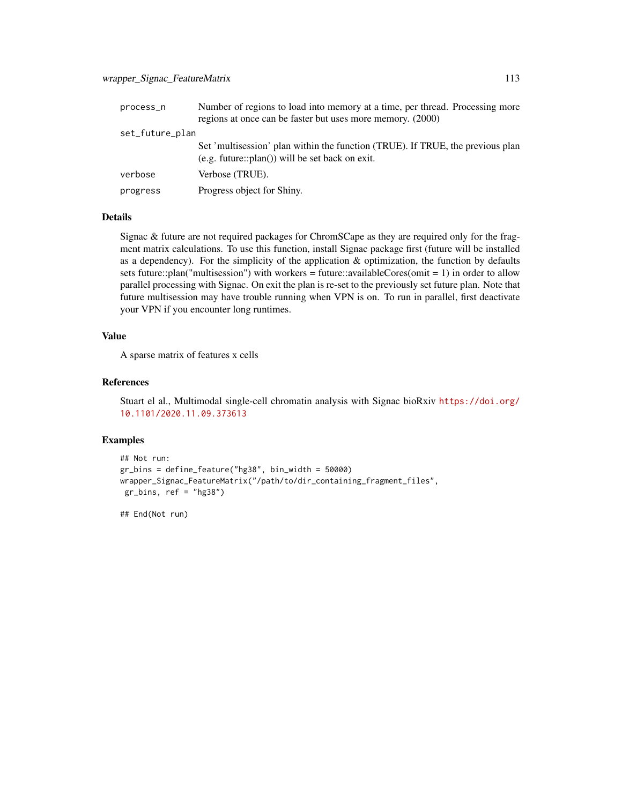| process_n       | Number of regions to load into memory at a time, per thread. Processing more<br>regions at once can be faster but uses more memory. (2000) |
|-----------------|--------------------------------------------------------------------------------------------------------------------------------------------|
| set_future_plan |                                                                                                                                            |
|                 | Set 'multisession' plan within the function (TRUE). If TRUE, the previous plan<br>$(e.g. future::plan())$ will be set back on exit.        |
| verbose         | Verbose (TRUE).                                                                                                                            |
| progress        | Progress object for Shiny.                                                                                                                 |

#### Details

Signac & future are not required packages for ChromSCape as they are required only for the fragment matrix calculations. To use this function, install Signac package first (future will be installed as a dependency). For the simplicity of the application & optimization, the function by defaults sets future::plan("multisession") with workers = future::availableCores(omit = 1) in order to allow parallel processing with Signac. On exit the plan is re-set to the previously set future plan. Note that future multisession may have trouble running when VPN is on. To run in parallel, first deactivate your VPN if you encounter long runtimes.

#### Value

A sparse matrix of features x cells

#### References

Stuart el al., Multimodal single-cell chromatin analysis with Signac bioRxiv [https://doi.org/](https://doi.org/10.1101/2020.11.09.373613) [10.1101/2020.11.09.373613](https://doi.org/10.1101/2020.11.09.373613)

#### Examples

```
## Not run:
gr_bins = define_feature("hg38", bin_width = 50000)
wrapper_Signac_FeatureMatrix("/path/to/dir_containing_fragment_files",
gr\_bins, ref = "hg38")
```
## End(Not run)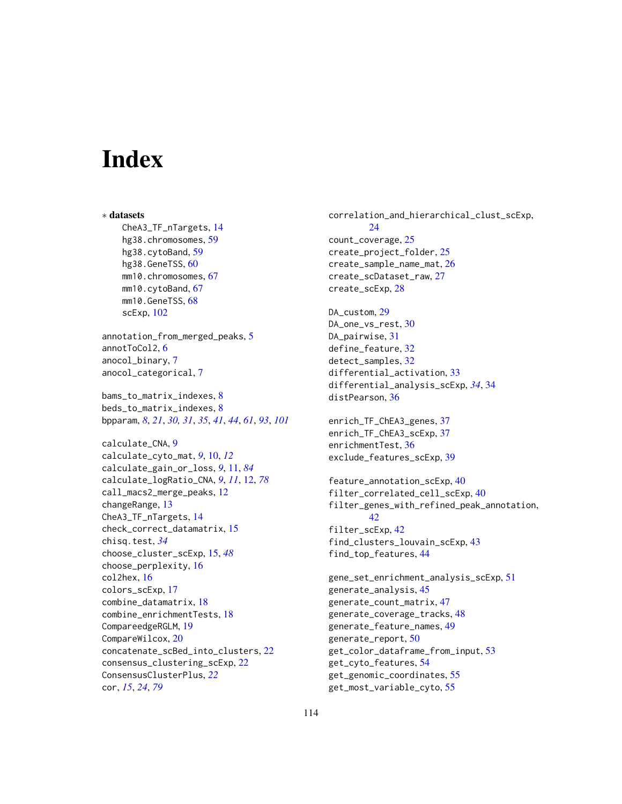# **Index**

∗ datasets CheA3\_TF\_nTargets, [14](#page-13-0) hg38.chromosomes, [59](#page-58-0) hg38.cytoBand, [59](#page-58-0) hg38.GeneTSS, [60](#page-59-0) mm10.chromosomes, [67](#page-66-0) mm10.cytoBand, [67](#page-66-0) mm10.GeneTSS, [68](#page-67-0) scExp, [102](#page-101-0) annotation\_from\_merged\_peaks, [5](#page-4-0) annotToCol2, [6](#page-5-0) anocol\_binary, [7](#page-6-0) anocol\_categorical, [7](#page-6-0) bams\_to\_matrix\_indexes, [8](#page-7-0) beds\_to\_matrix\_indexes, [8](#page-7-0) bpparam, *[8](#page-7-0)*, *[21](#page-20-0)*, *[30,](#page-29-0) [31](#page-30-0)*, *[35](#page-34-0)*, *[41](#page-40-0)*, *[44](#page-43-0)*, *[61](#page-60-0)*, *[93](#page-92-0)*, *[101](#page-100-0)* calculate\_CNA, [9](#page-8-0) calculate\_cyto\_mat, *[9](#page-8-0)*, [10,](#page-9-0) *[12](#page-11-0)* calculate\_gain\_or\_loss, *[9](#page-8-0)*, [11,](#page-10-0) *[84](#page-83-0)* calculate\_logRatio\_CNA, *[9](#page-8-0)*, *[11](#page-10-0)*, [12,](#page-11-0) *[78](#page-77-0)* call\_macs2\_merge\_peaks, [12](#page-11-0) changeRange, [13](#page-12-0) CheA3\_TF\_nTargets, [14](#page-13-0) check\_correct\_datamatrix, [15](#page-14-0) chisq.test, *[34](#page-33-0)* choose\_cluster\_scExp, [15,](#page-14-0) *[48](#page-47-0)* choose\_perplexity, [16](#page-15-0) col2hex, [16](#page-15-0) colors\_scExp, [17](#page-16-0) combine\_datamatrix, [18](#page-17-0) combine\_enrichmentTests, [18](#page-17-0) CompareedgeRGLM, [19](#page-18-0) CompareWilcox, [20](#page-19-0) concatenate\_scBed\_into\_clusters, [22](#page-21-0) consensus\_clustering\_scExp, [22](#page-21-0) ConsensusClusterPlus, *[22](#page-21-0)* cor, *[15](#page-14-0)*, *[24](#page-23-0)*, *[79](#page-78-0)*

correlation\_and\_hierarchical\_clust\_scExp, [24](#page-23-0) count\_coverage, [25](#page-24-0) create\_project\_folder, [25](#page-24-0) create\_sample\_name\_mat, [26](#page-25-0) create\_scDataset\_raw, [27](#page-26-0) create\_scExp, [28](#page-27-0) DA\_custom, [29](#page-28-0) DA\_one\_vs\_rest, [30](#page-29-0) DA\_pairwise, [31](#page-30-0) define\_feature, [32](#page-31-0) detect\_samples, [32](#page-31-0) differential\_activation, [33](#page-32-0) differential\_analysis\_scExp, *[34](#page-33-0)*, [34](#page-33-0)

enrich\_TF\_ChEA3\_genes, [37](#page-36-0) enrich\_TF\_ChEA3\_scExp, [37](#page-36-0) enrichmentTest, [36](#page-35-0) exclude\_features\_scExp, [39](#page-38-0)

distPearson, [36](#page-35-0)

feature\_annotation\_scExp, [40](#page-39-0) filter\_correlated\_cell\_scExp, [40](#page-39-0) filter\_genes\_with\_refined\_peak\_annotation, [42](#page-41-0) filter\_scExp, [42](#page-41-0) find\_clusters\_louvain\_scExp, [43](#page-42-0) find\_top\_features, [44](#page-43-0)

gene\_set\_enrichment\_analysis\_scExp, [51](#page-50-0) generate\_analysis, [45](#page-44-0) generate\_count\_matrix, [47](#page-46-0) generate\_coverage\_tracks, [48](#page-47-0) generate\_feature\_names, [49](#page-48-0) generate\_report, [50](#page-49-0) get\_color\_dataframe\_from\_input, [53](#page-52-0) get\_cyto\_features, [54](#page-53-0) get\_genomic\_coordinates, [55](#page-54-0) get\_most\_variable\_cyto, [55](#page-54-0)